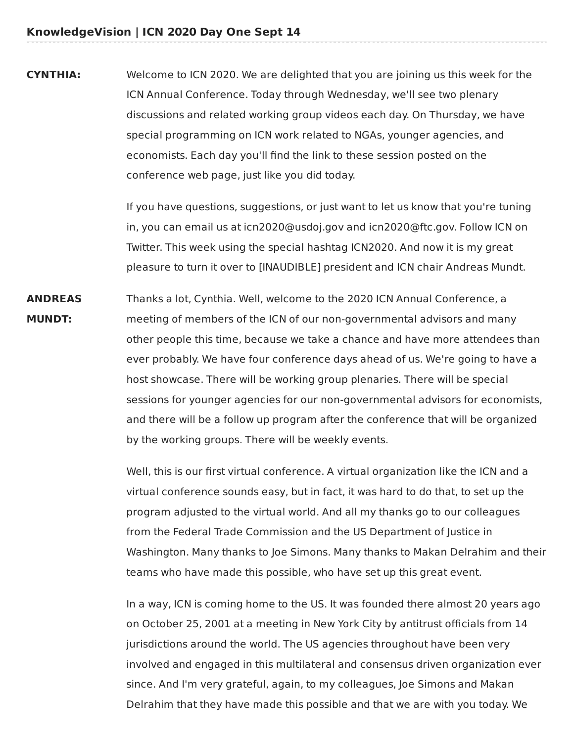**CYNTHIA:** Welcome to ICN 2020. We are delighted that you are joining us this week for the ICN Annual Conference. Today through Wednesday, we'll see two plenary discussions and related working group videos each day. On Thursday, we have special programming on ICN work related to NGAs, younger agencies, and economists. Each day you'll find the link to these session posted on the conference web page, just like you did today.

> If you have questions, suggestions, or just want to let us know that you're tuning in, you can email us at icn2020@usdoj.gov and icn2020@ftc.gov. Follow ICN on Twitter. This week using the special hashtag ICN2020. And now it is my great pleasure to turn it over to [INAUDIBLE] president and ICN chair Andreas Mundt.

**ANDREAS** Thanks a lot, Cynthia. Well, welcome to the 2020 ICN Annual Conference, a **MUNDT:** meeting of members of the ICN of our non-governmental advisors and many other people this time, because we take a chance and have more attendees than ever probably. We have four conference days ahead of us. We're going to have a host showcase. There will be working group plenaries. There will be special sessions for younger agencies for our non-governmental advisors for economists, and there will be a follow up program after the conference that will be organized by the working groups. There will be weekly events.

> Well, this is our first virtual conference. A virtual organization like the ICN and a virtual conference sounds easy, but in fact, it was hard to do that, to set up the program adjusted to the virtual world. And all my thanks go to our colleagues from the Federal Trade Commission and the US Department of Justice in Washington. Many thanks to Joe Simons. Many thanks to Makan Delrahim and their teams who have made this possible, who have set up this great event.

In a way, ICN is coming home to the US. It was founded there almost 20 years ago on October 25, 2001 at a meeting in New York City by antitrust officials from 14 jurisdictions around the world. The US agencies throughout have been very involved and engaged in this multilateral and consensus driven organization ever since. And I'm very grateful, again, to my colleagues, Joe Simons and Makan Delrahim that they have made this possible and that we are with you today. We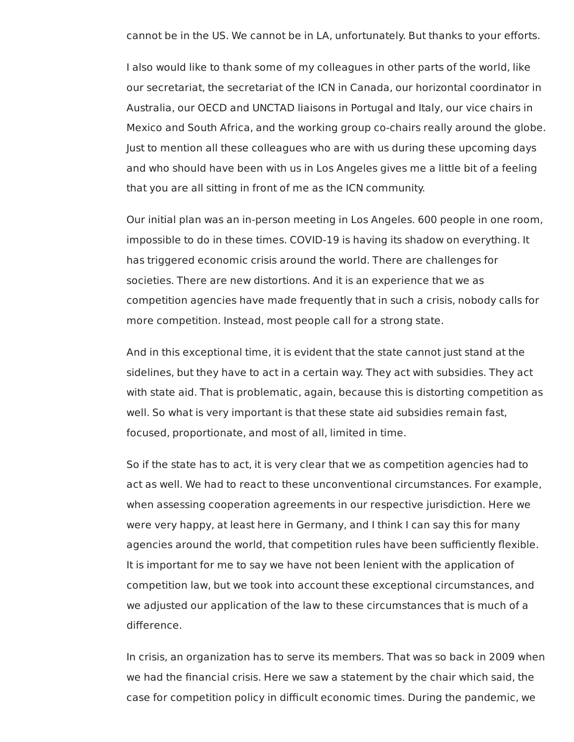cannot be in the US. We cannot be in LA, unfortunately. But thanks to your efforts.

 I also would like to thank some of my colleagues in other parts of the world, like our secretariat, the secretariat of the ICN in Canada, our horizontal coordinator in Australia, our OECD and UNCTAD liaisons in Portugal and Italy, our vice chairs in Mexico and South Africa, and the working group co-chairs really around the globe. Just to mention all these colleagues who are with us during these upcoming days and who should have been with us in Los Angeles gives me a little bit of a feeling that you are all sitting in front of me as the ICN community.

 Our initial plan was an in-person meeting in Los Angeles. 600 people in one room, impossible to do in these times. COVID-19 is having its shadow on everything. It has triggered economic crisis around the world. There are challenges for societies. There are new distortions. And it is an experience that we as competition agencies have made frequently that in such a crisis, nobody calls for more competition. Instead, most people call for a strong state.

 And in this exceptional time, it is evident that the state cannot just stand at the sidelines, but they have to act in a certain way. They act with subsidies. They act with state aid. That is problematic, again, because this is distorting competition as well. So what is very important is that these state aid subsidies remain fast, focused, proportionate, and most of all, limited in time.

 So if the state has to act, it is very clear that we as competition agencies had to act as well. We had to react to these unconventional circumstances. For example, when assessing cooperation agreements in our respective jurisdiction. Here we were very happy, at least here in Germany, and I think I can say this for many agencies around the world, that competition rules have been sufficiently flexible. It is important for me to say we have not been lenient with the application of competition law, but we took into account these exceptional circumstances, and we adjusted our application of the law to these circumstances that is much of a difference.

 In crisis, an organization has to serve its members. That was so back in 2009 when we had the financial crisis. Here we saw a statement by the chair which said, the case for competition policy in difficult economic times. During the pandemic, we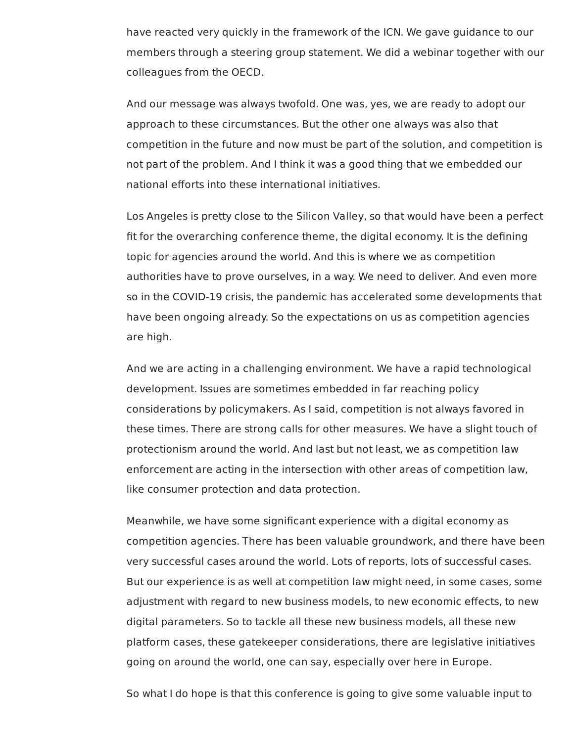have reacted very quickly in the framework of the ICN. We gave guidance to our members through a steering group statement. We did a webinar together with our colleagues from the OECD.

 And our message was always twofold. One was, yes, we are ready to adopt our approach to these circumstances. But the other one always was also that competition in the future and now must be part of the solution, and competition is not part of the problem. And I think it was a good thing that we embedded our national efforts into these international initiatives.

 Los Angeles is pretty close to the Silicon Valley, so that would have been a perfect fit for the overarching conference theme, the digital economy. It is the defining topic for agencies around the world. And this is where we as competition authorities have to prove ourselves, in a way. We need to deliver. And even more so in the COVID-19 crisis, the pandemic has accelerated some developments that have been ongoing already. So the expectations on us as competition agencies are high.

 And we are acting in a challenging environment. We have a rapid technological development. Issues are sometimes embedded in far reaching policy considerations by policymakers. As I said, competition is not always favored in these times. There are strong calls for other measures. We have a slight touch of protectionism around the world. And last but not least, we as competition law enforcement are acting in the intersection with other areas of competition law, like consumer protection and data protection.

 Meanwhile, we have some significant experience with a digital economy as competition agencies. There has been valuable groundwork, and there have been very successful cases around the world. Lots of reports, lots of successful cases. But our experience is as well at competition law might need, in some cases, some adjustment with regard to new business models, to new economic effects, to new digital parameters. So to tackle all these new business models, all these new platform cases, these gatekeeper considerations, there are legislative initiatives going on around the world, one can say, especially over here in Europe.

So what I do hope is that this conference is going to give some valuable input to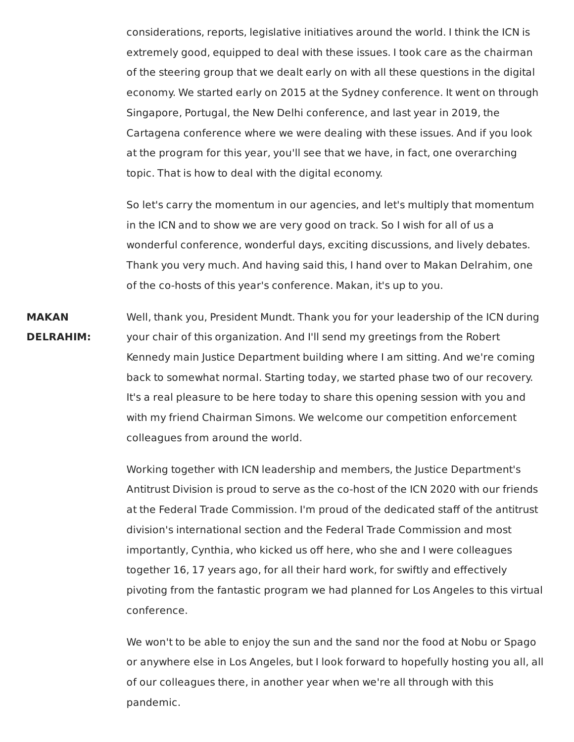considerations, reports, legislative initiatives around the world. I think the ICN is extremely good, equipped to deal with these issues. I took care as the chairman of the steering group that we dealt early on with all these questions in the digital economy. We started early on 2015 at the Sydney conference. It went on through Singapore, Portugal, the New Delhi conference, and last year in 2019, the Cartagena conference where we were dealing with these issues. And if you look at the program for this year, you'll see that we have, in fact, one overarching topic. That is how to deal with the digital economy.

So let's carry the momentum in our agencies, and let's multiply that momentum in the ICN and to show we are very good on track. So I wish for all of us a wonderful conference, wonderful days, exciting discussions, and lively debates. Thank you very much. And having said this, I hand over to Makan Delrahim, one of the co-hosts of this year's conference. Makan, it's up to you.

**MAKAN** Well, thank you, President Mundt. Thank you for your leadership of the ICN during **DELRAHIM:** your chair of this organization. And I'll send my greetings from the Robert Kennedy main Justice Department building where I am sitting. And we're coming back to somewhat normal. Starting today, we started phase two of our recovery. It's a real pleasure to be here today to share this opening session with you and with my friend Chairman Simons. We welcome our competition enforcement colleagues from around the world.

> Working together with ICN leadership and members, the Justice Department's Antitrust Division is proud to serve as the co-host of the ICN 2020 with our friends at the Federal Trade Commission. I'm proud of the dedicated staff of the antitrust division's international section and the Federal Trade Commission and most importantly, Cynthia, who kicked us off here, who she and I were colleagues together 16, 17 years ago, for all their hard work, for swiftly and effectively pivoting from the fantastic program we had planned for Los Angeles to this virtual conference.

> We won't to be able to enjoy the sun and the sand nor the food at Nobu or Spago or anywhere else in Los Angeles, but I look forward to hopefully hosting you all, all of our colleagues there, in another year when we're all through with this pandemic.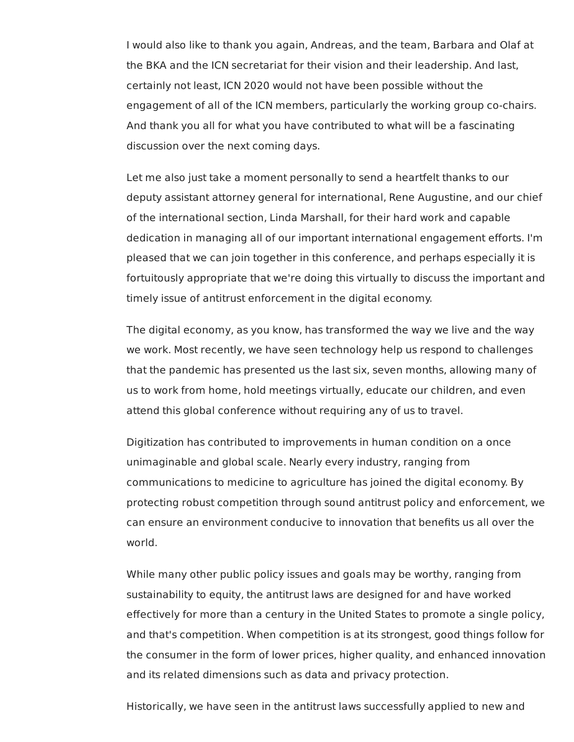I would also like to thank you again, Andreas, and the team, Barbara and Olaf at the BKA and the ICN secretariat for their vision and their leadership. And last, certainly not least, ICN 2020 would not have been possible without the engagement of all of the ICN members, particularly the working group co-chairs. And thank you all for what you have contributed to what will be a fascinating discussion over the next coming days.

 Let me also just take a moment personally to send a heartfelt thanks to our deputy assistant attorney general for international, Rene Augustine, and our chief of the international section, Linda Marshall, for their hard work and capable dedication in managing all of our important international engagement efforts. I'm pleased that we can join together in this conference, and perhaps especially it is fortuitously appropriate that we're doing this virtually to discuss the important and timely issue of antitrust enforcement in the digital economy.

 The digital economy, as you know, has transformed the way we live and the way we work. Most recently, we have seen technology help us respond to challenges that the pandemic has presented us the last six, seven months, allowing many of us to work from home, hold meetings virtually, educate our children, and even attend this global conference without requiring any of us to travel.

 Digitization has contributed to improvements in human condition on a once unimaginable and global scale. Nearly every industry, ranging from communications to medicine to agriculture has joined the digital economy. By protecting robust competition through sound antitrust policy and enforcement, we can ensure an environment conducive to innovation that benefits us all over the world.

 While many other public policy issues and goals may be worthy, ranging from sustainability to equity, the antitrust laws are designed for and have worked effectively for more than a century in the United States to promote a single policy, and that's competition. When competition is at its strongest, good things follow for the consumer in the form of lower prices, higher quality, and enhanced innovation and its related dimensions such as data and privacy protection.

Historically, we have seen in the antitrust laws successfully applied to new and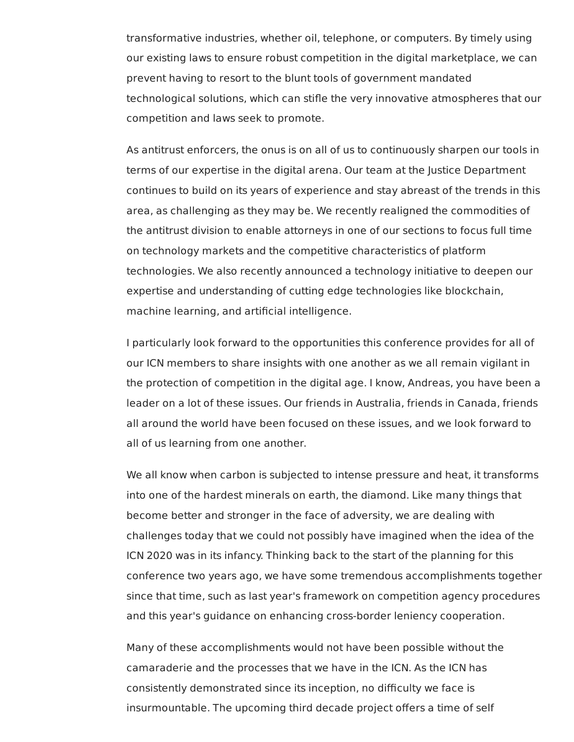transformative industries, whether oil, telephone, or computers. By timely using our existing laws to ensure robust competition in the digital marketplace, we can prevent having to resort to the blunt tools of government mandated technological solutions, which can stifle the very innovative atmospheres that our competition and laws seek to promote.

 As antitrust enforcers, the onus is on all of us to continuously sharpen our tools in terms of our expertise in the digital arena. Our team at the Justice Department continues to build on its years of experience and stay abreast of the trends in this area, as challenging as they may be. We recently realigned the commodities of the antitrust division to enable attorneys in one of our sections to focus full time on technology markets and the competitive characteristics of platform technologies. We also recently announced a technology initiative to deepen our expertise and understanding of cutting edge technologies like blockchain, machine learning, and artificial intelligence.

 I particularly look forward to the opportunities this conference provides for all of our ICN members to share insights with one another as we all remain vigilant in the protection of competition in the digital age. I know, Andreas, you have been a leader on a lot of these issues. Our friends in Australia, friends in Canada, friends all around the world have been focused on these issues, and we look forward to all of us learning from one another.

 We all know when carbon is subjected to intense pressure and heat, it transforms into one of the hardest minerals on earth, the diamond. Like many things that become better and stronger in the face of adversity, we are dealing with challenges today that we could not possibly have imagined when the idea of the ICN 2020 was in its infancy. Thinking back to the start of the planning for this conference two years ago, we have some tremendous accomplishments together since that time, such as last year's framework on competition agency procedures and this year's guidance on enhancing cross-border leniency cooperation.

 Many of these accomplishments would not have been possible without the camaraderie and the processes that we have in the ICN. As the ICN has consistently demonstrated since its inception, no difficulty we face is insurmountable. The upcoming third decade project offers a time of self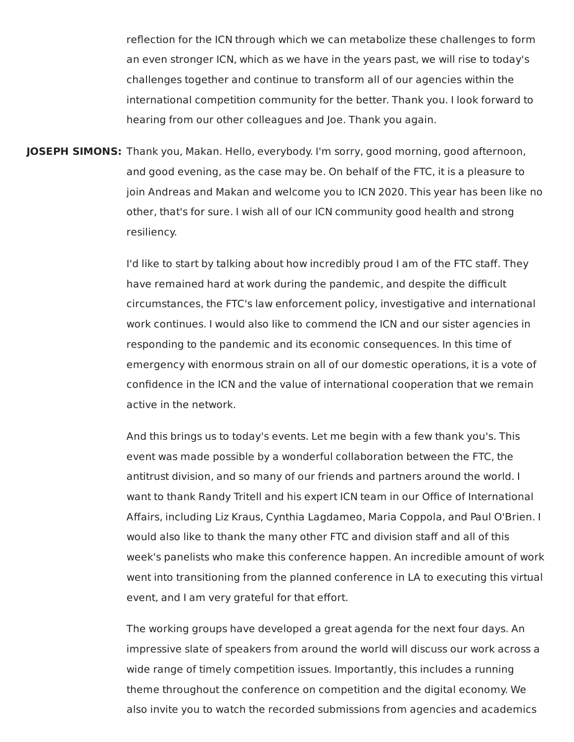reflection for the ICN through which we can metabolize these challenges to form an even stronger ICN, which as we have in the years past, we will rise to today's challenges together and continue to transform all of our agencies within the international competition community for the better. Thank you. I look forward to hearing from our other colleagues and Joe. Thank you again.

 **JOSEPH SIMONS:** Thank you, Makan. Hello, everybody. I'm sorry, good morning, good afternoon, and good evening, as the case may be. On behalf of the FTC, it is a pleasure to join Andreas and Makan and welcome you to ICN 2020. This year has been like no other, that's for sure. I wish all of our ICN community good health and strong resiliency.

> I'd like to start by talking about how incredibly proud I am of the FTC staff. They have remained hard at work during the pandemic, and despite the difficult circumstances, the FTC's law enforcement policy, investigative and international work continues. I would also like to commend the ICN and our sister agencies in responding to the pandemic and its economic consequences. In this time of emergency with enormous strain on all of our domestic operations, it is a vote of confidence in the ICN and the value of international cooperation that we remain active in the network.

 And this brings us to today's events. Let me begin with a few thank you's. This event was made possible by a wonderful collaboration between the FTC, the antitrust division, and so many of our friends and partners around the world. I want to thank Randy Tritell and his expert ICN team in our Office of International Affairs, including Liz Kraus, Cynthia Lagdameo, Maria Coppola, and Paul O'Brien. I would also like to thank the many other FTC and division staff and all of this week's panelists who make this conference happen. An incredible amount of work went into transitioning from the planned conference in LA to executing this virtual event, and I am very grateful for that effort.

 The working groups have developed a great agenda for the next four days. An impressive slate of speakers from around the world will discuss our work across a wide range of timely competition issues. Importantly, this includes a running theme throughout the conference on competition and the digital economy. We also invite you to watch the recorded submissions from agencies and academics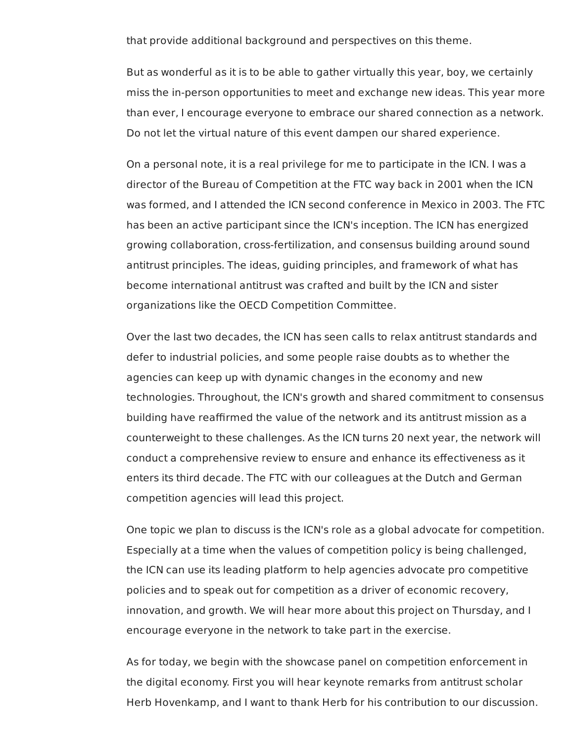that provide additional background and perspectives on this theme.

 But as wonderful as it is to be able to gather virtually this year, boy, we certainly miss the in-person opportunities to meet and exchange new ideas. This year more than ever, I encourage everyone to embrace our shared connection as a network. Do not let the virtual nature of this event dampen our shared experience.

 On a personal note, it is a real privilege for me to participate in the ICN. I was a director of the Bureau of Competition at the FTC way back in 2001 when the ICN was formed, and I attended the ICN second conference in Mexico in 2003. The FTC has been an active participant since the ICN's inception. The ICN has energized growing collaboration, cross-fertilization, and consensus building around sound antitrust principles. The ideas, guiding principles, and framework of what has become international antitrust was crafted and built by the ICN and sister organizations like the OECD Competition Committee.

 Over the last two decades, the ICN has seen calls to relax antitrust standards and defer to industrial policies, and some people raise doubts as to whether the agencies can keep up with dynamic changes in the economy and new technologies. Throughout, the ICN's growth and shared commitment to consensus building have reaffirmed the value of the network and its antitrust mission as a counterweight to these challenges. As the ICN turns 20 next year, the network will conduct a comprehensive review to ensure and enhance its effectiveness as it enters its third decade. The FTC with our colleagues at the Dutch and German competition agencies will lead this project.

 One topic we plan to discuss is the ICN's role as a global advocate for competition. Especially at a time when the values of competition policy is being challenged, the ICN can use its leading platform to help agencies advocate pro competitive policies and to speak out for competition as a driver of economic recovery, innovation, and growth. We will hear more about this project on Thursday, and I encourage everyone in the network to take part in the exercise.

 As for today, we begin with the showcase panel on competition enforcement in the digital economy. First you will hear keynote remarks from antitrust scholar Herb Hovenkamp, and I want to thank Herb for his contribution to our discussion.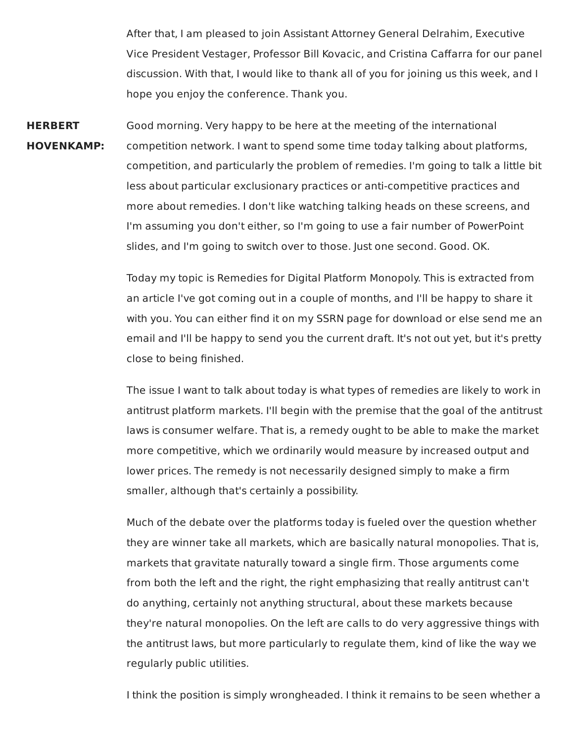After that, I am pleased to join Assistant Attorney General Delrahim, Executive Vice President Vestager, Professor Bill Kovacic, and Cristina Caffarra for our panel discussion. With that, I would like to thank all of you for joining us this week, and I hope you enjoy the conference. Thank you.

**HERBERT** Good morning. Very happy to be here at the meeting of the international **HOVENKAMP:** competition network. I want to spend some time today talking about platforms, competition, and particularly the problem of remedies. I'm going to talk a little bit less about particular exclusionary practices or anti-competitive practices and more about remedies. I don't like watching talking heads on these screens, and I'm assuming you don't either, so I'm going to use a fair number of PowerPoint slides, and I'm going to switch over to those. Just one second. Good. OK.

> Today my topic is Remedies for Digital Platform Monopoly. This is extracted from an article I've got coming out in a couple of months, and I'll be happy to share it with you. You can either find it on my SSRN page for download or else send me an email and I'll be happy to send you the current draft. It's not out yet, but it's pretty close to being finished.

> The issue I want to talk about today is what types of remedies are likely to work in antitrust platform markets. I'll begin with the premise that the goal of the antitrust laws is consumer welfare. That is, a remedy ought to be able to make the market more competitive, which we ordinarily would measure by increased output and lower prices. The remedy is not necessarily designed simply to make a firm smaller, although that's certainly a possibility.

> Much of the debate over the platforms today is fueled over the question whether they are winner take all markets, which are basically natural monopolies. That is, markets that gravitate naturally toward a single firm. Those arguments come from both the left and the right, the right emphasizing that really antitrust can't do anything, certainly not anything structural, about these markets because they're natural monopolies. On the left are calls to do very aggressive things with the antitrust laws, but more particularly to regulate them, kind of like the way we regularly public utilities.

> I think the position is simply wrongheaded. I think it remains to be seen whether a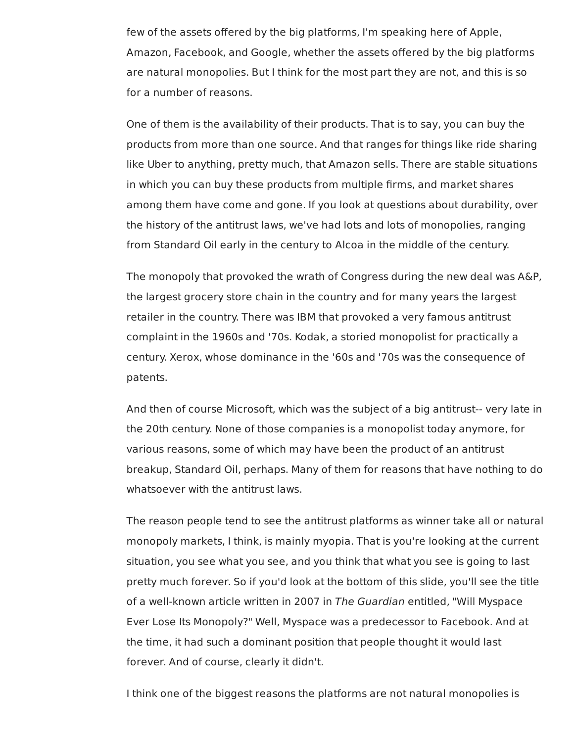few of the assets offered by the big platforms, I'm speaking here of Apple, Amazon, Facebook, and Google, whether the assets offered by the big platforms are natural monopolies. But I think for the most part they are not, and this is so for a number of reasons.

 One of them is the availability of their products. That is to say, you can buy the products from more than one source. And that ranges for things like ride sharing like Uber to anything, pretty much, that Amazon sells. There are stable situations in which you can buy these products from multiple firms, and market shares among them have come and gone. If you look at questions about durability, over the history of the antitrust laws, we've had lots and lots of monopolies, ranging from Standard Oil early in the century to Alcoa in the middle of the century.

 The monopoly that provoked the wrath of Congress during the new deal was A&P, the largest grocery store chain in the country and for many years the largest retailer in the country. There was IBM that provoked a very famous antitrust complaint in the 1960s and '70s. Kodak, a storied monopolist for practically a century. Xerox, whose dominance in the '60s and '70s was the consequence of patents.

 And then of course Microsoft, which was the subject of a big antitrust-- very late in the 20th century. None of those companies is a monopolist today anymore, for various reasons, some of which may have been the product of an antitrust breakup, Standard Oil, perhaps. Many of them for reasons that have nothing to do whatsoever with the antitrust laws.

 The reason people tend to see the antitrust platforms as winner take all or natural monopoly markets, I think, is mainly myopia. That is you're looking at the current situation, you see what you see, and you think that what you see is going to last pretty much forever. So if you'd look at the bottom of this slide, you'll see the title of a well-known article written in 2007 in The Guardian entitled, "Will Myspace Ever Lose Its Monopoly?" Well, Myspace was a predecessor to Facebook. And at the time, it had such a dominant position that people thought it would last forever. And of course, clearly it didn't.

I think one of the biggest reasons the platforms are not natural monopolies is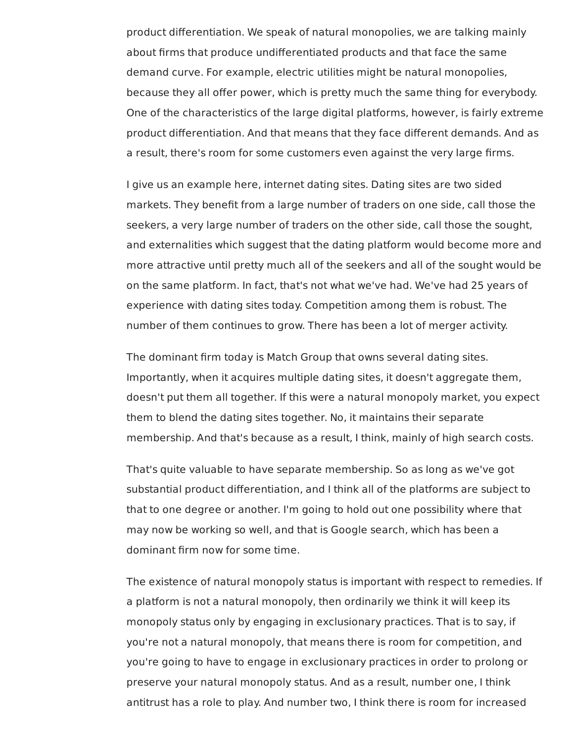product differentiation. We speak of natural monopolies, we are talking mainly about firms that produce undifferentiated products and that face the same demand curve. For example, electric utilities might be natural monopolies, because they all offer power, which is pretty much the same thing for everybody. One of the characteristics of the large digital platforms, however, is fairly extreme product differentiation. And that means that they face different demands. And as a result, there's room for some customers even against the very large firms.

 I give us an example here, internet dating sites. Dating sites are two sided markets. They benefit from a large number of traders on one side, call those the seekers, a very large number of traders on the other side, call those the sought, and externalities which suggest that the dating platform would become more and more attractive until pretty much all of the seekers and all of the sought would be on the same platform. In fact, that's not what we've had. We've had 25 years of experience with dating sites today. Competition among them is robust. The number of them continues to grow. There has been a lot of merger activity.

 The dominant firm today is Match Group that owns several dating sites. Importantly, when it acquires multiple dating sites, it doesn't aggregate them, doesn't put them all together. If this were a natural monopoly market, you expect them to blend the dating sites together. No, it maintains their separate membership. And that's because as a result, I think, mainly of high search costs.

 That's quite valuable to have separate membership. So as long as we've got substantial product differentiation, and I think all of the platforms are subject to that to one degree or another. I'm going to hold out one possibility where that may now be working so well, and that is Google search, which has been a dominant firm now for some time.

 The existence of natural monopoly status is important with respect to remedies. If a platform is not a natural monopoly, then ordinarily we think it will keep its monopoly status only by engaging in exclusionary practices. That is to say, if you're not a natural monopoly, that means there is room for competition, and you're going to have to engage in exclusionary practices in order to prolong or preserve your natural monopoly status. And as a result, number one, I think antitrust has a role to play. And number two, I think there is room for increased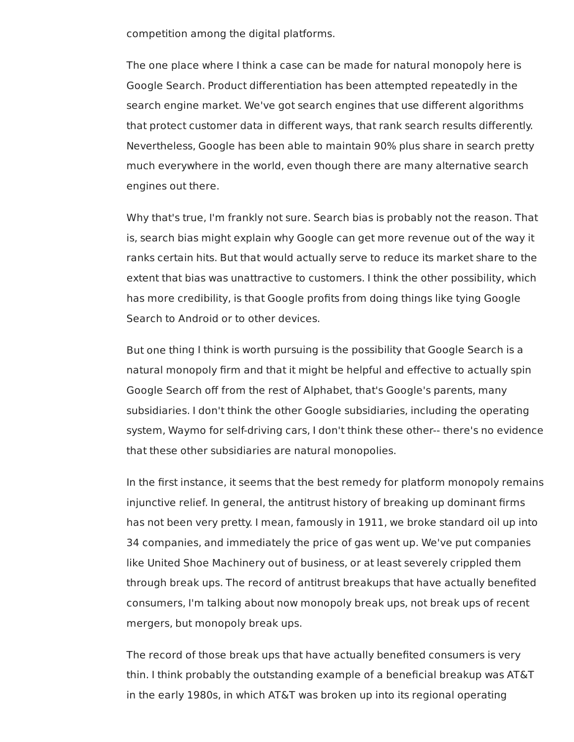competition among the digital platforms.

 The one place where I think a case can be made for natural monopoly here is Google Search. Product differentiation has been attempted repeatedly in the search engine market. We've got search engines that use different algorithms that protect customer data in different ways, that rank search results differently. Nevertheless, Google has been able to maintain 90% plus share in search pretty much everywhere in the world, even though there are many alternative search engines out there.

 Why that's true, I'm frankly not sure. Search bias is probably not the reason. That is, search bias might explain why Google can get more revenue out of the way it ranks certain hits. But that would actually serve to reduce its market share to the extent that bias was unattractive to customers. I think the other possibility, which has more credibility, is that Google profits from doing things like tying Google Search to Android or to other devices.

 But one thing I think is worth pursuing is the possibility that Google Search is a natural monopoly firm and that it might be helpful and effective to actually spin Google Search off from the rest of Alphabet, that's Google's parents, many subsidiaries. I don't think the other Google subsidiaries, including the operating system, Waymo for self-driving cars, I don't think these other-- there's no evidence that these other subsidiaries are natural monopolies.

 In the first instance, it seems that the best remedy for platform monopoly remains injunctive relief. In general, the antitrust history of breaking up dominant firms has not been very pretty. I mean, famously in 1911, we broke standard oil up into 34 companies, and immediately the price of gas went up. We've put companies like United Shoe Machinery out of business, or at least severely crippled them through break ups. The record of antitrust breakups that have actually benefited consumers, I'm talking about now monopoly break ups, not break ups of recent mergers, but monopoly break ups.

 The record of those break ups that have actually benefited consumers is very thin. I think probably the outstanding example of a beneficial breakup was AT&T in the early 1980s, in which AT&T was broken up into its regional operating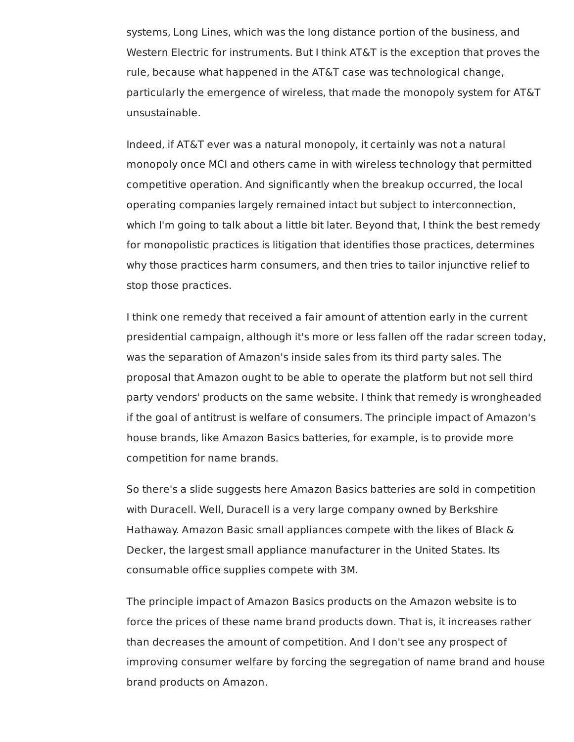systems, Long Lines, which was the long distance portion of the business, and Western Electric for instruments. But I think AT&T is the exception that proves the rule, because what happened in the AT&T case was technological change, particularly the emergence of wireless, that made the monopoly system for AT&T unsustainable.

 Indeed, if AT&T ever was a natural monopoly, it certainly was not a natural monopoly once MCI and others came in with wireless technology that permitted competitive operation. And significantly when the breakup occurred, the local operating companies largely remained intact but subject to interconnection, which I'm going to talk about a little bit later. Beyond that, I think the best remedy for monopolistic practices is litigation that identifies those practices, determines why those practices harm consumers, and then tries to tailor injunctive relief to stop those practices.

 I think one remedy that received a fair amount of attention early in the current presidential campaign, although it's more or less fallen off the radar screen today, was the separation of Amazon's inside sales from its third party sales. The proposal that Amazon ought to be able to operate the platform but not sell third party vendors' products on the same website. I think that remedy is wrongheaded if the goal of antitrust is welfare of consumers. The principle impact of Amazon's house brands, like Amazon Basics batteries, for example, is to provide more competition for name brands.

 So there's a slide suggests here Amazon Basics batteries are sold in competition with Duracell. Well, Duracell is a very large company owned by Berkshire Hathaway. Amazon Basic small appliances compete with the likes of Black & Decker, the largest small appliance manufacturer in the United States. Its consumable office supplies compete with 3M.

 The principle impact of Amazon Basics products on the Amazon website is to force the prices of these name brand products down. That is, it increases rather than decreases the amount of competition. And I don't see any prospect of improving consumer welfare by forcing the segregation of name brand and house brand products on Amazon.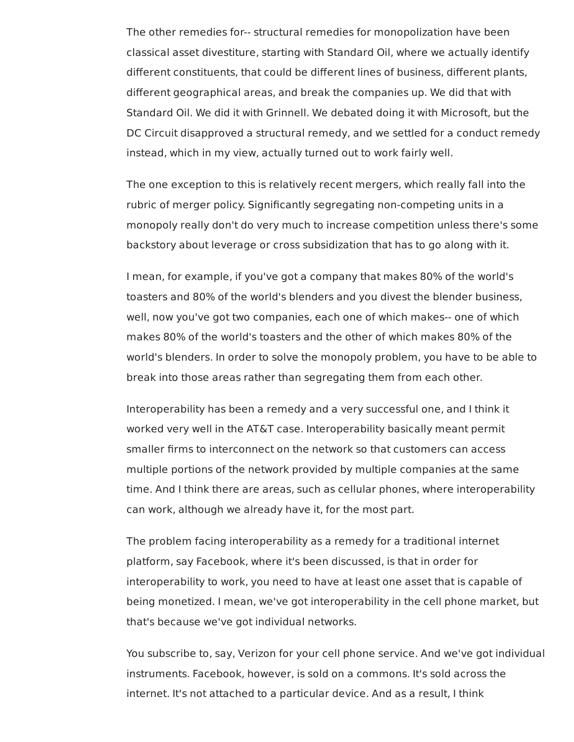The other remedies for-- structural remedies for monopolization have been classical asset divestiture, starting with Standard Oil, where we actually identify different constituents, that could be different lines of business, different plants, different geographical areas, and break the companies up. We did that with Standard Oil. We did it with Grinnell. We debated doing it with Microsoft, but the DC Circuit disapproved a structural remedy, and we settled for a conduct remedy instead, which in my view, actually turned out to work fairly well.

 The one exception to this is relatively recent mergers, which really fall into the rubric of merger policy. Significantly segregating non-competing units in a monopoly really don't do very much to increase competition unless there's some backstory about leverage or cross subsidization that has to go along with it.

 I mean, for example, if you've got a company that makes 80% of the world's toasters and 80% of the world's blenders and you divest the blender business, well, now you've got two companies, each one of which makes-- one of which makes 80% of the world's toasters and the other of which makes 80% of the world's blenders. In order to solve the monopoly problem, you have to be able to break into those areas rather than segregating them from each other.

 Interoperability has been a remedy and a very successful one, and I think it worked very well in the AT&T case. Interoperability basically meant permit smaller firms to interconnect on the network so that customers can access multiple portions of the network provided by multiple companies at the same time. And I think there are areas, such as cellular phones, where interoperability can work, although we already have it, for the most part.

 The problem facing interoperability as a remedy for a traditional internet platform, say Facebook, where it's been discussed, is that in order for interoperability to work, you need to have at least one asset that is capable of being monetized. I mean, we've got interoperability in the cell phone market, but that's because we've got individual networks.

 You subscribe to, say, Verizon for your cell phone service. And we've got individual instruments. Facebook, however, is sold on a commons. It's sold across the internet. It's not attached to a particular device. And as a result, I think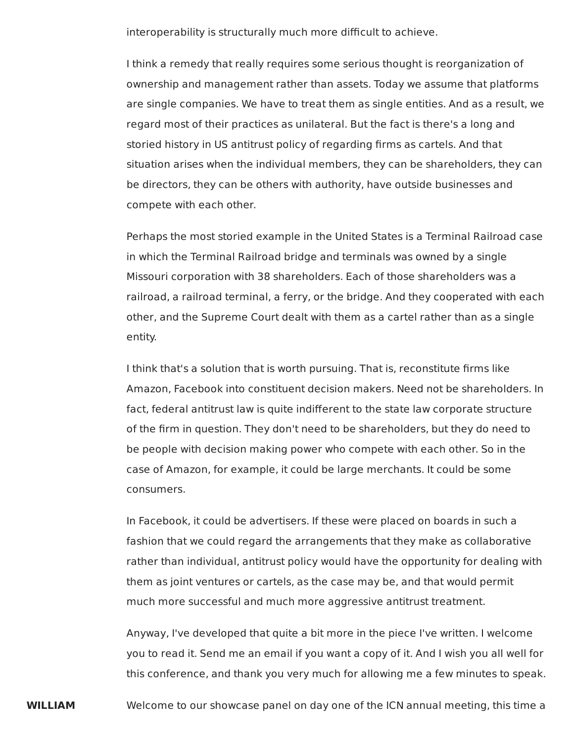interoperability is structurally much more difficult to achieve.

 I think a remedy that really requires some serious thought is reorganization of ownership and management rather than assets. Today we assume that platforms are single companies. We have to treat them as single entities. And as a result, we regard most of their practices as unilateral. But the fact is there's a long and storied history in US antitrust policy of regarding firms as cartels. And that situation arises when the individual members, they can be shareholders, they can be directors, they can be others with authority, have outside businesses and compete with each other.

 Perhaps the most storied example in the United States is a Terminal Railroad case in which the Terminal Railroad bridge and terminals was owned by a single Missouri corporation with 38 shareholders. Each of those shareholders was a railroad, a railroad terminal, a ferry, or the bridge. And they cooperated with each other, and the Supreme Court dealt with them as a cartel rather than as a single entity.

 I think that's a solution that is worth pursuing. That is, reconstitute firms like Amazon, Facebook into constituent decision makers. Need not be shareholders. In fact, federal antitrust law is quite indifferent to the state law corporate structure of the firm in question. They don't need to be shareholders, but they do need to be people with decision making power who compete with each other. So in the case of Amazon, for example, it could be large merchants. It could be some consumers.

 In Facebook, it could be advertisers. If these were placed on boards in such a fashion that we could regard the arrangements that they make as collaborative rather than individual, antitrust policy would have the opportunity for dealing with them as joint ventures or cartels, as the case may be, and that would permit much more successful and much more aggressive antitrust treatment.

 Anyway, I've developed that quite a bit more in the piece I've written. I welcome you to read it. Send me an email if you want a copy of it. And I wish you all well for this conference, and thank you very much for allowing me a few minutes to speak.

**WILLIAM** Welcome to our showcase panel on day one of the ICN annual meeting, this time a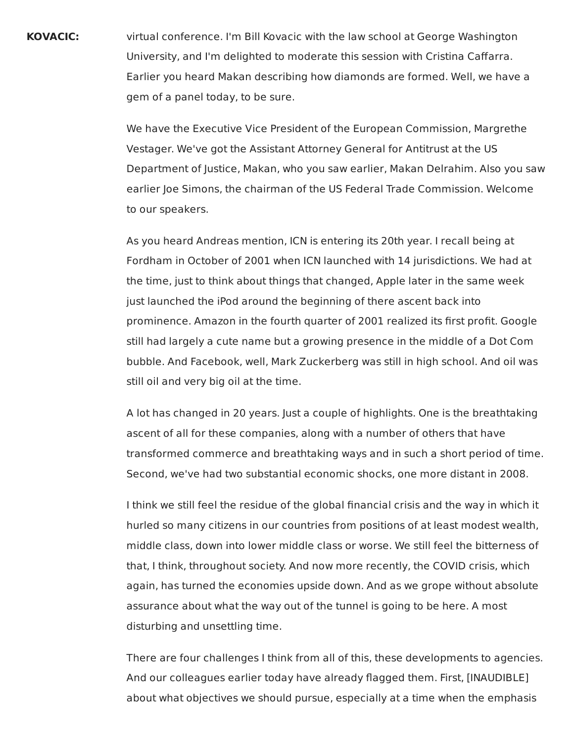**KOVACIC:** virtual conference. I'm Bill Kovacic with the law school at George Washington University, and I'm delighted to moderate this session with Cristina Caffarra. Earlier you heard Makan describing how diamonds are formed. Well, we have a gem of a panel today, to be sure.

> We have the Executive Vice President of the European Commission, Margrethe Vestager. We've got the Assistant Attorney General for Antitrust at the US Department of Justice, Makan, who you saw earlier, Makan Delrahim. Also you saw earlier Joe Simons, the chairman of the US Federal Trade Commission. Welcome to our speakers.

 As you heard Andreas mention, ICN is entering its 20th year. I recall being at Fordham in October of 2001 when ICN launched with 14 jurisdictions. We had at the time, just to think about things that changed, Apple later in the same week just launched the iPod around the beginning of there ascent back into prominence. Amazon in the fourth quarter of 2001 realized its first profit. Google still had largely a cute name but a growing presence in the middle of a Dot Com bubble. And Facebook, well, Mark Zuckerberg was still in high school. And oil was still oil and very big oil at the time.

 A lot has changed in 20 years. Just a couple of highlights. One is the breathtaking ascent of all for these companies, along with a number of others that have transformed commerce and breathtaking ways and in such a short period of time. Second, we've had two substantial economic shocks, one more distant in 2008.

 I think we still feel the residue of the global financial crisis and the way in which it hurled so many citizens in our countries from positions of at least modest wealth, middle class, down into lower middle class or worse. We still feel the bitterness of that, I think, throughout society. And now more recently, the COVID crisis, which again, has turned the economies upside down. And as we grope without absolute assurance about what the way out of the tunnel is going to be here. A most disturbing and unsettling time.

 There are four challenges I think from all of this, these developments to agencies. And our colleagues earlier today have already flagged them. First, [INAUDIBLE] about what objectives we should pursue, especially at a time when the emphasis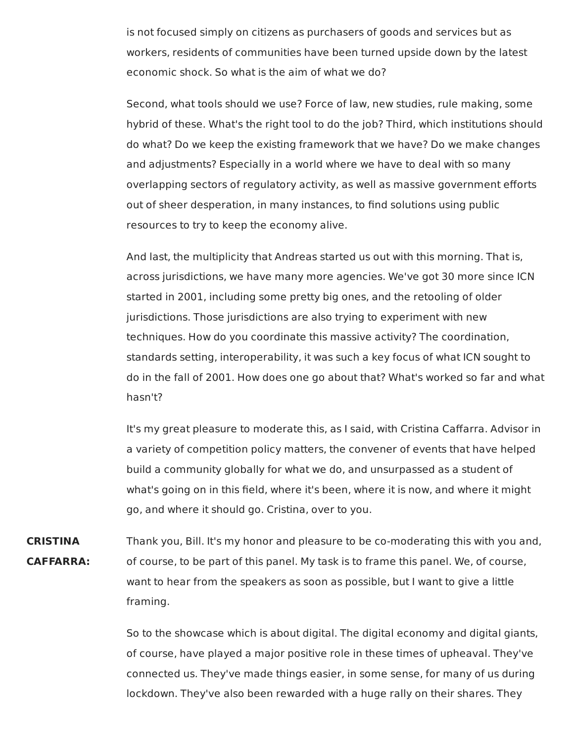is not focused simply on citizens as purchasers of goods and services but as workers, residents of communities have been turned upside down by the latest economic shock. So what is the aim of what we do?

Second, what tools should we use? Force of law, new studies, rule making, some hybrid of these. What's the right tool to do the job? Third, which institutions should do what? Do we keep the existing framework that we have? Do we make changes and adjustments? Especially in a world where we have to deal with so many overlapping sectors of regulatory activity, as well as massive government efforts out of sheer desperation, in many instances, to find solutions using public resources to try to keep the economy alive.

And last, the multiplicity that Andreas started us out with this morning. That is, across jurisdictions, we have many more agencies. We've got 30 more since ICN started in 2001, including some pretty big ones, and the retooling of older jurisdictions. Those jurisdictions are also trying to experiment with new techniques. How do you coordinate this massive activity? The coordination, standards setting, interoperability, it was such a key focus of what ICN sought to do in the fall of 2001. How does one go about that? What's worked so far and what hasn't?

It's my great pleasure to moderate this, as I said, with Cristina Caffarra. Advisor in a variety of competition policy matters, the convener of events that have helped build a community globally for what we do, and unsurpassed as a student of what's going on in this field, where it's been, where it is now, and where it might go, and where it should go. Cristina, over to you.

**CRISTINA** Thank you, Bill. It's my honor and pleasure to be co-moderating this with you and, **CAFFARRA:** of course, to be part of this panel. My task is to frame this panel. We, of course, want to hear from the speakers as soon as possible, but I want to give a little framing.

> So to the showcase which is about digital. The digital economy and digital giants, of course, have played a major positive role in these times of upheaval. They've connected us. They've made things easier, in some sense, for many of us during lockdown. They've also been rewarded with a huge rally on their shares. They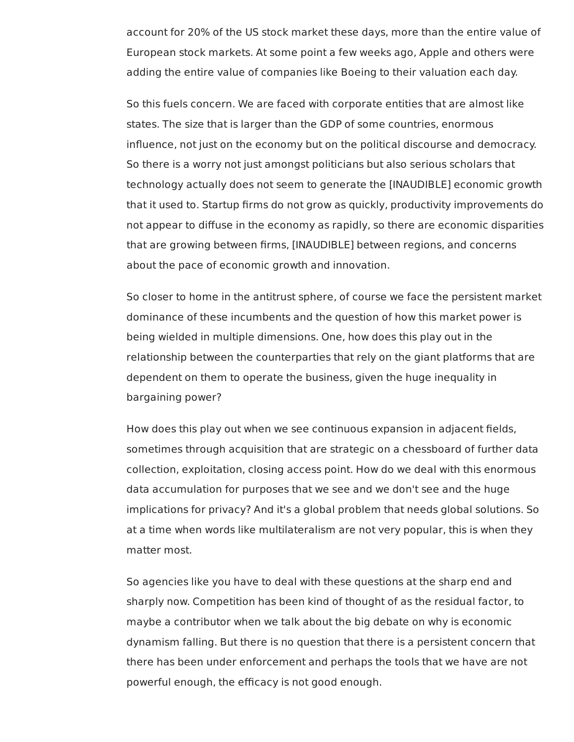account for 20% of the US stock market these days, more than the entire value of European stock markets. At some point a few weeks ago, Apple and others were adding the entire value of companies like Boeing to their valuation each day.

 So this fuels concern. We are faced with corporate entities that are almost like states. The size that is larger than the GDP of some countries, enormous influence, not just on the economy but on the political discourse and democracy. So there is a worry not just amongst politicians but also serious scholars that technology actually does not seem to generate the [INAUDIBLE] economic growth that it used to. Startup firms do not grow as quickly, productivity improvements do not appear to diffuse in the economy as rapidly, so there are economic disparities that are growing between firms, [INAUDIBLE] between regions, and concerns about the pace of economic growth and innovation.

 So closer to home in the antitrust sphere, of course we face the persistent market dominance of these incumbents and the question of how this market power is being wielded in multiple dimensions. One, how does this play out in the relationship between the counterparties that rely on the giant platforms that are dependent on them to operate the business, given the huge inequality in bargaining power?

 How does this play out when we see continuous expansion in adjacent fields, sometimes through acquisition that are strategic on a chessboard of further data collection, exploitation, closing access point. How do we deal with this enormous data accumulation for purposes that we see and we don't see and the huge implications for privacy? And it's a global problem that needs global solutions. So at a time when words like multilateralism are not very popular, this is when they matter most.

 So agencies like you have to deal with these questions at the sharp end and sharply now. Competition has been kind of thought of as the residual factor, to maybe a contributor when we talk about the big debate on why is economic dynamism falling. But there is no question that there is a persistent concern that there has been under enforcement and perhaps the tools that we have are not powerful enough, the efficacy is not good enough.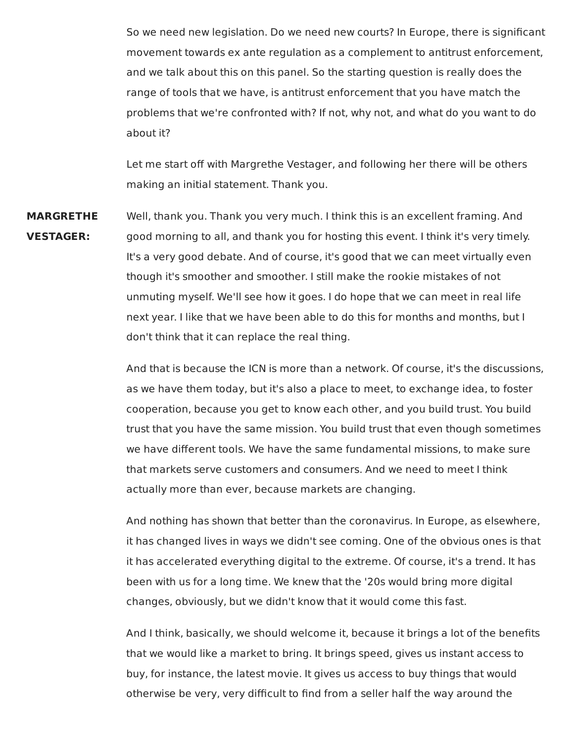So we need new legislation. Do we need new courts? In Europe, there is significant movement towards ex ante regulation as a complement to antitrust enforcement, and we talk about this on this panel. So the starting question is really does the range of tools that we have, is antitrust enforcement that you have match the problems that we're confronted with? If not, why not, and what do you want to do about it?

Let me start off with Margrethe Vestager, and following her there will be others making an initial statement. Thank you.

**MARGRETHE** Well, thank you. Thank you very much. I think this is an excellent framing. And **VESTAGER:** good morning to all, and thank you for hosting this event. I think it's very timely. It's a very good debate. And of course, it's good that we can meet virtually even though it's smoother and smoother. I still make the rookie mistakes of not unmuting myself. We'll see how it goes. I do hope that we can meet in real life next year. I like that we have been able to do this for months and months, but I don't think that it can replace the real thing.

> And that is because the ICN is more than a network. Of course, it's the discussions, as we have them today, but it's also a place to meet, to exchange idea, to foster cooperation, because you get to know each other, and you build trust. You build trust that you have the same mission. You build trust that even though sometimes we have different tools. We have the same fundamental missions, to make sure that markets serve customers and consumers. And we need to meet I think actually more than ever, because markets are changing.

> And nothing has shown that better than the coronavirus. In Europe, as elsewhere, it has changed lives in ways we didn't see coming. One of the obvious ones is that it has accelerated everything digital to the extreme. Of course, it's a trend. It has been with us for a long time. We knew that the '20s would bring more digital changes, obviously, but we didn't know that it would come this fast.

> And I think, basically, we should welcome it, because it brings a lot of the benefits that we would like a market to bring. It brings speed, gives us instant access to buy, for instance, the latest movie. It gives us access to buy things that would otherwise be very, very difficult to find from a seller half the way around the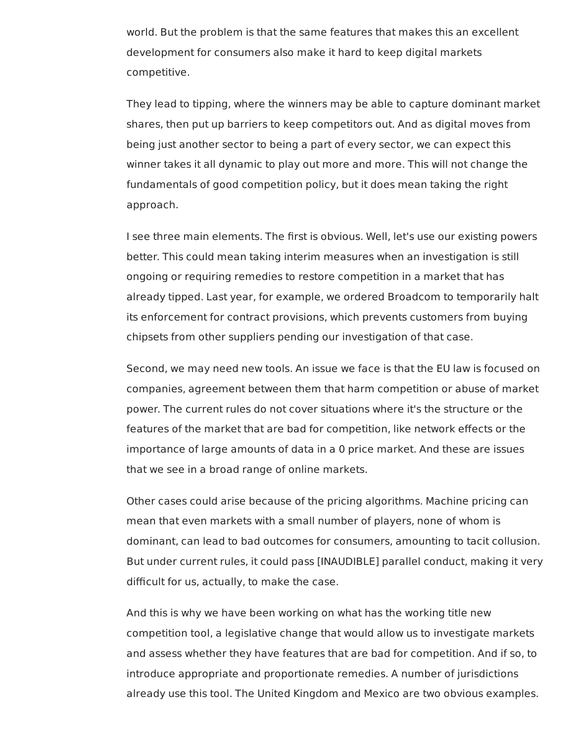world. But the problem is that the same features that makes this an excellent development for consumers also make it hard to keep digital markets competitive.

 They lead to tipping, where the winners may be able to capture dominant market shares, then put up barriers to keep competitors out. And as digital moves from being just another sector to being a part of every sector, we can expect this winner takes it all dynamic to play out more and more. This will not change the fundamentals of good competition policy, but it does mean taking the right approach.

 I see three main elements. The first is obvious. Well, let's use our existing powers better. This could mean taking interim measures when an investigation is still ongoing or requiring remedies to restore competition in a market that has already tipped. Last year, for example, we ordered Broadcom to temporarily halt its enforcement for contract provisions, which prevents customers from buying chipsets from other suppliers pending our investigation of that case.

 Second, we may need new tools. An issue we face is that the EU law is focused on companies, agreement between them that harm competition or abuse of market power. The current rules do not cover situations where it's the structure or the features of the market that are bad for competition, like network effects or the importance of large amounts of data in a 0 price market. And these are issues that we see in a broad range of online markets.

 Other cases could arise because of the pricing algorithms. Machine pricing can mean that even markets with a small number of players, none of whom is dominant, can lead to bad outcomes for consumers, amounting to tacit collusion. But under current rules, it could pass [INAUDIBLE] parallel conduct, making it very difficult for us, actually, to make the case.

 And this is why we have been working on what has the working title new competition tool, a legislative change that would allow us to investigate markets and assess whether they have features that are bad for competition. And if so, to introduce appropriate and proportionate remedies. A number of jurisdictions already use this tool. The United Kingdom and Mexico are two obvious examples.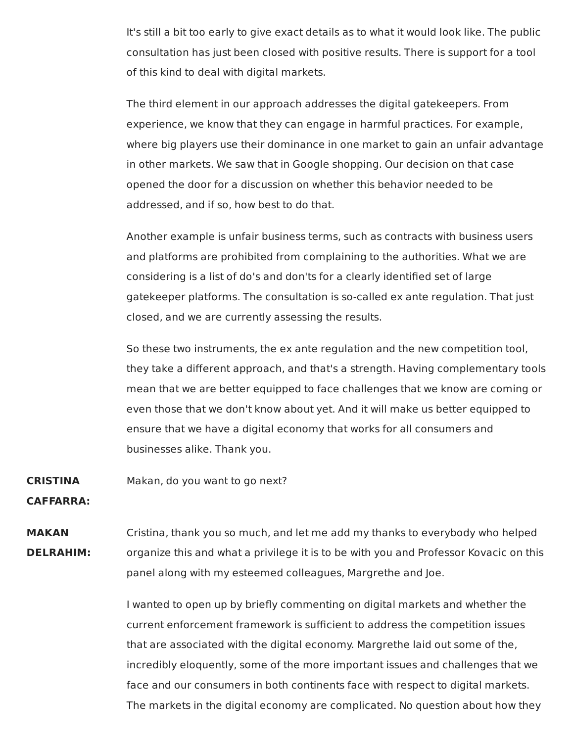It's still a bit too early to give exact details as to what it would look like. The public consultation has just been closed with positive results. There is support for a tool of this kind to deal with digital markets.

The third element in our approach addresses the digital gatekeepers. From experience, we know that they can engage in harmful practices. For example, where big players use their dominance in one market to gain an unfair advantage in other markets. We saw that in Google shopping. Our decision on that case opened the door for a discussion on whether this behavior needed to be addressed, and if so, how best to do that.

Another example is unfair business terms, such as contracts with business users and platforms are prohibited from complaining to the authorities. What we are considering is a list of do's and don'ts for a clearly identified set of large gatekeeper platforms. The consultation is so-called ex ante regulation. That just closed, and we are currently assessing the results.

So these two instruments, the ex ante regulation and the new competition tool, they take a different approach, and that's a strength. Having complementary tools mean that we are better equipped to face challenges that we know are coming or even those that we don't know about yet. And it will make us better equipped to ensure that we have a digital economy that works for all consumers and businesses alike. Thank you.

## **CRISTINA** Makan, do you want to go next?

**CAFFARRA:**

**MAKAN** Cristina, thank you so much, and let me add my thanks to everybody who helped **DELRAHIM:** organize this and what a privilege it is to be with you and Professor Kovacic on this panel along with my esteemed colleagues, Margrethe and Joe.

> I wanted to open up by briefly commenting on digital markets and whether the current enforcement framework is sufficient to address the competition issues that are associated with the digital economy. Margrethe laid out some of the, incredibly eloquently, some of the more important issues and challenges that we face and our consumers in both continents face with respect to digital markets. The markets in the digital economy are complicated. No question about how they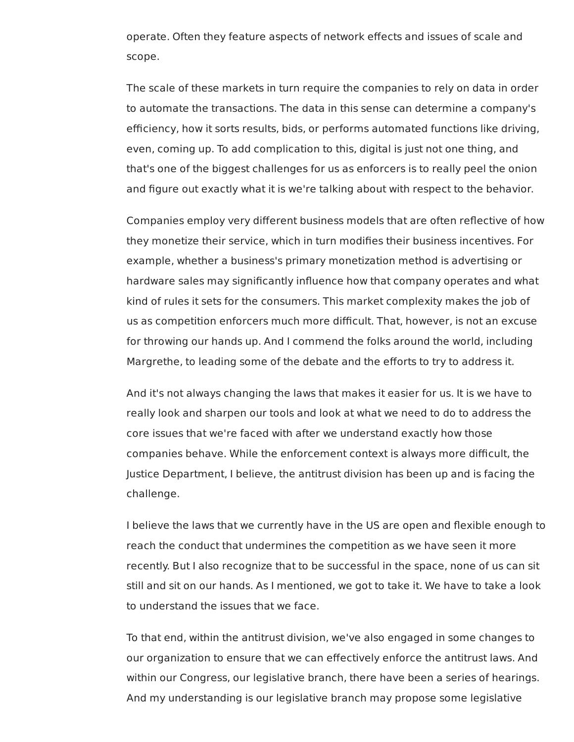operate. Often they feature aspects of network effects and issues of scale and scope.

 The scale of these markets in turn require the companies to rely on data in order to automate the transactions. The data in this sense can determine a company's efficiency, how it sorts results, bids, or performs automated functions like driving, even, coming up. To add complication to this, digital is just not one thing, and that's one of the biggest challenges for us as enforcers is to really peel the onion and figure out exactly what it is we're talking about with respect to the behavior.

 Companies employ very different business models that are often reflective of how they monetize their service, which in turn modifies their business incentives. For example, whether a business's primary monetization method is advertising or hardware sales may significantly influence how that company operates and what kind of rules it sets for the consumers. This market complexity makes the job of us as competition enforcers much more difficult. That, however, is not an excuse for throwing our hands up. And I commend the folks around the world, including Margrethe, to leading some of the debate and the efforts to try to address it.

 And it's not always changing the laws that makes it easier for us. It is we have to really look and sharpen our tools and look at what we need to do to address the core issues that we're faced with after we understand exactly how those companies behave. While the enforcement context is always more difficult, the Justice Department, I believe, the antitrust division has been up and is facing the challenge.

 I believe the laws that we currently have in the US are open and flexible enough to reach the conduct that undermines the competition as we have seen it more recently. But I also recognize that to be successful in the space, none of us can sit still and sit on our hands. As I mentioned, we got to take it. We have to take a look to understand the issues that we face.

 To that end, within the antitrust division, we've also engaged in some changes to our organization to ensure that we can effectively enforce the antitrust laws. And within our Congress, our legislative branch, there have been a series of hearings. And my understanding is our legislative branch may propose some legislative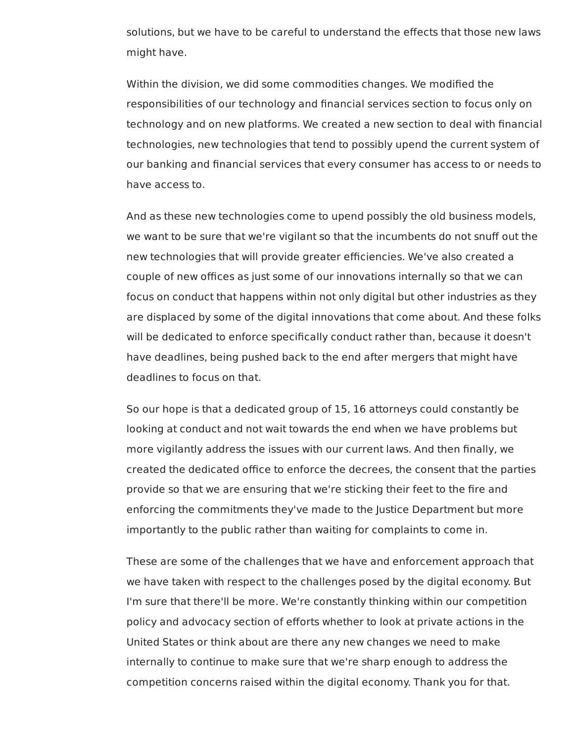solutions, but we have to be careful to understand the effects that those new laws might have.

 Within the division, we did some commodities changes. We modified the responsibilities of our technology and financial services section to focus only on technology and on new platforms. We created a new section to deal with financial technologies, new technologies that tend to possibly upend the current system of our banking and financial services that every consumer has access to or needs to have access to.

 And as these new technologies come to upend possibly the old business models, we want to be sure that we're vigilant so that the incumbents do not snuff out the new technologies that will provide greater efficiencies. We've also created a couple of new offices as just some of our innovations internally so that we can focus on conduct that happens within not only digital but other industries as they are displaced by some of the digital innovations that come about. And these folks will be dedicated to enforce specifically conduct rather than, because it doesn't have deadlines, being pushed back to the end after mergers that might have deadlines to focus on that.

 So our hope is that a dedicated group of 15, 16 attorneys could constantly be looking at conduct and not wait towards the end when we have problems but more vigilantly address the issues with our current laws. And then finally, we created the dedicated office to enforce the decrees, the consent that the parties provide so that we are ensuring that we're sticking their feet to the fire and enforcing the commitments they've made to the Justice Department but more importantly to the public rather than waiting for complaints to come in.

 These are some of the challenges that we have and enforcement approach that we have taken with respect to the challenges posed by the digital economy. But I'm sure that there'll be more. We're constantly thinking within our competition policy and advocacy section of efforts whether to look at private actions in the United States or think about are there any new changes we need to make internally to continue to make sure that we're sharp enough to address the competition concerns raised within the digital economy. Thank you for that.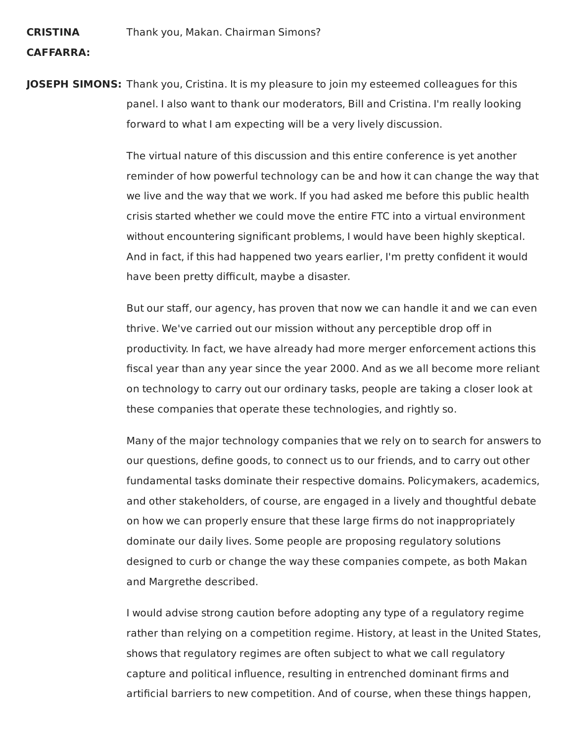## **CRISTINA**

## **CAFFARRA:**

 **JOSEPH SIMONS:** Thank you, Cristina. It is my pleasure to join my esteemed colleagues for this panel. I also want to thank our moderators, Bill and Cristina. I'm really looking forward to what I am expecting will be a very lively discussion.

> The virtual nature of this discussion and this entire conference is yet another reminder of how powerful technology can be and how it can change the way that we live and the way that we work. If you had asked me before this public health crisis started whether we could move the entire FTC into a virtual environment without encountering significant problems, I would have been highly skeptical. And in fact, if this had happened two years earlier, I'm pretty confident it would have been pretty difficult, maybe a disaster.

> But our staff, our agency, has proven that now we can handle it and we can even thrive. We've carried out our mission without any perceptible drop off in productivity. In fact, we have already had more merger enforcement actions this fiscal year than any year since the year 2000. And as we all become more reliant on technology to carry out our ordinary tasks, people are taking a closer look at these companies that operate these technologies, and rightly so.

> Many of the major technology companies that we rely on to search for answers to our questions, define goods, to connect us to our friends, and to carry out other fundamental tasks dominate their respective domains. Policymakers, academics, and other stakeholders, of course, are engaged in a lively and thoughtful debate on how we can properly ensure that these large firms do not inappropriately dominate our daily lives. Some people are proposing regulatory solutions designed to curb or change the way these companies compete, as both Makan and Margrethe described.

> I would advise strong caution before adopting any type of a regulatory regime rather than relying on a competition regime. History, at least in the United States, shows that regulatory regimes are often subject to what we call regulatory capture and political influence, resulting in entrenched dominant firms and artificial barriers to new competition. And of course, when these things happen,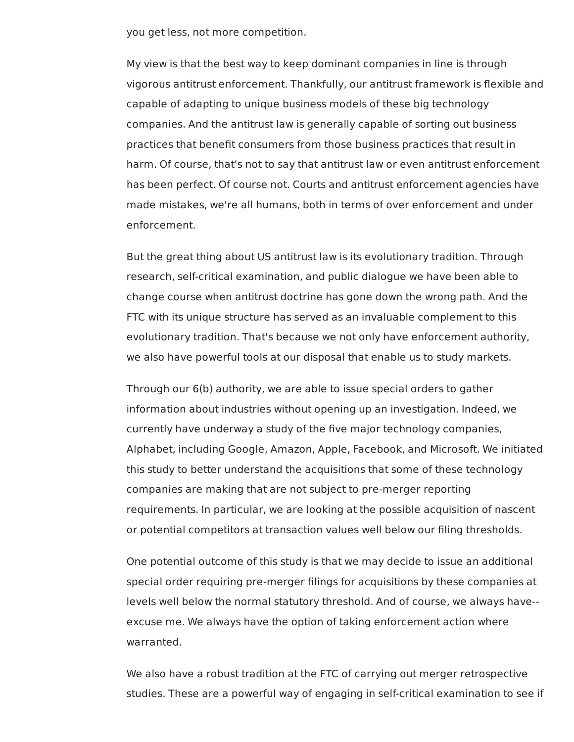you get less, not more competition.

 My view is that the best way to keep dominant companies in line is through vigorous antitrust enforcement. Thankfully, our antitrust framework is flexible and capable of adapting to unique business models of these big technology companies. And the antitrust law is generally capable of sorting out business practices that benefit consumers from those business practices that result in harm. Of course, that's not to say that antitrust law or even antitrust enforcement has been perfect. Of course not. Courts and antitrust enforcement agencies have made mistakes, we're all humans, both in terms of over enforcement and under enforcement.

 But the great thing about US antitrust law is its evolutionary tradition. Through research, self-critical examination, and public dialogue we have been able to change course when antitrust doctrine has gone down the wrong path. And the FTC with its unique structure has served as an invaluable complement to this evolutionary tradition. That's because we not only have enforcement authority, we also have powerful tools at our disposal that enable us to study markets.

 Through our 6(b) authority, we are able to issue special orders to gather information about industries without opening up an investigation. Indeed, we currently have underway a study of the five major technology companies, Alphabet, including Google, Amazon, Apple, Facebook, and Microsoft. We initiated this study to better understand the acquisitions that some of these technology companies are making that are not subject to pre-merger reporting requirements. In particular, we are looking at the possible acquisition of nascent or potential competitors at transaction values well below our filing thresholds.

 One potential outcome of this study is that we may decide to issue an additional special order requiring pre-merger filings for acquisitions by these companies at levels well below the normal statutory threshold. And of course, we always have-- excuse me. We always have the option of taking enforcement action where warranted.

 We also have a robust tradition at the FTC of carrying out merger retrospective studies. These are a powerful way of engaging in self-critical examination to see if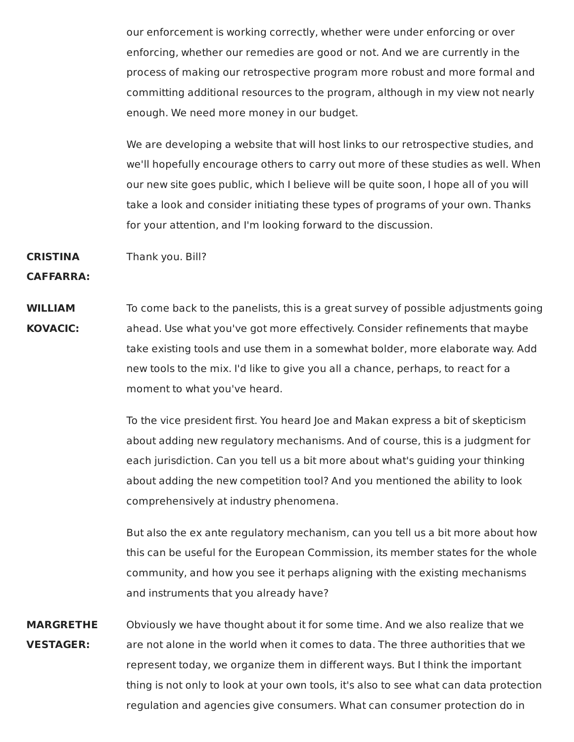our enforcement is working correctly, whether were under enforcing or over enforcing, whether our remedies are good or not. And we are currently in the process of making our retrospective program more robust and more formal and committing additional resources to the program, although in my view not nearly enough. We need more money in our budget.

We are developing a website that will host links to our retrospective studies, and we'll hopefully encourage others to carry out more of these studies as well. When our new site goes public, which I believe will be quite soon, I hope all of you will take a look and consider initiating these types of programs of your own. Thanks for your attention, and I'm looking forward to the discussion.

**CRISTINA** Thank you. Bill?

**CAFFARRA:**

**WILLIAM** To come back to the panelists, this is a great survey of possible adjustments going **KOVACIC:** ahead. Use what you've got more effectively. Consider refinements that maybe take existing tools and use them in a somewhat bolder, more elaborate way. Add new tools to the mix. I'd like to give you all a chance, perhaps, to react for a moment to what you've heard.

> To the vice president first. You heard Joe and Makan express a bit of skepticism about adding new regulatory mechanisms. And of course, this is a judgment for each jurisdiction. Can you tell us a bit more about what's guiding your thinking about adding the new competition tool? And you mentioned the ability to look comprehensively at industry phenomena.

But also the ex ante regulatory mechanism, can you tell us a bit more about how this can be useful for the European Commission, its member states for the whole community, and how you see it perhaps aligning with the existing mechanisms and instruments that you already have?

**MARGRETHE** Obviously we have thought about it for some time. And we also realize that we **VESTAGER:** are not alone in the world when it comes to data. The three authorities that we represent today, we organize them in different ways. But I think the important thing is not only to look at your own tools, it's also to see what can data protection regulation and agencies give consumers. What can consumer protection do in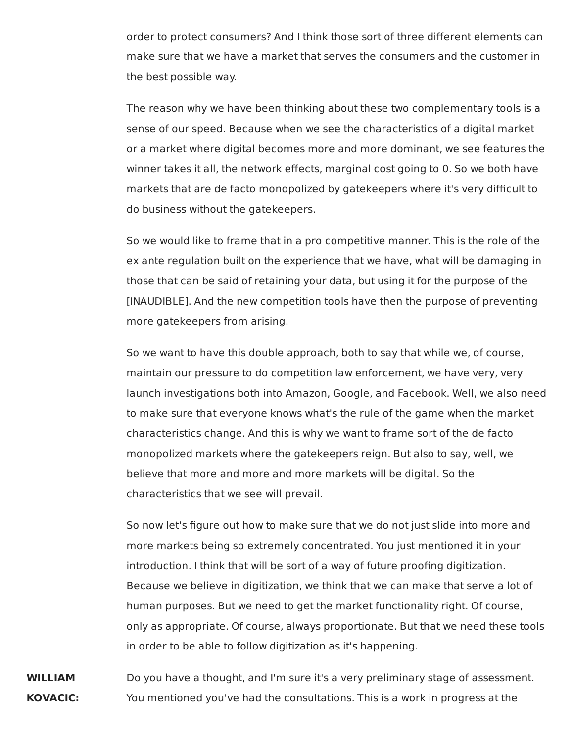order to protect consumers? And I think those sort of three different elements can make sure that we have a market that serves the consumers and the customer in the best possible way.

The reason why we have been thinking about these two complementary tools is a sense of our speed. Because when we see the characteristics of a digital market or a market where digital becomes more and more dominant, we see features the winner takes it all, the network effects, marginal cost going to 0. So we both have markets that are de facto monopolized by gatekeepers where it's very difficult to do business without the gatekeepers.

So we would like to frame that in a pro competitive manner. This is the role of the ex ante regulation built on the experience that we have, what will be damaging in those that can be said of retaining your data, but using it for the purpose of the [INAUDIBLE]. And the new competition tools have then the purpose of preventing more gatekeepers from arising.

So we want to have this double approach, both to say that while we, of course, maintain our pressure to do competition law enforcement, we have very, very launch investigations both into Amazon, Google, and Facebook. Well, we also need to make sure that everyone knows what's the rule of the game when the market characteristics change. And this is why we want to frame sort of the de facto monopolized markets where the gatekeepers reign. But also to say, well, we believe that more and more and more markets will be digital. So the characteristics that we see will prevail.

So now let's figure out how to make sure that we do not just slide into more and more markets being so extremely concentrated. You just mentioned it in your introduction. I think that will be sort of a way of future proofing digitization. Because we believe in digitization, we think that we can make that serve a lot of human purposes. But we need to get the market functionality right. Of course, only as appropriate. Of course, always proportionate. But that we need these tools in order to be able to follow digitization as it's happening.

**WILLIAM** Do you have a thought, and I'm sure it's a very preliminary stage of assessment. **KOVACIC:** You mentioned you've had the consultations. This is a work in progress at the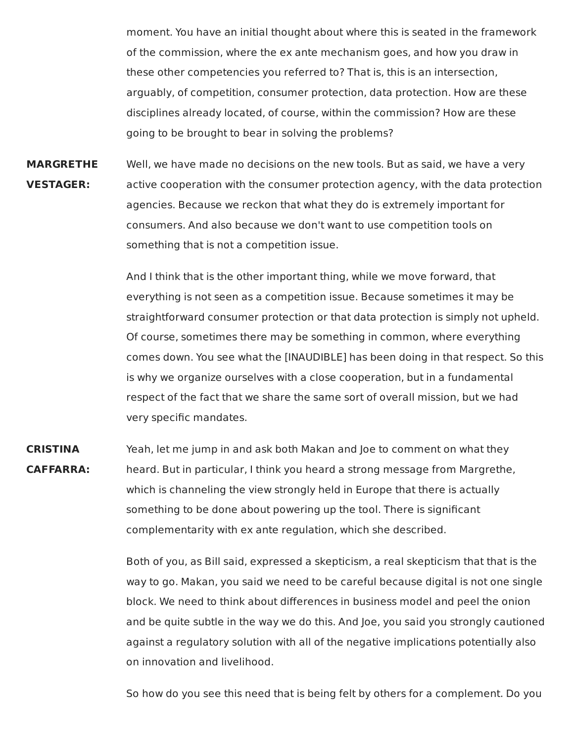moment. You have an initial thought about where this is seated in the framework of the commission, where the ex ante mechanism goes, and how you draw in these other competencies you referred to? That is, this is an intersection, arguably, of competition, consumer protection, data protection. How are these disciplines already located, of course, within the commission? How are these going to be brought to bear in solving the problems?

**MARGRETHE** Well, we have made no decisions on the new tools. But as said, we have a very **VESTAGER:** active cooperation with the consumer protection agency, with the data protection agencies. Because we reckon that what they do is extremely important for consumers. And also because we don't want to use competition tools on something that is not a competition issue.

> And I think that is the other important thing, while we move forward, that everything is not seen as a competition issue. Because sometimes it may be straightforward consumer protection or that data protection is simply not upheld. Of course, sometimes there may be something in common, where everything comes down. You see what the [INAUDIBLE] has been doing in that respect. So this is why we organize ourselves with a close cooperation, but in a fundamental respect of the fact that we share the same sort of overall mission, but we had very specific mandates.

**CRISTINA** Yeah, let me jump in and ask both Makan and Joe to comment on what they **CAFFARRA:** heard. But in particular, I think you heard a strong message from Margrethe, which is channeling the view strongly held in Europe that there is actually something to be done about powering up the tool. There is significant complementarity with ex ante regulation, which she described.

> Both of you, as Bill said, expressed a skepticism, a real skepticism that that is the way to go. Makan, you said we need to be careful because digital is not one single block. We need to think about differences in business model and peel the onion and be quite subtle in the way we do this. And Joe, you said you strongly cautioned against a regulatory solution with all of the negative implications potentially also on innovation and livelihood.

> So how do you see this need that is being felt by others for a complement. Do you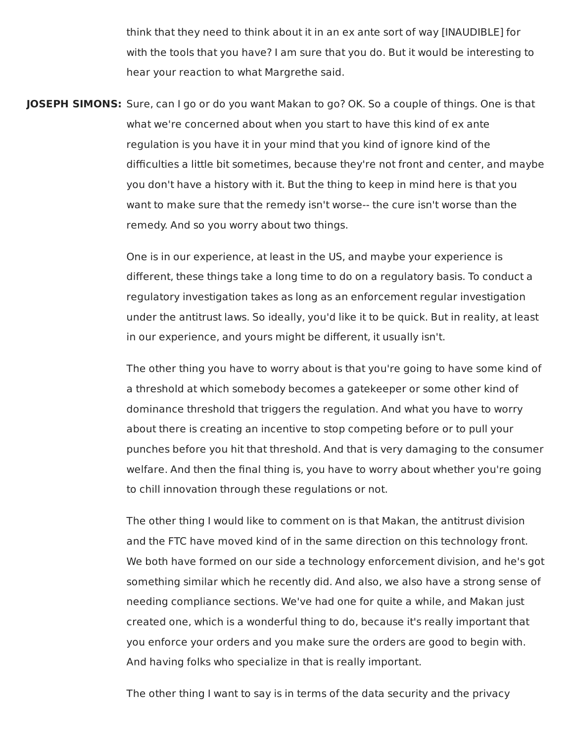think that they need to think about it in an ex ante sort of way [INAUDIBLE] for with the tools that you have? I am sure that you do. But it would be interesting to hear your reaction to what Margrethe said.

 **JOSEPH SIMONS:** Sure, can I go or do you want Makan to go? OK. So a couple of things. One is that what we're concerned about when you start to have this kind of ex ante regulation is you have it in your mind that you kind of ignore kind of the difficulties a little bit sometimes, because they're not front and center, and maybe you don't have a history with it. But the thing to keep in mind here is that you want to make sure that the remedy isn't worse-- the cure isn't worse than the remedy. And so you worry about two things.

> One is in our experience, at least in the US, and maybe your experience is different, these things take a long time to do on a regulatory basis. To conduct a regulatory investigation takes as long as an enforcement regular investigation under the antitrust laws. So ideally, you'd like it to be quick. But in reality, at least in our experience, and yours might be different, it usually isn't.

> The other thing you have to worry about is that you're going to have some kind of a threshold at which somebody becomes a gatekeeper or some other kind of dominance threshold that triggers the regulation. And what you have to worry about there is creating an incentive to stop competing before or to pull your punches before you hit that threshold. And that is very damaging to the consumer welfare. And then the final thing is, you have to worry about whether you're going to chill innovation through these regulations or not.

> The other thing I would like to comment on is that Makan, the antitrust division and the FTC have moved kind of in the same direction on this technology front. We both have formed on our side a technology enforcement division, and he's got something similar which he recently did. And also, we also have a strong sense of needing compliance sections. We've had one for quite a while, and Makan just created one, which is a wonderful thing to do, because it's really important that you enforce your orders and you make sure the orders are good to begin with. And having folks who specialize in that is really important.

The other thing I want to say is in terms of the data security and the privacy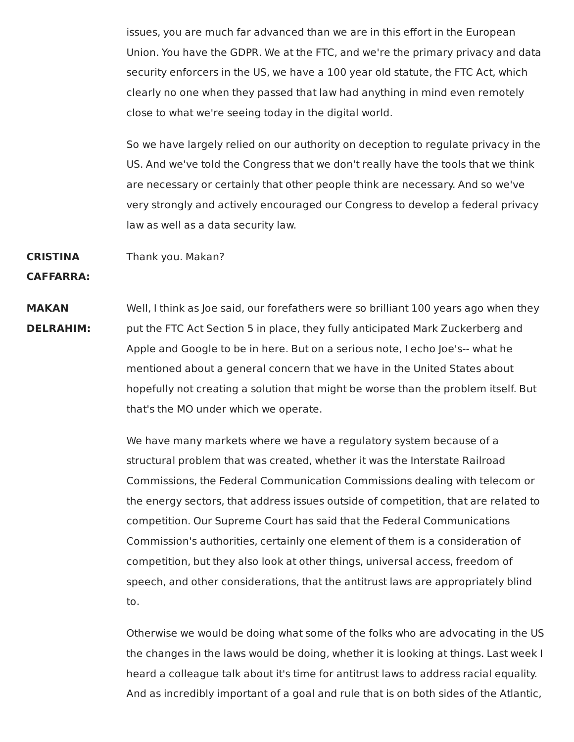issues, you are much far advanced than we are in this effort in the European Union. You have the GDPR. We at the FTC, and we're the primary privacy and data security enforcers in the US, we have a 100 year old statute, the FTC Act, which clearly no one when they passed that law had anything in mind even remotely close to what we're seeing today in the digital world.

So we have largely relied on our authority on deception to regulate privacy in the US. And we've told the Congress that we don't really have the tools that we think are necessary or certainly that other people think are necessary. And so we've very strongly and actively encouraged our Congress to develop a federal privacy law as well as a data security law.

**CRISTINA** Thank you. Makan?

**CAFFARRA:**

**MAKAN** Well, I think as Joe said, our forefathers were so brilliant 100 years ago when they **DELRAHIM:** put the FTC Act Section 5 in place, they fully anticipated Mark Zuckerberg and Apple and Google to be in here. But on a serious note, I echo Joe's-- what he mentioned about a general concern that we have in the United States about hopefully not creating a solution that might be worse than the problem itself. But that's the MO under which we operate.

> We have many markets where we have a regulatory system because of a structural problem that was created, whether it was the Interstate Railroad Commissions, the Federal Communication Commissions dealing with telecom or the energy sectors, that address issues outside of competition, that are related to competition. Our Supreme Court has said that the Federal Communications Commission's authorities, certainly one element of them is a consideration of competition, but they also look at other things, universal access, freedom of speech, and other considerations, that the antitrust laws are appropriately blind to.

Otherwise we would be doing what some of the folks who are advocating in the US the changes in the laws would be doing, whether it is looking at things. Last week I heard a colleague talk about it's time for antitrust laws to address racial equality. And as incredibly important of a goal and rule that is on both sides of the Atlantic,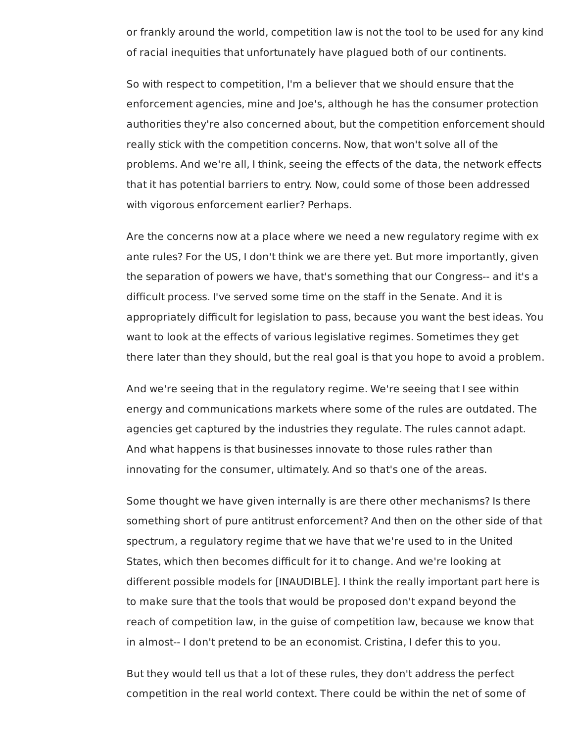or frankly around the world, competition law is not the tool to be used for any kind of racial inequities that unfortunately have plagued both of our continents.

 So with respect to competition, I'm a believer that we should ensure that the enforcement agencies, mine and Joe's, although he has the consumer protection authorities they're also concerned about, but the competition enforcement should really stick with the competition concerns. Now, that won't solve all of the problems. And we're all, I think, seeing the effects of the data, the network effects that it has potential barriers to entry. Now, could some of those been addressed with vigorous enforcement earlier? Perhaps.

 Are the concerns now at a place where we need a new regulatory regime with ex ante rules? For the US, I don't think we are there yet. But more importantly, given the separation of powers we have, that's something that our Congress-- and it's a difficult process. I've served some time on the staff in the Senate. And it is appropriately difficult for legislation to pass, because you want the best ideas. You want to look at the effects of various legislative regimes. Sometimes they get there later than they should, but the real goal is that you hope to avoid a problem.

 And we're seeing that in the regulatory regime. We're seeing that I see within energy and communications markets where some of the rules are outdated. The agencies get captured by the industries they regulate. The rules cannot adapt. And what happens is that businesses innovate to those rules rather than innovating for the consumer, ultimately. And so that's one of the areas.

 Some thought we have given internally is are there other mechanisms? Is there something short of pure antitrust enforcement? And then on the other side of that spectrum, a regulatory regime that we have that we're used to in the United States, which then becomes difficult for it to change. And we're looking at different possible models for [INAUDIBLE]. I think the really important part here is to make sure that the tools that would be proposed don't expand beyond the reach of competition law, in the guise of competition law, because we know that in almost-- I don't pretend to be an economist. Cristina, I defer this to you.

 But they would tell us that a lot of these rules, they don't address the perfect competition in the real world context. There could be within the net of some of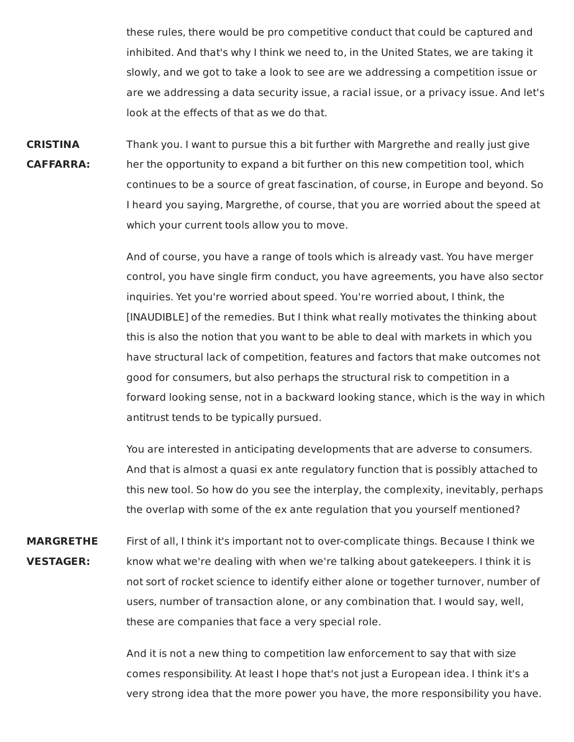these rules, there would be pro competitive conduct that could be captured and inhibited. And that's why I think we need to, in the United States, we are taking it slowly, and we got to take a look to see are we addressing a competition issue or are we addressing a data security issue, a racial issue, or a privacy issue. And let's look at the effects of that as we do that.

**CRISTINA** Thank you. I want to pursue this a bit further with Margrethe and really just give **CAFFARRA:** her the opportunity to expand a bit further on this new competition tool, which continues to be a source of great fascination, of course, in Europe and beyond. So I heard you saying, Margrethe, of course, that you are worried about the speed at which your current tools allow you to move.

> And of course, you have a range of tools which is already vast. You have merger control, you have single firm conduct, you have agreements, you have also sector inquiries. Yet you're worried about speed. You're worried about, I think, the [INAUDIBLE] of the remedies. But I think what really motivates the thinking about this is also the notion that you want to be able to deal with markets in which you have structural lack of competition, features and factors that make outcomes not good for consumers, but also perhaps the structural risk to competition in a forward looking sense, not in a backward looking stance, which is the way in which antitrust tends to be typically pursued.

> You are interested in anticipating developments that are adverse to consumers. And that is almost a quasi ex ante regulatory function that is possibly attached to this new tool. So how do you see the interplay, the complexity, inevitably, perhaps the overlap with some of the ex ante regulation that you yourself mentioned?

**MARGRETHE** First of all, I think it's important not to over-complicate things. Because I think we **VESTAGER:** know what we're dealing with when we're talking about gatekeepers. I think it is not sort of rocket science to identify either alone or together turnover, number of users, number of transaction alone, or any combination that. I would say, well, these are companies that face a very special role.

> And it is not a new thing to competition law enforcement to say that with size comes responsibility. At least I hope that's not just a European idea. I think it's a very strong idea that the more power you have, the more responsibility you have.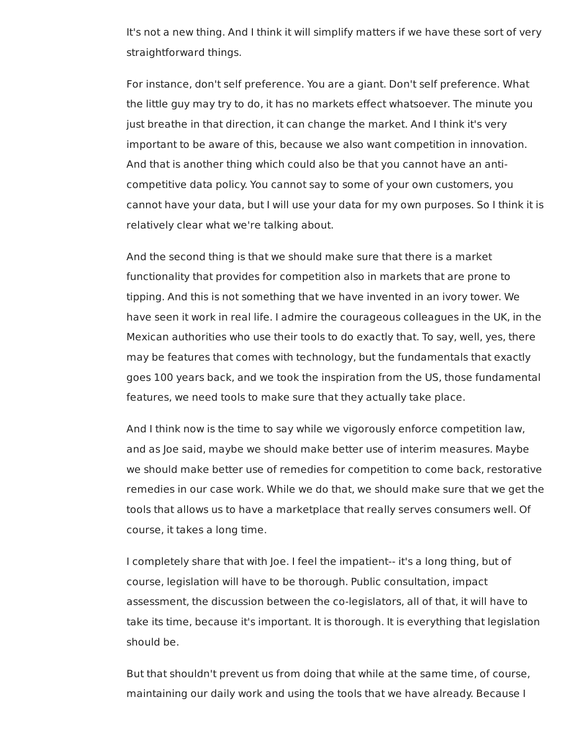It's not a new thing. And I think it will simplify matters if we have these sort of very straightforward things.

 For instance, don't self preference. You are a giant. Don't self preference. What the little guy may try to do, it has no markets effect whatsoever. The minute you just breathe in that direction, it can change the market. And I think it's very important to be aware of this, because we also want competition in innovation. And that is another thing which could also be that you cannot have an anti- competitive data policy. You cannot say to some of your own customers, you cannot have your data, but I will use your data for my own purposes. So I think it is relatively clear what we're talking about.

 And the second thing is that we should make sure that there is a market functionality that provides for competition also in markets that are prone to tipping. And this is not something that we have invented in an ivory tower. We have seen it work in real life. I admire the courageous colleagues in the UK, in the Mexican authorities who use their tools to do exactly that. To say, well, yes, there may be features that comes with technology, but the fundamentals that exactly goes 100 years back, and we took the inspiration from the US, those fundamental features, we need tools to make sure that they actually take place.

 And I think now is the time to say while we vigorously enforce competition law, and as Joe said, maybe we should make better use of interim measures. Maybe we should make better use of remedies for competition to come back, restorative remedies in our case work. While we do that, we should make sure that we get the tools that allows us to have a marketplace that really serves consumers well. Of course, it takes a long time.

 I completely share that with Joe. I feel the impatient-- it's a long thing, but of course, legislation will have to be thorough. Public consultation, impact assessment, the discussion between the co-legislators, all of that, it will have to take its time, because it's important. It is thorough. It is everything that legislation should be.

 But that shouldn't prevent us from doing that while at the same time, of course, maintaining our daily work and using the tools that we have already. Because I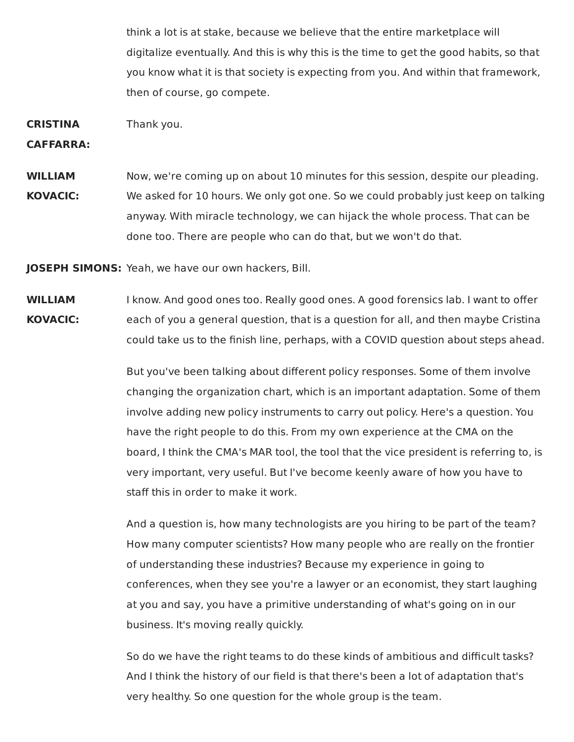think a lot is at stake, because we believe that the entire marketplace will digitalize eventually. And this is why this is the time to get the good habits, so that you know what it is that society is expecting from you. And within that framework, then of course, go compete.

**CRISTINA** Thank you.

**CAFFARRA:**

**WILLIAM** Now, we're coming up on about 10 minutes for this session, despite our pleading. **KOVACIC:** We asked for 10 hours. We only got one. So we could probably just keep on talking anyway. With miracle technology, we can hijack the whole process. That can be done too. There are people who can do that, but we won't do that.

**JOSEPH SIMONS:** Yeah, we have our own hackers, Bill.

**WILLIAM** I know. And good ones too. Really good ones. A good forensics lab. I want to offer **KOVACIC:** each of you a general question, that is a question for all, and then maybe Cristina could take us to the finish line, perhaps, with a COVID question about steps ahead.

> But you've been talking about different policy responses. Some of them involve changing the organization chart, which is an important adaptation. Some of them involve adding new policy instruments to carry out policy. Here's a question. You have the right people to do this. From my own experience at the CMA on the board, I think the CMA's MAR tool, the tool that the vice president is referring to, is very important, very useful. But I've become keenly aware of how you have to staff this in order to make it work.

And a question is, how many technologists are you hiring to be part of the team? How many computer scientists? How many people who are really on the frontier of understanding these industries? Because my experience in going to conferences, when they see you're a lawyer or an economist, they start laughing at you and say, you have a primitive understanding of what's going on in our business. It's moving really quickly.

So do we have the right teams to do these kinds of ambitious and difficult tasks? And I think the history of our field is that there's been a lot of adaptation that's very healthy. So one question for the whole group is the team.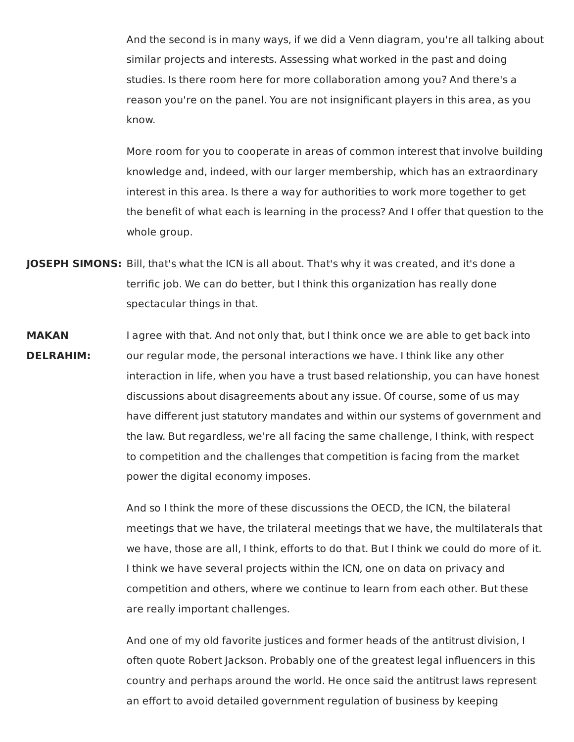And the second is in many ways, if we did a Venn diagram, you're all talking about similar projects and interests. Assessing what worked in the past and doing studies. Is there room here for more collaboration among you? And there's a reason you're on the panel. You are not insignificant players in this area, as you know.

More room for you to cooperate in areas of common interest that involve building knowledge and, indeed, with our larger membership, which has an extraordinary interest in this area. Is there a way for authorities to work more together to get the benefit of what each is learning in the process? And I offer that question to the whole group.

- **JOSEPH SIMONS:** Bill, that's what the ICN is all about. That's why it was created, and it's done a terrific job. We can do better, but I think this organization has really done spectacular things in that.
- **MAKAN** I agree with that. And not only that, but I think once we are able to get back into **DELRAHIM:** our regular mode, the personal interactions we have. I think like any other interaction in life, when you have a trust based relationship, you can have honest discussions about disagreements about any issue. Of course, some of us may have different just statutory mandates and within our systems of government and the law. But regardless, we're all facing the same challenge, I think, with respect to competition and the challenges that competition is facing from the market power the digital economy imposes.

And so I think the more of these discussions the OECD, the ICN, the bilateral meetings that we have, the trilateral meetings that we have, the multilaterals that we have, those are all, I think, efforts to do that. But I think we could do more of it. I think we have several projects within the ICN, one on data on privacy and competition and others, where we continue to learn from each other. But these are really important challenges.

And one of my old favorite justices and former heads of the antitrust division, I often quote Robert Jackson. Probably one of the greatest legal influencers in this country and perhaps around the world. He once said the antitrust laws represent an effort to avoid detailed government regulation of business by keeping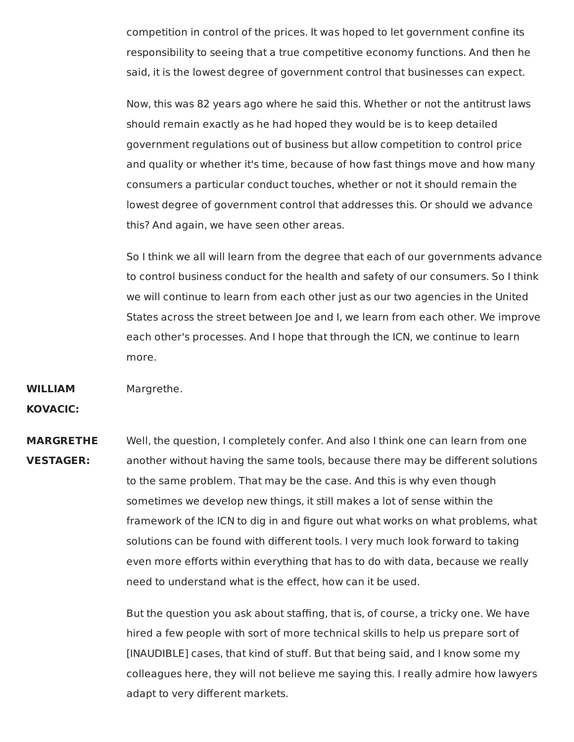competition in control of the prices. It was hoped to let government confine its responsibility to seeing that a true competitive economy functions. And then he said, it is the lowest degree of government control that businesses can expect.

Now, this was 82 years ago where he said this. Whether or not the antitrust laws should remain exactly as he had hoped they would be is to keep detailed government regulations out of business but allow competition to control price and quality or whether it's time, because of how fast things move and how many consumers a particular conduct touches, whether or not it should remain the lowest degree of government control that addresses this. Or should we advance this? And again, we have seen other areas.

So I think we all will learn from the degree that each of our governments advance to control business conduct for the health and safety of our consumers. So I think we will continue to learn from each other just as our two agencies in the United States across the street between Joe and I, we learn from each other. We improve each other's processes. And I hope that through the ICN, we continue to learn more.

**WILLIAM** Margrethe.

**KOVACIC:**

**MARGRETHE** Well, the question, I completely confer. And also I think one can learn from one **VESTAGER:** another without having the same tools, because there may be different solutions to the same problem. That may be the case. And this is why even though sometimes we develop new things, it still makes a lot of sense within the framework of the ICN to dig in and figure out what works on what problems, what solutions can be found with different tools. I very much look forward to taking even more efforts within everything that has to do with data, because we really need to understand what is the effect, how can it be used.

> But the question you ask about staffing, that is, of course, a tricky one. We have hired a few people with sort of more technical skills to help us prepare sort of [INAUDIBLE] cases, that kind of stuff. But that being said, and I know some my colleagues here, they will not believe me saying this. I really admire how lawyers adapt to very different markets.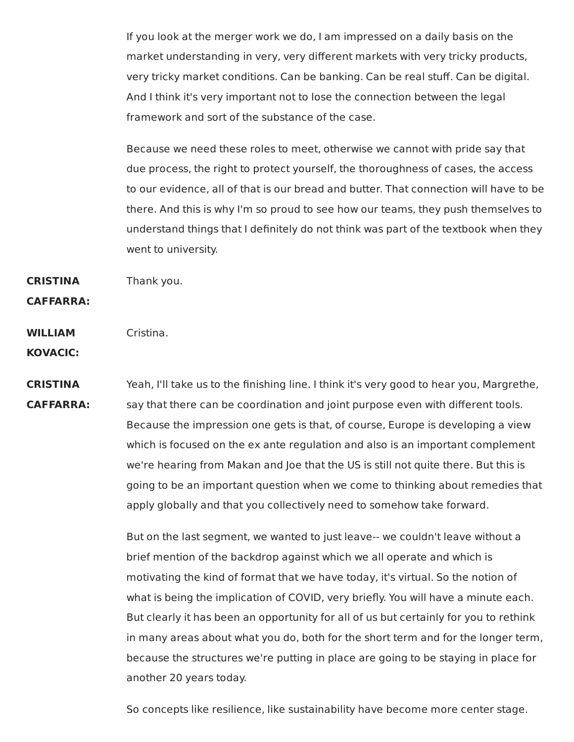If you look at the merger work we do, I am impressed on a daily basis on the market understanding in very, very different markets with very tricky products, very tricky market conditions. Can be banking. Can be real stuff. Can be digital. And I think it's very important not to lose the connection between the legal framework and sort of the substance of the case.

Because we need these roles to meet, otherwise we cannot with pride say that due process, the right to protect yourself, the thoroughness of cases, the access to our evidence, all of that is our bread and butter. That connection will have to be there. And this is why I'm so proud to see how our teams, they push themselves to understand things that I definitely do not think was part of the textbook when they went to university.

**CRISTINA** Thank you.

**CAFFARRA:**

**WILLIAM** Cristina.

**KOVACIC:**

**CRISTINA** Yeah, I'll take us to the finishing line. I think it's very good to hear you, Margrethe, **CAFFARRA:** say that there can be coordination and joint purpose even with different tools. Because the impression one gets is that, of course, Europe is developing a view which is focused on the ex ante regulation and also is an important complement we're hearing from Makan and Joe that the US is still not quite there. But this is going to be an important question when we come to thinking about remedies that apply globally and that you collectively need to somehow take forward.

> But on the last segment, we wanted to just leave-- we couldn't leave without a brief mention of the backdrop against which we all operate and which is motivating the kind of format that we have today, it's virtual. So the notion of what is being the implication of COVID, very briefly. You will have a minute each. But clearly it has been an opportunity for all of us but certainly for you to rethink in many areas about what you do, both for the short term and for the longer term, because the structures we're putting in place are going to be staying in place for another 20 years today.

So concepts like resilience, like sustainability have become more center stage.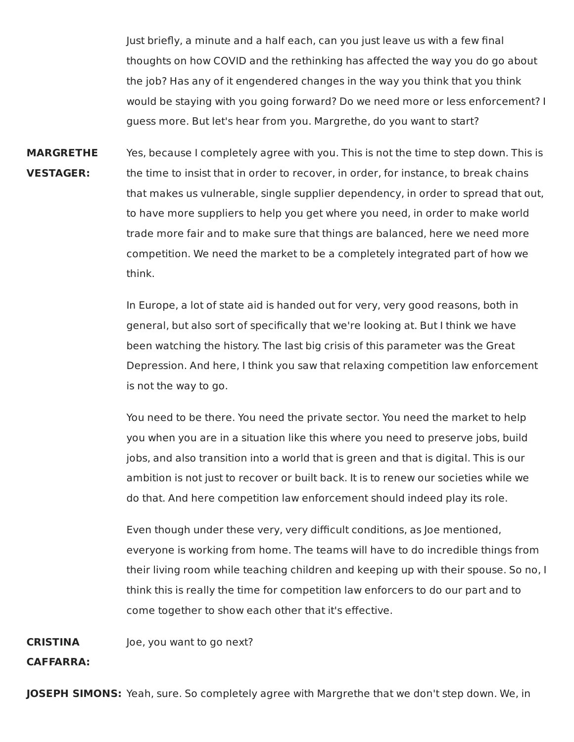Just briefly, a minute and a half each, can you just leave us with a few final thoughts on how COVID and the rethinking has affected the way you do go about the job? Has any of it engendered changes in the way you think that you think would be staying with you going forward? Do we need more or less enforcement? I guess more. But let's hear from you. Margrethe, do you want to start?

**MARGRETHE** Yes, because I completely agree with you. This is not the time to step down. This is **VESTAGER:** the time to insist that in order to recover, in order, for instance, to break chains that makes us vulnerable, single supplier dependency, in order to spread that out, to have more suppliers to help you get where you need, in order to make world trade more fair and to make sure that things are balanced, here we need more competition. We need the market to be a completely integrated part of how we think.

> In Europe, a lot of state aid is handed out for very, very good reasons, both in general, but also sort of specifically that we're looking at. But I think we have been watching the history. The last big crisis of this parameter was the Great Depression. And here, I think you saw that relaxing competition law enforcement is not the way to go.

You need to be there. You need the private sector. You need the market to help you when you are in a situation like this where you need to preserve jobs, build jobs, and also transition into a world that is green and that is digital. This is our ambition is not just to recover or built back. It is to renew our societies while we do that. And here competition law enforcement should indeed play its role.

Even though under these very, very difficult conditions, as Joe mentioned, everyone is working from home. The teams will have to do incredible things from their living room while teaching children and keeping up with their spouse. So no, I think this is really the time for competition law enforcers to do our part and to come together to show each other that it's effective.

**CRISTINA** Joe, you want to go next?

## **CAFFARRA:**

**JOSEPH SIMONS:** Yeah, sure. So completely agree with Margrethe that we don't step down. We, in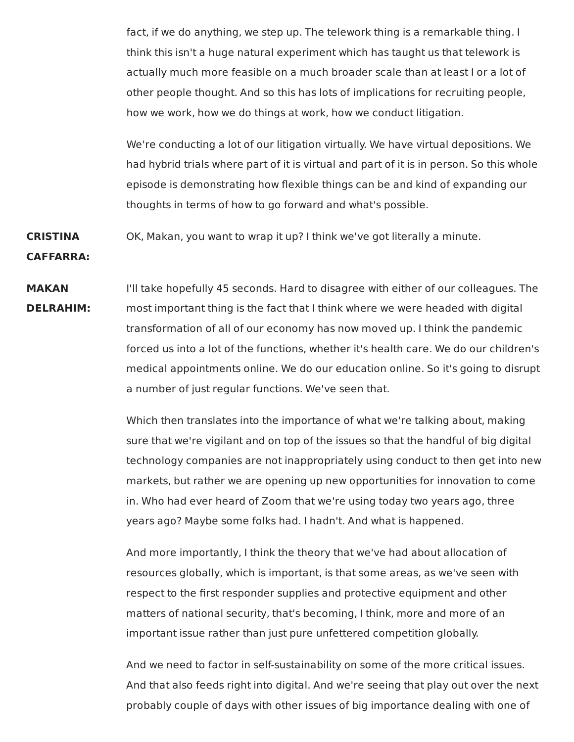fact, if we do anything, we step up. The telework thing is a remarkable thing. I think this isn't a huge natural experiment which has taught us that telework is actually much more feasible on a much broader scale than at least I or a lot of other people thought. And so this has lots of implications for recruiting people, how we work, how we do things at work, how we conduct litigation.

We're conducting a lot of our litigation virtually. We have virtual depositions. We had hybrid trials where part of it is virtual and part of it is in person. So this whole episode is demonstrating how flexible things can be and kind of expanding our thoughts in terms of how to go forward and what's possible.

**CRISTINA** OK, Makan, you want to wrap it up? I think we've got literally a minute.

**CAFFARRA:**

**MAKAN** I'll take hopefully 45 seconds. Hard to disagree with either of our colleagues. The **DELRAHIM:** most important thing is the fact that I think where we were headed with digital transformation of all of our economy has now moved up. I think the pandemic forced us into a lot of the functions, whether it's health care. We do our children's medical appointments online. We do our education online. So it's going to disrupt a number of just regular functions. We've seen that.

> Which then translates into the importance of what we're talking about, making sure that we're vigilant and on top of the issues so that the handful of big digital technology companies are not inappropriately using conduct to then get into new markets, but rather we are opening up new opportunities for innovation to come in. Who had ever heard of Zoom that we're using today two years ago, three years ago? Maybe some folks had. I hadn't. And what is happened.

And more importantly, I think the theory that we've had about allocation of resources globally, which is important, is that some areas, as we've seen with respect to the first responder supplies and protective equipment and other matters of national security, that's becoming, I think, more and more of an important issue rather than just pure unfettered competition globally.

And we need to factor in self-sustainability on some of the more critical issues. And that also feeds right into digital. And we're seeing that play out over the next probably couple of days with other issues of big importance dealing with one of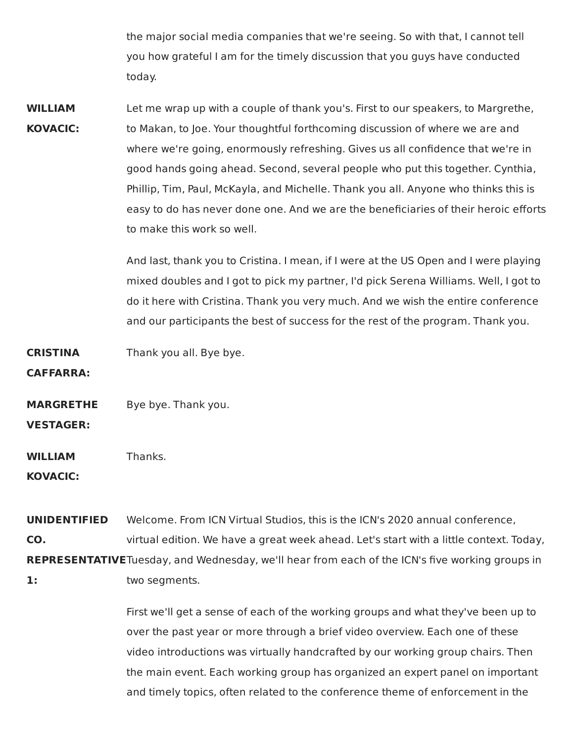the major social media companies that we're seeing. So with that, I cannot tell you how grateful I am for the timely discussion that you guys have conducted today.

**WILLIAM** Let me wrap up with a couple of thank you's. First to our speakers, to Margrethe, **KOVACIC:** to Makan, to Joe. Your thoughtful forthcoming discussion of where we are and where we're going, enormously refreshing. Gives us all confidence that we're in good hands going ahead. Second, several people who put this together. Cynthia, Phillip, Tim, Paul, McKayla, and Michelle. Thank you all. Anyone who thinks this is easy to do has never done one. And we are the beneficiaries of their heroic efforts to make this work so well.

> And last, thank you to Cristina. I mean, if I were at the US Open and I were playing mixed doubles and I got to pick my partner, I'd pick Serena Williams. Well, I got to do it here with Cristina. Thank you very much. And we wish the entire conference and our participants the best of success for the rest of the program. Thank you.

**CRISTINA** Thank you all. Bye bye.

**CAFFARRA:**

**MARGRETHE** Bye bye. Thank you.

**VESTAGER:**

**WILLIAM** Thanks.

**KOVACIC:**

**UNIDENTIFIED** Welcome. From ICN Virtual Studios, this is the ICN's 2020 annual conference, **CO.** virtual edition. We have a great week ahead. Let's start with a little context. Today, **REPRESENTATIVE**Tuesday, and Wednesday, we'll hear from each of the ICN's five working groups in

**1:** two segments.

First we'll get a sense of each of the working groups and what they've been up to over the past year or more through a brief video overview. Each one of these video introductions was virtually handcrafted by our working group chairs. Then the main event. Each working group has organized an expert panel on important and timely topics, often related to the conference theme of enforcement in the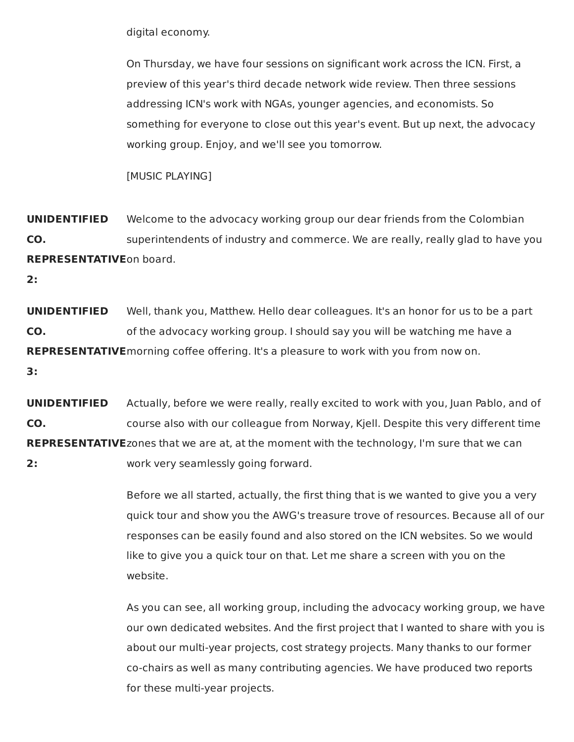digital economy.

On Thursday, we have four sessions on significant work across the ICN. First, a preview of this year's third decade network wide review. Then three sessions addressing ICN's work with NGAs, younger agencies, and economists. So something for everyone to close out this year's event. But up next, the advocacy working group. Enjoy, and we'll see you tomorrow.

[MUSIC PLAYING]

**UNIDENTIFIED** Welcome to the advocacy working group our dear friends from the Colombian **CO.** superintendents of industry and commerce. We are really, really glad to have you **REPRESENTATIVE**on board.

**2:**

**UNIDENTIFIED** Well, thank you, Matthew. Hello dear colleagues. It's an honor for us to be a part **CO. co.** of the advocacy working group. I should say you will be watching me have a **REPRESENTATIVE**morning coffee offering. It's a pleasure to work with you from now on.

**3:**

**UNIDENTIFIED** Actually, before we were really, really excited to work with you, Juan Pablo, and of **CO.** course also with our colleague from Norway, Kjell. Despite this very different time **REPRESENTATIVE**zones that we are at, at the moment with the technology, I'm sure that we can **2:** work very seamlessly going forward.

> Before we all started, actually, the first thing that is we wanted to give you a very quick tour and show you the AWG's treasure trove of resources. Because all of our responses can be easily found and also stored on the ICN websites. So we would like to give you a quick tour on that. Let me share a screen with you on the website.

> As you can see, all working group, including the advocacy working group, we have our own dedicated websites. And the first project that I wanted to share with you is about our multi-year projects, cost strategy projects. Many thanks to our former co-chairs as well as many contributing agencies. We have produced two reports for these multi-year projects.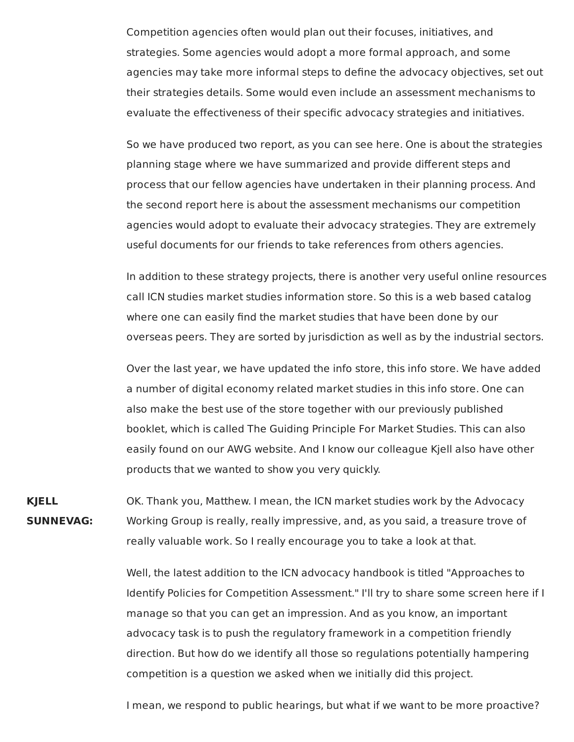Competition agencies often would plan out their focuses, initiatives, and strategies. Some agencies would adopt a more formal approach, and some agencies may take more informal steps to define the advocacy objectives, set out their strategies details. Some would even include an assessment mechanisms to evaluate the effectiveness of their specific advocacy strategies and initiatives.

So we have produced two report, as you can see here. One is about the strategies planning stage where we have summarized and provide different steps and process that our fellow agencies have undertaken in their planning process. And the second report here is about the assessment mechanisms our competition agencies would adopt to evaluate their advocacy strategies. They are extremely useful documents for our friends to take references from others agencies.

In addition to these strategy projects, there is another very useful online resources call ICN studies market studies information store. So this is a web based catalog where one can easily find the market studies that have been done by our overseas peers. They are sorted by jurisdiction as well as by the industrial sectors.

Over the last year, we have updated the info store, this info store. We have added a number of digital economy related market studies in this info store. One can also make the best use of the store together with our previously published booklet, which is called The Guiding Principle For Market Studies. This can also easily found on our AWG website. And I know our colleague Kjell also have other products that we wanted to show you very quickly.

**KJELL** OK. Thank you, Matthew. I mean, the ICN market studies work by the Advocacy **SUNNEVAG:** Working Group is really, really impressive, and, as you said, a treasure trove of really valuable work. So I really encourage you to take a look at that.

> Well, the latest addition to the ICN advocacy handbook is titled "Approaches to Identify Policies for Competition Assessment." I'll try to share some screen here if I manage so that you can get an impression. And as you know, an important advocacy task is to push the regulatory framework in a competition friendly direction. But how do we identify all those so regulations potentially hampering competition is a question we asked when we initially did this project.

I mean, we respond to public hearings, but what if we want to be more proactive?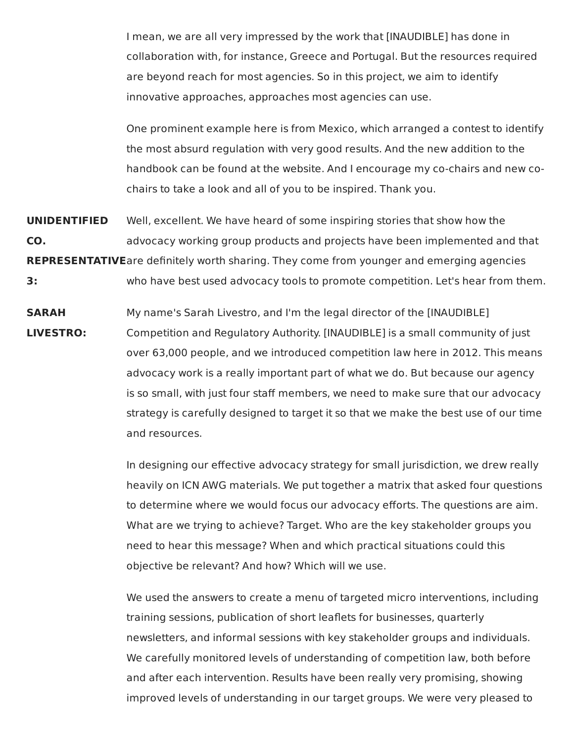I mean, we are all very impressed by the work that [INAUDIBLE] has done in collaboration with, for instance, Greece and Portugal. But the resources required are beyond reach for most agencies. So in this project, we aim to identify innovative approaches, approaches most agencies can use.

One prominent example here is from Mexico, which arranged a contest to identify the most absurd regulation with very good results. And the new addition to the handbook can be found at the website. And I encourage my co-chairs and new cochairs to take a look and all of you to be inspired. Thank you.

**UNIDENTIFIED** Well, excellent. We have heard of some inspiring stories that show how the **CO.** advocacy working group products and projects have been implemented and that **REPRESENTATIVE**are definitely worth sharing. They come from younger and emerging agencies

**3:** who have best used advocacy tools to promote competition. Let's hear from them.

**SARAH** My name's Sarah Livestro, and I'm the legal director of the [INAUDIBLE] **LIVESTRO:** Competition and Regulatory Authority. [INAUDIBLE] is a small community of just over 63,000 people, and we introduced competition law here in 2012. This means advocacy work is a really important part of what we do. But because our agency is so small, with just four staff members, we need to make sure that our advocacy strategy is carefully designed to target it so that we make the best use of our time and resources.

> In designing our effective advocacy strategy for small jurisdiction, we drew really heavily on ICN AWG materials. We put together a matrix that asked four questions to determine where we would focus our advocacy efforts. The questions are aim. What are we trying to achieve? Target. Who are the key stakeholder groups you need to hear this message? When and which practical situations could this objective be relevant? And how? Which will we use.

We used the answers to create a menu of targeted micro interventions, including training sessions, publication of short leaflets for businesses, quarterly newsletters, and informal sessions with key stakeholder groups and individuals. We carefully monitored levels of understanding of competition law, both before and after each intervention. Results have been really very promising, showing improved levels of understanding in our target groups. We were very pleased to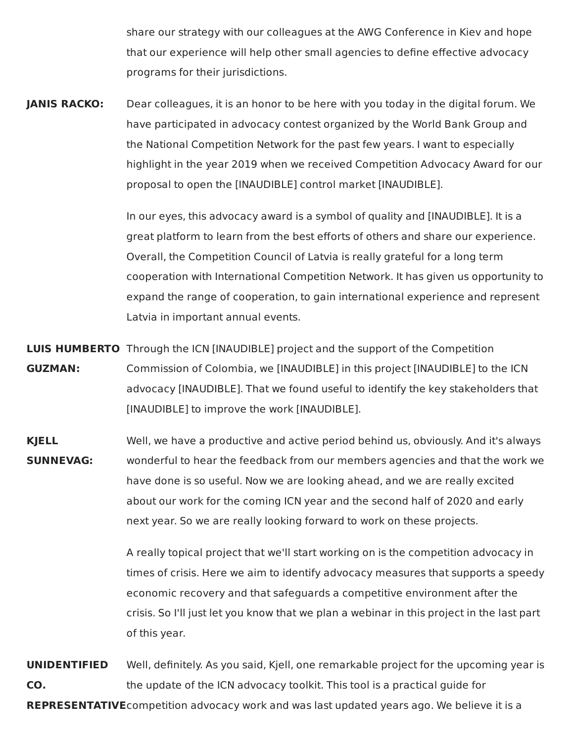share our strategy with our colleagues at the AWG Conference in Kiev and hope that our experience will help other small agencies to define effective advocacy programs for their jurisdictions.

 **JANIS RACKO:** Dear colleagues, it is an honor to be here with you today in the digital forum. We have participated in advocacy contest organized by the World Bank Group and the National Competition Network for the past few years. I want to especially highlight in the year 2019 when we received Competition Advocacy Award for our proposal to open the [INAUDIBLE] control market [INAUDIBLE].

> In our eyes, this advocacy award is a symbol of quality and [INAUDIBLE]. It is a great platform to learn from the best efforts of others and share our experience. Overall, the Competition Council of Latvia is really grateful for a long term cooperation with International Competition Network. It has given us opportunity to expand the range of cooperation, to gain international experience and represent Latvia in important annual events.

 **LUIS HUMBERTO** Through the ICN [INAUDIBLE] project and the support of the Competition **GUZMAN:** Commission of Colombia, we [INAUDIBLE] in this project [INAUDIBLE] to the ICN advocacy [INAUDIBLE]. That we found useful to identify the key stakeholders that [INAUDIBLE] to improve the work [INAUDIBLE].

 **KJELL** Well, we have a productive and active period behind us, obviously. And it's always **SUNNEVAG:** wonderful to hear the feedback from our members agencies and that the work we have done is so useful. Now we are looking ahead, and we are really excited about our work for the coming ICN year and the second half of 2020 and early next year. So we are really looking forward to work on these projects.

> A really topical project that we'll start working on is the competition advocacy in times of crisis. Here we aim to identify advocacy measures that supports a speedy economic recovery and that safeguards a competitive environment after the crisis. So I'll just let you know that we plan a webinar in this project in the last part of this year.

 **UNIDENTIFIED** Well, definitely. As you said, Kjell, one remarkable project for the upcoming year is **CO.** the update of the ICN advocacy toolkit. This tool is a practical guide for **REPRESENTATIVE**competition advocacy work and was last updated years ago. We believe it is a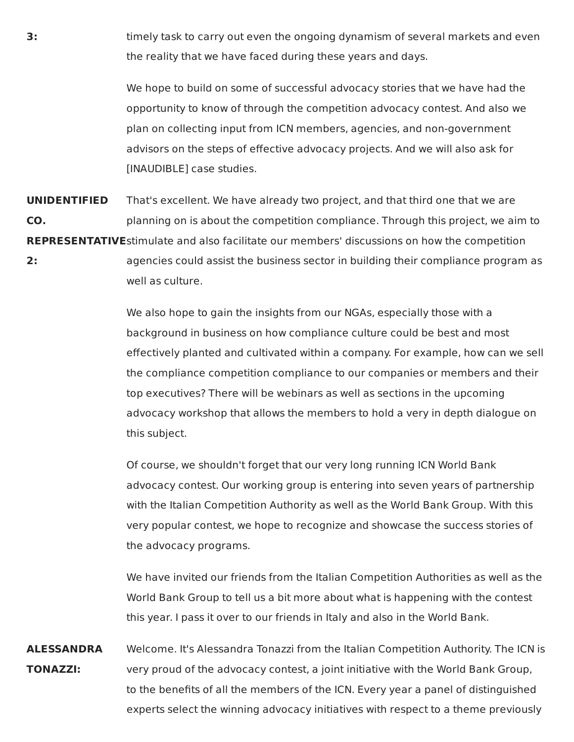**3:** timely task to carry out even the ongoing dynamism of several markets and even the reality that we have faced during these years and days.

> We hope to build on some of successful advocacy stories that we have had the opportunity to know of through the competition advocacy contest. And also we plan on collecting input from ICN members, agencies, and non-government advisors on the steps of effective advocacy projects. And we will also ask for [INAUDIBLE] case studies.

 **UNIDENTIFIED** That's excellent. We have already two project, and that third one that we are **CO.** planning on is about the competition compliance. Through this project, we aim to **REPRESENTATIVE**stimulate and also facilitate our members' discussions on how the competition **2:** agencies could assist the business sector in building their compliance program as

well as culture.

 We also hope to gain the insights from our NGAs, especially those with a background in business on how compliance culture could be best and most effectively planted and cultivated within a company. For example, how can we sell the compliance competition compliance to our companies or members and their top executives? There will be webinars as well as sections in the upcoming advocacy workshop that allows the members to hold a very in depth dialogue on this subject.

 Of course, we shouldn't forget that our very long running ICN World Bank advocacy contest. Our working group is entering into seven years of partnership with the Italian Competition Authority as well as the World Bank Group. With this very popular contest, we hope to recognize and showcase the success stories of the advocacy programs.

 We have invited our friends from the Italian Competition Authorities as well as the World Bank Group to tell us a bit more about what is happening with the contest this year. I pass it over to our friends in Italy and also in the World Bank.

 **ALESSANDRA** Welcome. It's Alessandra Tonazzi from the Italian Competition Authority. The ICN is **TONAZZI:** very proud of the advocacy contest, a joint initiative with the World Bank Group, to the benefits of all the members of the ICN. Every year a panel of distinguished experts select the winning advocacy initiatives with respect to a theme previously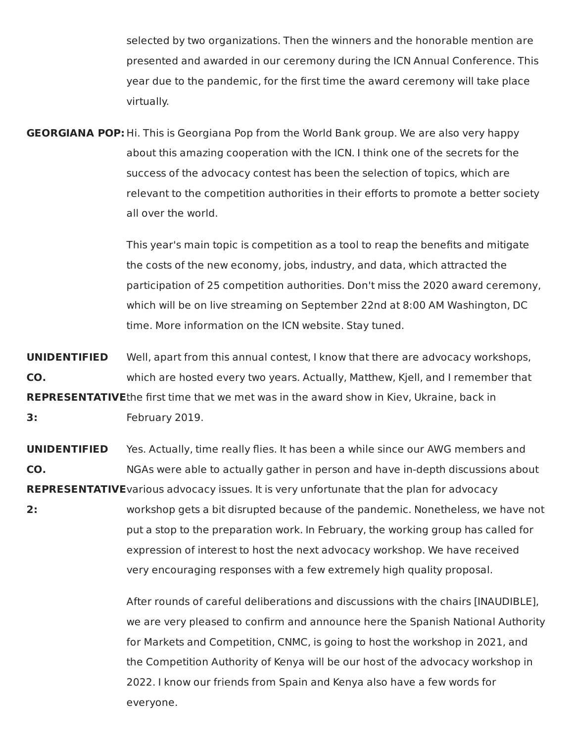selected by two organizations. Then the winners and the honorable mention are presented and awarded in our ceremony during the ICN Annual Conference. This year due to the pandemic, for the first time the award ceremony will take place virtually.

 **GEORGIANA POP:** Hi. This is Georgiana Pop from the World Bank group. We are also very happy about this amazing cooperation with the ICN. I think one of the secrets for the success of the advocacy contest has been the selection of topics, which are relevant to the competition authorities in their efforts to promote a better society all over the world.

> This year's main topic is competition as a tool to reap the benefits and mitigate the costs of the new economy, jobs, industry, and data, which attracted the participation of 25 competition authorities. Don't miss the 2020 award ceremony, which will be on live streaming on September 22nd at 8:00 AM Washington, DC time. More information on the ICN website. Stay tuned.

 **UNIDENTIFIED** Well, apart from this annual contest, I know that there are advocacy workshops, **CO.** which are hosted every two years. Actually, Matthew, Kjell, and I remember that **REPRESENTATIVE**the first time that we met was in the award show in Kiev, Ukraine, back in **3:** February 2019.

 **UNIDENTIFIED** Yes. Actually, time really flies. It has been a while since our AWG members and **CO.** NGAs were able to actually gather in person and have in-depth discussions about **REPRESENTATIVE**various advocacy issues. It is very unfortunate that the plan for advocacy

 **2:** workshop gets a bit disrupted because of the pandemic. Nonetheless, we have not put a stop to the preparation work. In February, the working group has called for expression of interest to host the next advocacy workshop. We have received very encouraging responses with a few extremely high quality proposal.

> After rounds of careful deliberations and discussions with the chairs [INAUDIBLE], we are very pleased to confirm and announce here the Spanish National Authority for Markets and Competition, CNMC, is going to host the workshop in 2021, and the Competition Authority of Kenya will be our host of the advocacy workshop in 2022. I know our friends from Spain and Kenya also have a few words for everyone.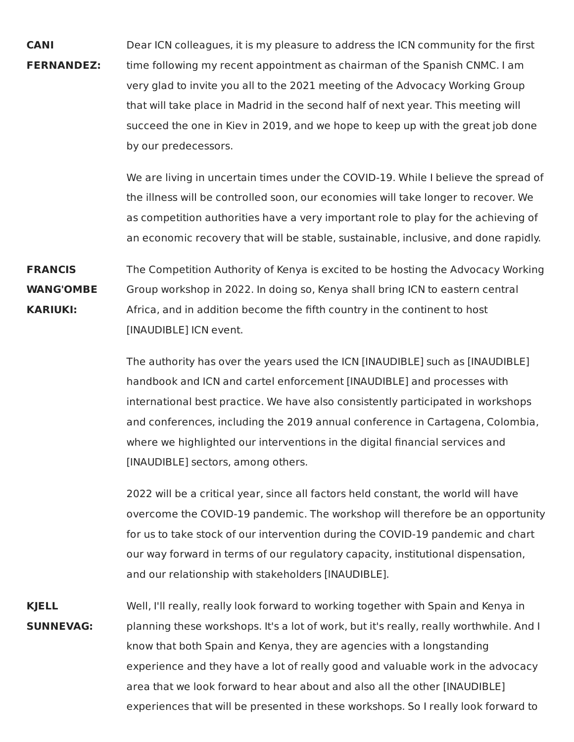Dear ICN colleagues, it is my pleasure to address the ICN community for the first time following my recent appointment as chairman of the Spanish CNMC. I am very glad to invite you all to the 2021 meeting of the Advocacy Working Group that will take place in Madrid in the second half of next year. This meeting will succeed the one in Kiev in 2019, and we hope to keep up with the great job done by our predecessors. **CANI FERNANDEZ:**

> We are living in uncertain times under the COVID-19. While I believe the spread of the illness will be controlled soon, our economies will take longer to recover. We as competition authorities have a very important role to play for the achieving of an economic recovery that will be stable, sustainable, inclusive, and done rapidly.

 The Competition Authority of Kenya is excited to be hosting the Advocacy Working Group workshop in 2022. In doing so, Kenya shall bring ICN to eastern central Africa, and in addition become the fifth country in the continent to host [INAUDIBLE] ICN event. **FRANCIS WANG'OMBE KARIUKI:**

> The authority has over the years used the ICN [INAUDIBLE] such as [INAUDIBLE] handbook and ICN and cartel enforcement [INAUDIBLE] and processes with international best practice. We have also consistently participated in workshops and conferences, including the 2019 annual conference in Cartagena, Colombia, where we highlighted our interventions in the digital financial services and [INAUDIBLE] sectors, among others.

 2022 will be a critical year, since all factors held constant, the world will have overcome the COVID-19 pandemic. The workshop will therefore be an opportunity for us to take stock of our intervention during the COVID-19 pandemic and chart our way forward in terms of our regulatory capacity, institutional dispensation, and our relationship with stakeholders [INAUDIBLE].

 Well, I'll really, really look forward to working together with Spain and Kenya in planning these workshops. It's a lot of work, but it's really, really worthwhile. And I know that both Spain and Kenya, they are agencies with a longstanding experience and they have a lot of really good and valuable work in the advocacy area that we look forward to hear about and also all the other [INAUDIBLE] experiences that will be presented in these workshops. So I really look forward to**KJELL SUNNEVAG:**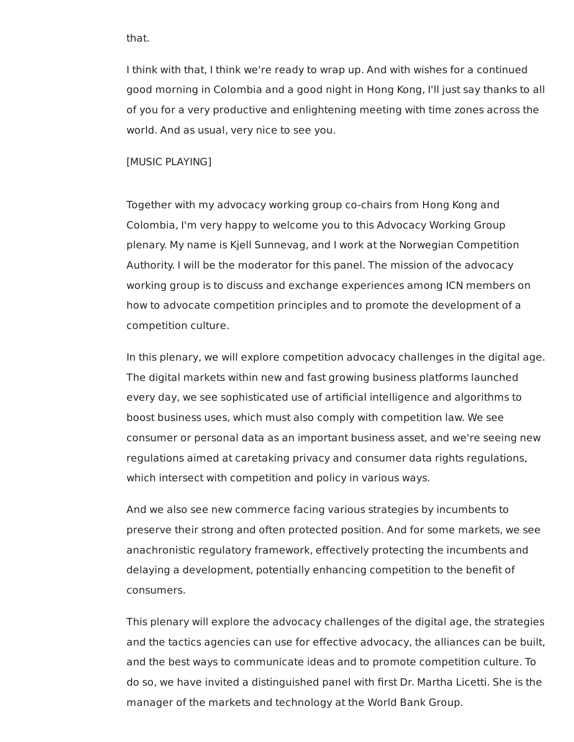that.

 I think with that, I think we're ready to wrap up. And with wishes for a continued good morning in Colombia and a good night in Hong Kong, I'll just say thanks to all of you for a very productive and enlightening meeting with time zones across the world. And as usual, very nice to see you.

[MUSIC PLAYING]

 Together with my advocacy working group co-chairs from Hong Kong and Colombia, I'm very happy to welcome you to this Advocacy Working Group plenary. My name is Kjell Sunnevag, and I work at the Norwegian Competition Authority. I will be the moderator for this panel. The mission of the advocacy working group is to discuss and exchange experiences among ICN members on how to advocate competition principles and to promote the development of a competition culture.

 In this plenary, we will explore competition advocacy challenges in the digital age. The digital markets within new and fast growing business platforms launched every day, we see sophisticated use of artificial intelligence and algorithms to boost business uses, which must also comply with competition law. We see consumer or personal data as an important business asset, and we're seeing new regulations aimed at caretaking privacy and consumer data rights regulations, which intersect with competition and policy in various ways.

 And we also see new commerce facing various strategies by incumbents to preserve their strong and often protected position. And for some markets, we see anachronistic regulatory framework, effectively protecting the incumbents and delaying a development, potentially enhancing competition to the benefit of consumers.

 This plenary will explore the advocacy challenges of the digital age, the strategies and the tactics agencies can use for effective advocacy, the alliances can be built, and the best ways to communicate ideas and to promote competition culture. To do so, we have invited a distinguished panel with first Dr. Martha Licetti. She is the manager of the markets and technology at the World Bank Group.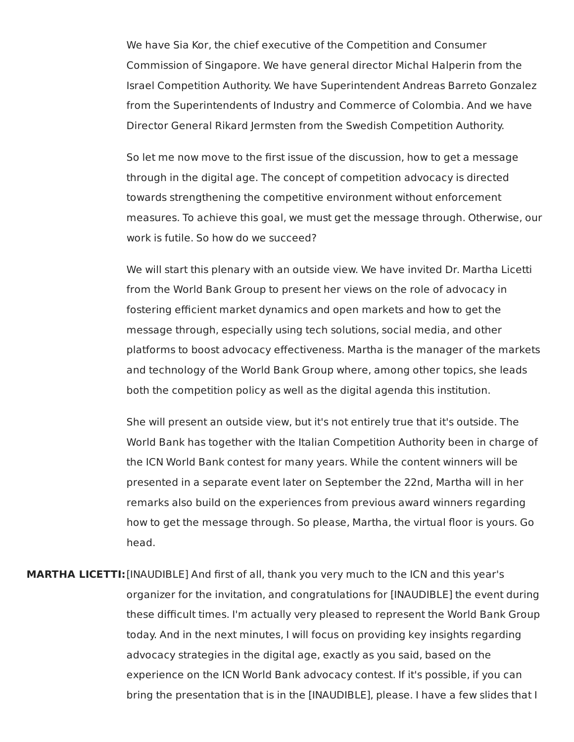We have Sia Kor, the chief executive of the Competition and Consumer Commission of Singapore. We have general director Michal Halperin from the Israel Competition Authority. We have Superintendent Andreas Barreto Gonzalez from the Superintendents of Industry and Commerce of Colombia. And we have Director General Rikard Jermsten from the Swedish Competition Authority.

 So let me now move to the first issue of the discussion, how to get a message through in the digital age. The concept of competition advocacy is directed towards strengthening the competitive environment without enforcement measures. To achieve this goal, we must get the message through. Otherwise, our work is futile. So how do we succeed?

 We will start this plenary with an outside view. We have invited Dr. Martha Licetti from the World Bank Group to present her views on the role of advocacy in fostering efficient market dynamics and open markets and how to get the message through, especially using tech solutions, social media, and other platforms to boost advocacy effectiveness. Martha is the manager of the markets and technology of the World Bank Group where, among other topics, she leads both the competition policy as well as the digital agenda this institution.

 She will present an outside view, but it's not entirely true that it's outside. The World Bank has together with the Italian Competition Authority been in charge of the ICN World Bank contest for many years. While the content winners will be presented in a separate event later on September the 22nd, Martha will in her remarks also build on the experiences from previous award winners regarding how to get the message through. So please, Martha, the virtual floor is yours. Go head.

 **MARTHA LICETTI:**[INAUDIBLE] And first of all, thank you very much to the ICN and this year's organizer for the invitation, and congratulations for [INAUDIBLE] the event during these difficult times. I'm actually very pleased to represent the World Bank Group today. And in the next minutes, I will focus on providing key insights regarding advocacy strategies in the digital age, exactly as you said, based on the experience on the ICN World Bank advocacy contest. If it's possible, if you can bring the presentation that is in the [INAUDIBLE], please. I have a few slides that I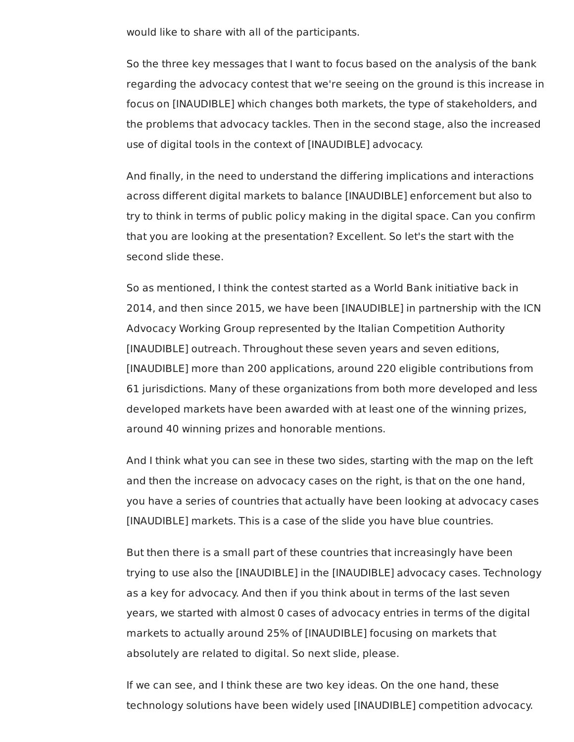would like to share with all of the participants.

 So the three key messages that I want to focus based on the analysis of the bank regarding the advocacy contest that we're seeing on the ground is this increase in focus on [INAUDIBLE] which changes both markets, the type of stakeholders, and the problems that advocacy tackles. Then in the second stage, also the increased use of digital tools in the context of [INAUDIBLE] advocacy.

 And finally, in the need to understand the differing implications and interactions across different digital markets to balance [INAUDIBLE] enforcement but also to try to think in terms of public policy making in the digital space. Can you confirm that you are looking at the presentation? Excellent. So let's the start with the second slide these.

 So as mentioned, I think the contest started as a World Bank initiative back in 2014, and then since 2015, we have been [INAUDIBLE] in partnership with the ICN Advocacy Working Group represented by the Italian Competition Authority [INAUDIBLE] outreach. Throughout these seven years and seven editions, [INAUDIBLE] more than 200 applications, around 220 eligible contributions from 61 jurisdictions. Many of these organizations from both more developed and less developed markets have been awarded with at least one of the winning prizes, around 40 winning prizes and honorable mentions.

 And I think what you can see in these two sides, starting with the map on the left and then the increase on advocacy cases on the right, is that on the one hand, you have a series of countries that actually have been looking at advocacy cases [INAUDIBLE] markets. This is a case of the slide you have blue countries.

 But then there is a small part of these countries that increasingly have been trying to use also the [INAUDIBLE] in the [INAUDIBLE] advocacy cases. Technology as a key for advocacy. And then if you think about in terms of the last seven years, we started with almost 0 cases of advocacy entries in terms of the digital markets to actually around 25% of [INAUDIBLE] focusing on markets that absolutely are related to digital. So next slide, please.

 If we can see, and I think these are two key ideas. On the one hand, these technology solutions have been widely used [INAUDIBLE] competition advocacy.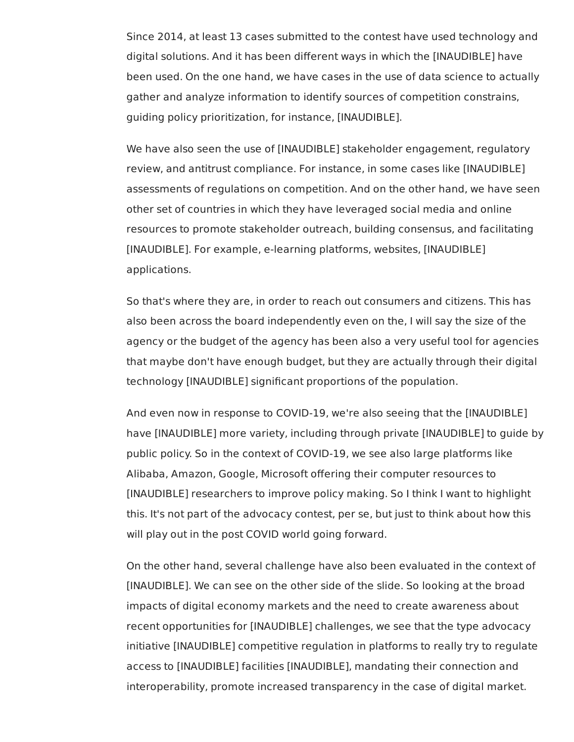Since 2014, at least 13 cases submitted to the contest have used technology and digital solutions. And it has been different ways in which the [INAUDIBLE] have been used. On the one hand, we have cases in the use of data science to actually gather and analyze information to identify sources of competition constrains, guiding policy prioritization, for instance, [INAUDIBLE].

 We have also seen the use of [INAUDIBLE] stakeholder engagement, regulatory review, and antitrust compliance. For instance, in some cases like [INAUDIBLE] assessments of regulations on competition. And on the other hand, we have seen other set of countries in which they have leveraged social media and online resources to promote stakeholder outreach, building consensus, and facilitating [INAUDIBLE]. For example, e-learning platforms, websites, [INAUDIBLE] applications.

 So that's where they are, in order to reach out consumers and citizens. This has also been across the board independently even on the, I will say the size of the agency or the budget of the agency has been also a very useful tool for agencies that maybe don't have enough budget, but they are actually through their digital technology [INAUDIBLE] significant proportions of the population.

 And even now in response to COVID-19, we're also seeing that the [INAUDIBLE] have [INAUDIBLE] more variety, including through private [INAUDIBLE] to guide by public policy. So in the context of COVID-19, we see also large platforms like Alibaba, Amazon, Google, Microsoft offering their computer resources to [INAUDIBLE] researchers to improve policy making. So I think I want to highlight this. It's not part of the advocacy contest, per se, but just to think about how this will play out in the post COVID world going forward.

 On the other hand, several challenge have also been evaluated in the context of [INAUDIBLE]. We can see on the other side of the slide. So looking at the broad impacts of digital economy markets and the need to create awareness about recent opportunities for [INAUDIBLE] challenges, we see that the type advocacy initiative [INAUDIBLE] competitive regulation in platforms to really try to regulate access to [INAUDIBLE] facilities [INAUDIBLE], mandating their connection and interoperability, promote increased transparency in the case of digital market.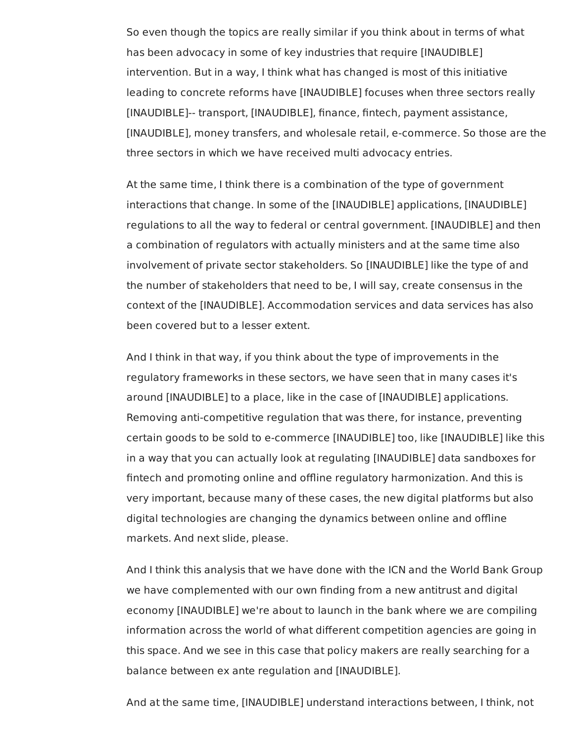So even though the topics are really similar if you think about in terms of what has been advocacy in some of key industries that require [INAUDIBLE] intervention. But in a way, I think what has changed is most of this initiative leading to concrete reforms have [INAUDIBLE] focuses when three sectors really [INAUDIBLE]-- transport, [INAUDIBLE], finance, fintech, payment assistance, [INAUDIBLE], money transfers, and wholesale retail, e-commerce. So those are the three sectors in which we have received multi advocacy entries.

 At the same time, I think there is a combination of the type of government interactions that change. In some of the [INAUDIBLE] applications, [INAUDIBLE] regulations to all the way to federal or central government. [INAUDIBLE] and then a combination of regulators with actually ministers and at the same time also involvement of private sector stakeholders. So [INAUDIBLE] like the type of and the number of stakeholders that need to be, I will say, create consensus in the context of the [INAUDIBLE]. Accommodation services and data services has also been covered but to a lesser extent.

 And I think in that way, if you think about the type of improvements in the regulatory frameworks in these sectors, we have seen that in many cases it's around [INAUDIBLE] to a place, like in the case of [INAUDIBLE] applications. Removing anti-competitive regulation that was there, for instance, preventing certain goods to be sold to e-commerce [INAUDIBLE] too, like [INAUDIBLE] like this in a way that you can actually look at regulating [INAUDIBLE] data sandboxes for fintech and promoting online and offline regulatory harmonization. And this is very important, because many of these cases, the new digital platforms but also digital technologies are changing the dynamics between online and offline markets. And next slide, please.

 And I think this analysis that we have done with the ICN and the World Bank Group we have complemented with our own finding from a new antitrust and digital economy [INAUDIBLE] we're about to launch in the bank where we are compiling information across the world of what different competition agencies are going in this space. And we see in this case that policy makers are really searching for a balance between ex ante regulation and [INAUDIBLE].

And at the same time, [INAUDIBLE] understand interactions between, I think, not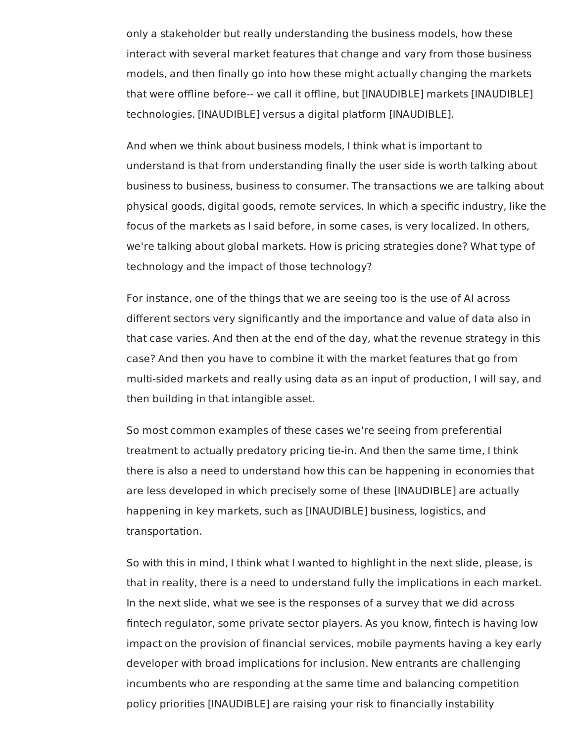only a stakeholder but really understanding the business models, how these interact with several market features that change and vary from those business models, and then finally go into how these might actually changing the markets that were offline before-- we call it offline, but [INAUDIBLE] markets [INAUDIBLE] technologies. [INAUDIBLE] versus a digital platform [INAUDIBLE].

 And when we think about business models, I think what is important to understand is that from understanding finally the user side is worth talking about business to business, business to consumer. The transactions we are talking about physical goods, digital goods, remote services. In which a specific industry, like the focus of the markets as I said before, in some cases, is very localized. In others, we're talking about global markets. How is pricing strategies done? What type of technology and the impact of those technology?

 For instance, one of the things that we are seeing too is the use of AI across different sectors very significantly and the importance and value of data also in that case varies. And then at the end of the day, what the revenue strategy in this case? And then you have to combine it with the market features that go from multi-sided markets and really using data as an input of production, I will say, and then building in that intangible asset.

 So most common examples of these cases we're seeing from preferential treatment to actually predatory pricing tie-in. And then the same time, I think there is also a need to understand how this can be happening in economies that are less developed in which precisely some of these [INAUDIBLE] are actually happening in key markets, such as [INAUDIBLE] business, logistics, and transportation.

 So with this in mind, I think what I wanted to highlight in the next slide, please, is that in reality, there is a need to understand fully the implications in each market. In the next slide, what we see is the responses of a survey that we did across fintech regulator, some private sector players. As you know, fintech is having low developer with broad implications for inclusion. New entrants are challenging incumbents who are responding at the same time and balancing competition policy priorities [INAUDIBLE] are raising your risk to financially instabilityimpact on the provision of financial services, mobile payments having a key early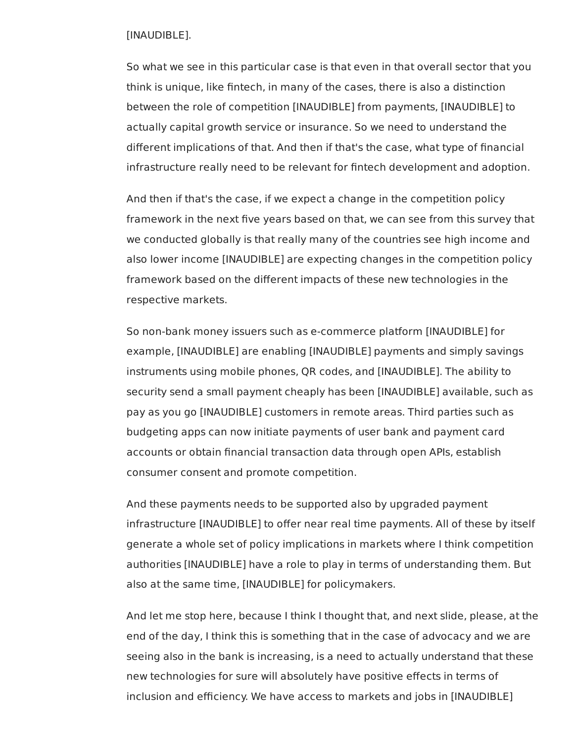## [INAUDIBLE].

 So what we see in this particular case is that even in that overall sector that you think is unique, like fintech, in many of the cases, there is also a distinction between the role of competition [INAUDIBLE] from payments, [INAUDIBLE] to actually capital growth service or insurance. So we need to understand the different implications of that. And then if that's the case, what type of financial infrastructure really need to be relevant for fintech development and adoption.

 And then if that's the case, if we expect a change in the competition policy framework in the next five years based on that, we can see from this survey that we conducted globally is that really many of the countries see high income and also lower income [INAUDIBLE] are expecting changes in the competition policy framework based on the different impacts of these new technologies in the respective markets.

 So non-bank money issuers such as e-commerce platform [INAUDIBLE] for example, [INAUDIBLE] are enabling [INAUDIBLE] payments and simply savings instruments using mobile phones, QR codes, and [INAUDIBLE]. The ability to security send a small payment cheaply has been [INAUDIBLE] available, such as pay as you go [INAUDIBLE] customers in remote areas. Third parties such as budgeting apps can now initiate payments of user bank and payment card accounts or obtain financial transaction data through open APIs, establish consumer consent and promote competition.

 And these payments needs to be supported also by upgraded payment infrastructure [INAUDIBLE] to offer near real time payments. All of these by itself generate a whole set of policy implications in markets where I think competition authorities [INAUDIBLE] have a role to play in terms of understanding them. But also at the same time, [INAUDIBLE] for policymakers.

 And let me stop here, because I think I thought that, and next slide, please, at the end of the day, I think this is something that in the case of advocacy and we are seeing also in the bank is increasing, is a need to actually understand that these new technologies for sure will absolutely have positive effects in terms of inclusion and efficiency. We have access to markets and jobs in [INAUDIBLE]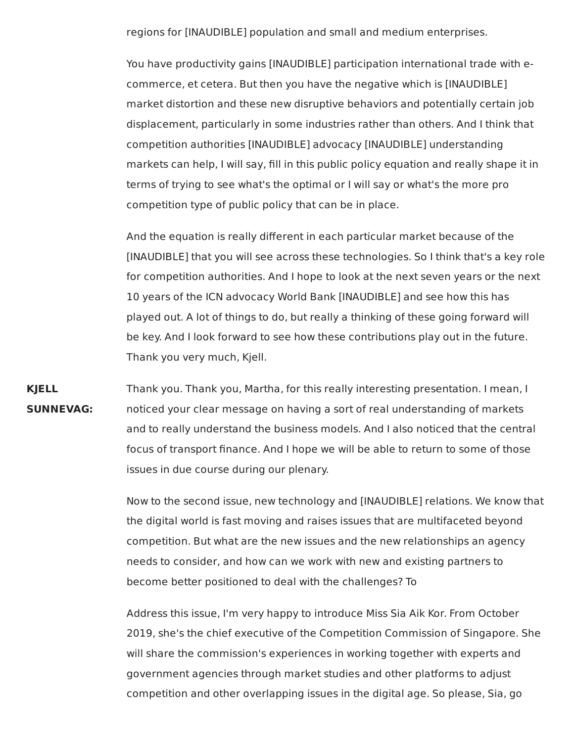regions for [INAUDIBLE] population and small and medium enterprises.

You have productivity gains [INAUDIBLE] participation international trade with ecommerce, et cetera. But then you have the negative which is [INAUDIBLE] market distortion and these new disruptive behaviors and potentially certain job displacement, particularly in some industries rather than others. And I think that competition authorities [INAUDIBLE] advocacy [INAUDIBLE] understanding markets can help, I will say, fill in this public policy equation and really shape it in terms of trying to see what's the optimal or I will say or what's the more pro competition type of public policy that can be in place.

And the equation is really different in each particular market because of the [INAUDIBLE] that you will see across these technologies. So I think that's a key role for competition authorities. And I hope to look at the next seven years or the next 10 years of the ICN advocacy World Bank [INAUDIBLE] and see how this has played out. A lot of things to do, but really a thinking of these going forward will be key. And I look forward to see how these contributions play out in the future. Thank you very much, Kjell.

**KJELL** Thank you. Thank you, Martha, for this really interesting presentation. I mean, I **SUNNEVAG:** noticed your clear message on having a sort of real understanding of markets and to really understand the business models. And I also noticed that the central focus of transport finance. And I hope we will be able to return to some of those issues in due course during our plenary.

> Now to the second issue, new technology and [INAUDIBLE] relations. We know that the digital world is fast moving and raises issues that are multifaceted beyond competition. But what are the new issues and the new relationships an agency needs to consider, and how can we work with new and existing partners to become better positioned to deal with the challenges? To

> Address this issue, I'm very happy to introduce Miss Sia Aik Kor. From October 2019, she's the chief executive of the Competition Commission of Singapore. She will share the commission's experiences in working together with experts and government agencies through market studies and other platforms to adjust competition and other overlapping issues in the digital age. So please, Sia, go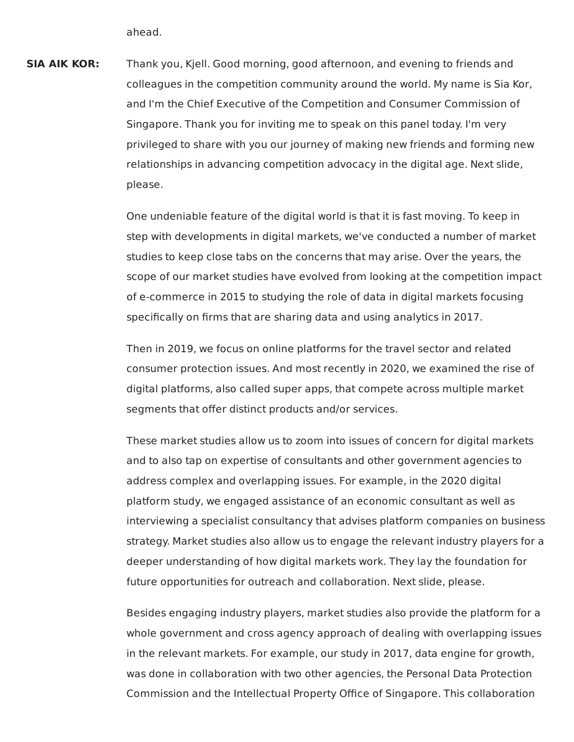ahead.

**SIA AIK KOR:**  colleagues in the competition community around the world. My name is Sia Kor, and I'm the Chief Executive of the Competition and Consumer Commission of Singapore. Thank you for inviting me to speak on this panel today. I'm very privileged to share with you our journey of making new friends and forming new relationships in advancing competition advocacy in the digital age. Next slide, Thank you, Kjell. Good morning, good afternoon, and evening to friends and please.

> One undeniable feature of the digital world is that it is fast moving. To keep in step with developments in digital markets, we've conducted a number of market studies to keep close tabs on the concerns that may arise. Over the years, the scope of our market studies have evolved from looking at the competition impact of e-commerce in 2015 to studying the role of data in digital markets focusing specifically on firms that are sharing data and using analytics in 2017.

 Then in 2019, we focus on online platforms for the travel sector and related consumer protection issues. And most recently in 2020, we examined the rise of digital platforms, also called super apps, that compete across multiple market segments that offer distinct products and/or services.

 These market studies allow us to zoom into issues of concern for digital markets and to also tap on expertise of consultants and other government agencies to address complex and overlapping issues. For example, in the 2020 digital platform study, we engaged assistance of an economic consultant as well as interviewing a specialist consultancy that advises platform companies on business strategy. Market studies also allow us to engage the relevant industry players for a deeper understanding of how digital markets work. They lay the foundation for future opportunities for outreach and collaboration. Next slide, please.

 Besides engaging industry players, market studies also provide the platform for a whole government and cross agency approach of dealing with overlapping issues in the relevant markets. For example, our study in 2017, data engine for growth, was done in collaboration with two other agencies, the Personal Data Protection Commission and the Intellectual Property Office of Singapore. This collaboration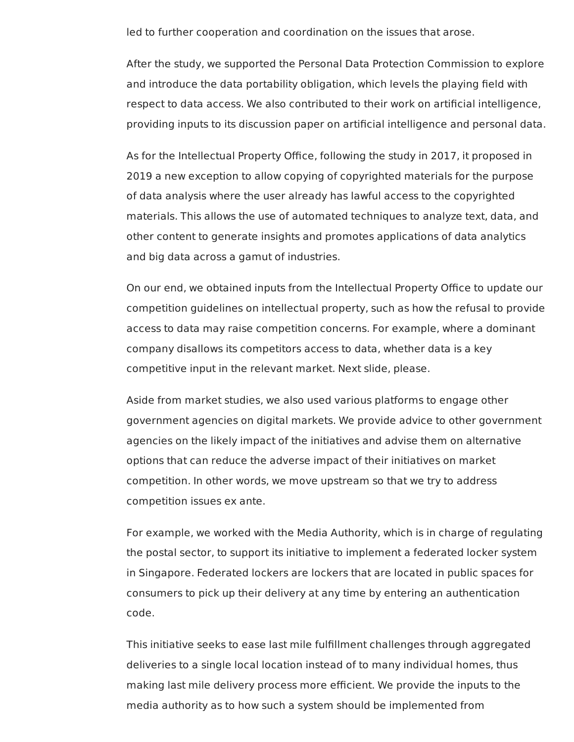led to further cooperation and coordination on the issues that arose.

 After the study, we supported the Personal Data Protection Commission to explore and introduce the data portability obligation, which levels the playing field with respect to data access. We also contributed to their work on artificial intelligence, providing inputs to its discussion paper on artificial intelligence and personal data.

 As for the Intellectual Property Office, following the study in 2017, it proposed in 2019 a new exception to allow copying of copyrighted materials for the purpose of data analysis where the user already has lawful access to the copyrighted materials. This allows the use of automated techniques to analyze text, data, and other content to generate insights and promotes applications of data analytics and big data across a gamut of industries.

 On our end, we obtained inputs from the Intellectual Property Office to update our competition guidelines on intellectual property, such as how the refusal to provide access to data may raise competition concerns. For example, where a dominant company disallows its competitors access to data, whether data is a key competitive input in the relevant market. Next slide, please.

 Aside from market studies, we also used various platforms to engage other government agencies on digital markets. We provide advice to other government agencies on the likely impact of the initiatives and advise them on alternative options that can reduce the adverse impact of their initiatives on market competition. In other words, we move upstream so that we try to address competition issues ex ante.

 For example, we worked with the Media Authority, which is in charge of regulating the postal sector, to support its initiative to implement a federated locker system in Singapore. Federated lockers are lockers that are located in public spaces for consumers to pick up their delivery at any time by entering an authentication code.

 This initiative seeks to ease last mile fulfillment challenges through aggregated deliveries to a single local location instead of to many individual homes, thus making last mile delivery process more efficient. We provide the inputs to the media authority as to how such a system should be implemented from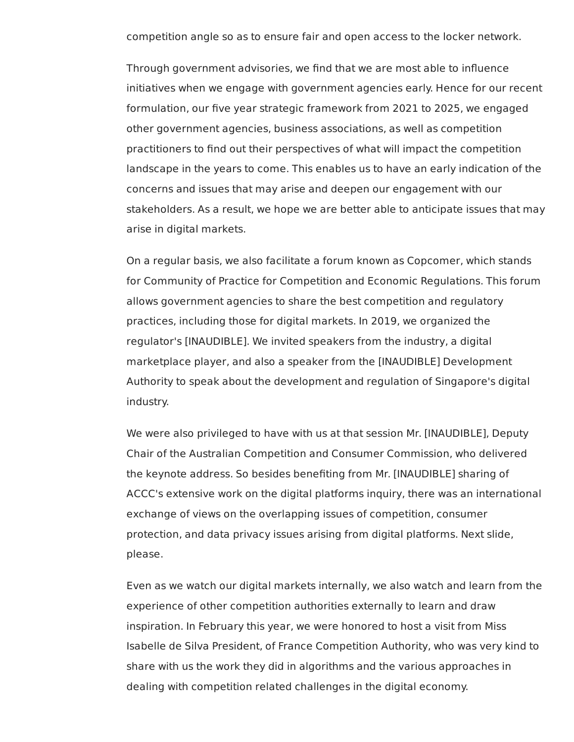competition angle so as to ensure fair and open access to the locker network.

 Through government advisories, we find that we are most able to influence initiatives when we engage with government agencies early. Hence for our recent formulation, our five year strategic framework from 2021 to 2025, we engaged other government agencies, business associations, as well as competition practitioners to find out their perspectives of what will impact the competition landscape in the years to come. This enables us to have an early indication of the concerns and issues that may arise and deepen our engagement with our stakeholders. As a result, we hope we are better able to anticipate issues that may arise in digital markets.

 On a regular basis, we also facilitate a forum known as Copcomer, which stands for Community of Practice for Competition and Economic Regulations. This forum allows government agencies to share the best competition and regulatory practices, including those for digital markets. In 2019, we organized the regulator's [INAUDIBLE]. We invited speakers from the industry, a digital marketplace player, and also a speaker from the [INAUDIBLE] Development Authority to speak about the development and regulation of Singapore's digital industry.

 We were also privileged to have with us at that session Mr. [INAUDIBLE], Deputy Chair of the Australian Competition and Consumer Commission, who delivered the keynote address. So besides benefiting from Mr. [INAUDIBLE] sharing of ACCC's extensive work on the digital platforms inquiry, there was an international exchange of views on the overlapping issues of competition, consumer protection, and data privacy issues arising from digital platforms. Next slide, please.

 Even as we watch our digital markets internally, we also watch and learn from the experience of other competition authorities externally to learn and draw inspiration. In February this year, we were honored to host a visit from Miss Isabelle de Silva President, of France Competition Authority, who was very kind to share with us the work they did in algorithms and the various approaches in dealing with competition related challenges in the digital economy.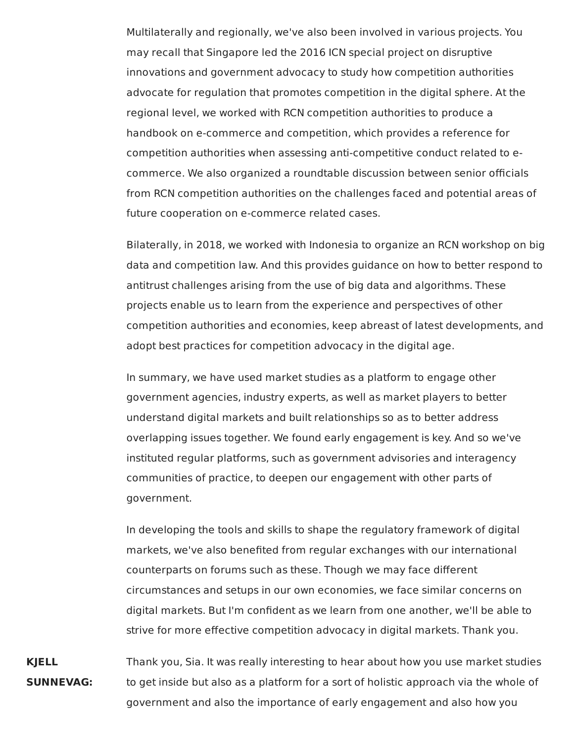Multilaterally and regionally, we've also been involved in various projects. You may recall that Singapore led the 2016 ICN special project on disruptive innovations and government advocacy to study how competition authorities advocate for regulation that promotes competition in the digital sphere. At the regional level, we worked with RCN competition authorities to produce a handbook on e-commerce and competition, which provides a reference for competition authorities when assessing anti-competitive conduct related to ecommerce. We also organized a roundtable discussion between senior officials from RCN competition authorities on the challenges faced and potential areas of future cooperation on e-commerce related cases.

Bilaterally, in 2018, we worked with Indonesia to organize an RCN workshop on big data and competition law. And this provides guidance on how to better respond to antitrust challenges arising from the use of big data and algorithms. These projects enable us to learn from the experience and perspectives of other competition authorities and economies, keep abreast of latest developments, and adopt best practices for competition advocacy in the digital age.

In summary, we have used market studies as a platform to engage other government agencies, industry experts, as well as market players to better understand digital markets and built relationships so as to better address overlapping issues together. We found early engagement is key. And so we've instituted regular platforms, such as government advisories and interagency communities of practice, to deepen our engagement with other parts of government.

In developing the tools and skills to shape the regulatory framework of digital markets, we've also benefited from regular exchanges with our international counterparts on forums such as these. Though we may face different circumstances and setups in our own economies, we face similar concerns on digital markets. But I'm confident as we learn from one another, we'll be able to strive for more effective competition advocacy in digital markets. Thank you.

**KJELL** Thank you, Sia. It was really interesting to hear about how you use market studies **SUNNEVAG:** to get inside but also as a platform for a sort of holistic approach via the whole of government and also the importance of early engagement and also how you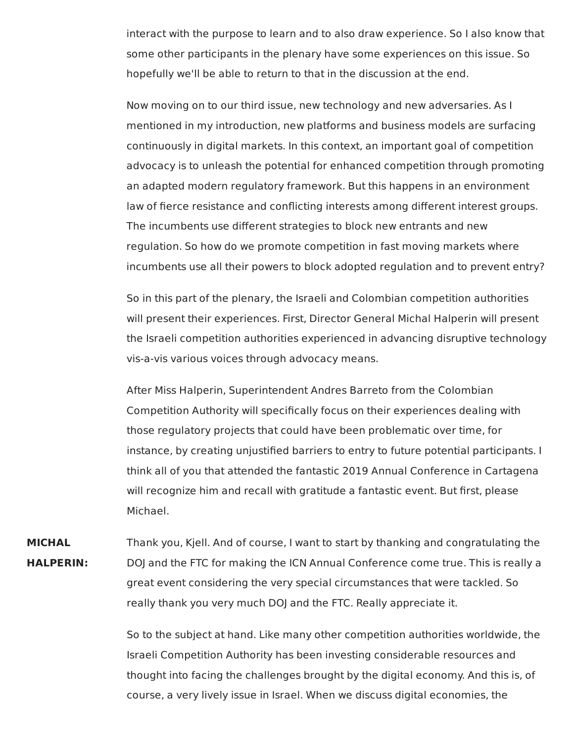interact with the purpose to learn and to also draw experience. So I also know that some other participants in the plenary have some experiences on this issue. So hopefully we'll be able to return to that in the discussion at the end.

Now moving on to our third issue, new technology and new adversaries. As I mentioned in my introduction, new platforms and business models are surfacing continuously in digital markets. In this context, an important goal of competition advocacy is to unleash the potential for enhanced competition through promoting an adapted modern regulatory framework. But this happens in an environment law of fierce resistance and conflicting interests among different interest groups. The incumbents use different strategies to block new entrants and new regulation. So how do we promote competition in fast moving markets where incumbents use all their powers to block adopted regulation and to prevent entry?

So in this part of the plenary, the Israeli and Colombian competition authorities will present their experiences. First, Director General Michal Halperin will present the Israeli competition authorities experienced in advancing disruptive technology vis-a-vis various voices through advocacy means.

After Miss Halperin, Superintendent Andres Barreto from the Colombian Competition Authority will specifically focus on their experiences dealing with those regulatory projects that could have been problematic over time, for instance, by creating unjustified barriers to entry to future potential participants. I think all of you that attended the fantastic 2019 Annual Conference in Cartagena will recognize him and recall with gratitude a fantastic event. But first, please Michael.

**MICHAL** Thank you, Kjell. And of course, I want to start by thanking and congratulating the **HALPERIN:** DOJ and the FTC for making the ICN Annual Conference come true. This is really a great event considering the very special circumstances that were tackled. So really thank you very much DOJ and the FTC. Really appreciate it.

> So to the subject at hand. Like many other competition authorities worldwide, the Israeli Competition Authority has been investing considerable resources and thought into facing the challenges brought by the digital economy. And this is, of course, a very lively issue in Israel. When we discuss digital economies, the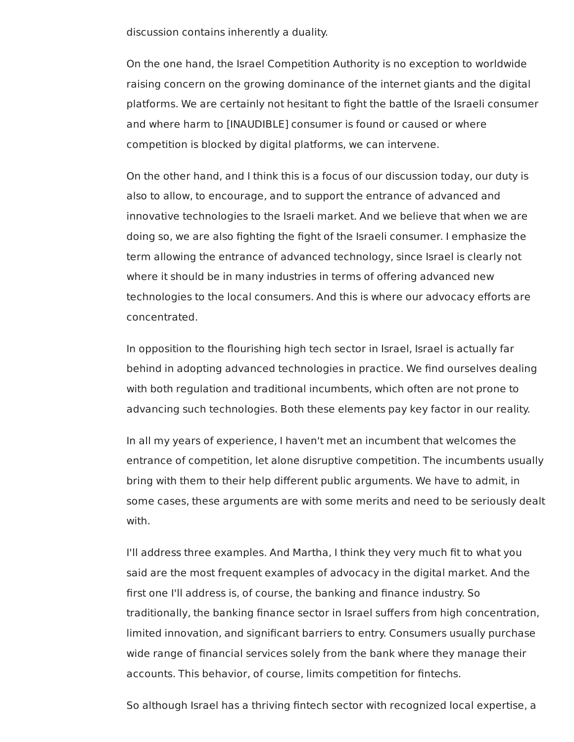discussion contains inherently a duality.

 On the one hand, the Israel Competition Authority is no exception to worldwide raising concern on the growing dominance of the internet giants and the digital platforms. We are certainly not hesitant to fight the battle of the Israeli consumer and where harm to [INAUDIBLE] consumer is found or caused or where competition is blocked by digital platforms, we can intervene.

 On the other hand, and I think this is a focus of our discussion today, our duty is also to allow, to encourage, and to support the entrance of advanced and innovative technologies to the Israeli market. And we believe that when we are doing so, we are also fighting the fight of the Israeli consumer. I emphasize the term allowing the entrance of advanced technology, since Israel is clearly not where it should be in many industries in terms of offering advanced new technologies to the local consumers. And this is where our advocacy efforts are concentrated.

 In opposition to the flourishing high tech sector in Israel, Israel is actually far behind in adopting advanced technologies in practice. We find ourselves dealing with both regulation and traditional incumbents, which often are not prone to advancing such technologies. Both these elements pay key factor in our reality.

 In all my years of experience, I haven't met an incumbent that welcomes the entrance of competition, let alone disruptive competition. The incumbents usually bring with them to their help different public arguments. We have to admit, in some cases, these arguments are with some merits and need to be seriously dealt with.

 I'll address three examples. And Martha, I think they very much fit to what you said are the most frequent examples of advocacy in the digital market. And the first one I'll address is, of course, the banking and finance industry. So traditionally, the banking finance sector in Israel suffers from high concentration, limited innovation, and significant barriers to entry. Consumers usually purchase wide range of financial services solely from the bank where they manage their accounts. This behavior, of course, limits competition for fintechs.

So although Israel has a thriving fintech sector with recognized local expertise, a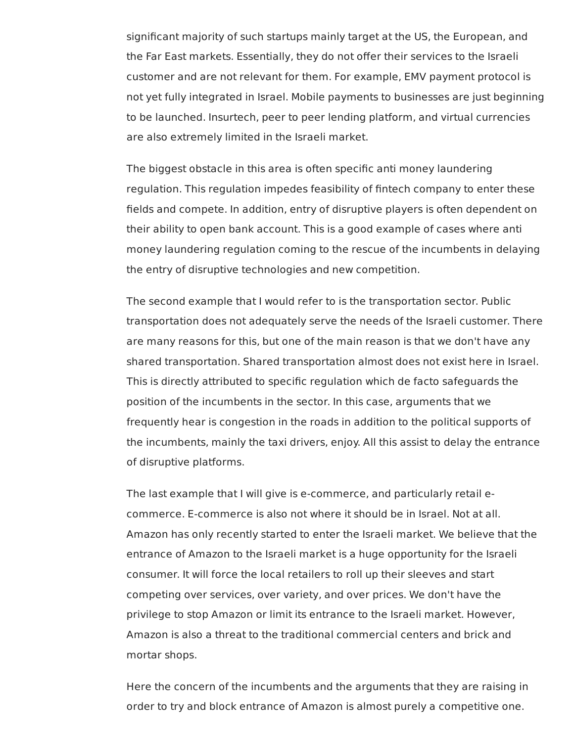significant majority of such startups mainly target at the US, the European, and the Far East markets. Essentially, they do not offer their services to the Israeli customer and are not relevant for them. For example, EMV payment protocol is not yet fully integrated in Israel. Mobile payments to businesses are just beginning to be launched. Insurtech, peer to peer lending platform, and virtual currencies are also extremely limited in the Israeli market.

 The biggest obstacle in this area is often specific anti money laundering regulation. This regulation impedes feasibility of fintech company to enter these fields and compete. In addition, entry of disruptive players is often dependent on their ability to open bank account. This is a good example of cases where anti money laundering regulation coming to the rescue of the incumbents in delaying the entry of disruptive technologies and new competition.

 The second example that I would refer to is the transportation sector. Public transportation does not adequately serve the needs of the Israeli customer. There are many reasons for this, but one of the main reason is that we don't have any shared transportation. Shared transportation almost does not exist here in Israel. This is directly attributed to specific regulation which de facto safeguards the position of the incumbents in the sector. In this case, arguments that we frequently hear is congestion in the roads in addition to the political supports of the incumbents, mainly the taxi drivers, enjoy. All this assist to delay the entrance of disruptive platforms.

 The last example that I will give is e-commerce, and particularly retail e- commerce. E-commerce is also not where it should be in Israel. Not at all. Amazon has only recently started to enter the Israeli market. We believe that the entrance of Amazon to the Israeli market is a huge opportunity for the Israeli consumer. It will force the local retailers to roll up their sleeves and start competing over services, over variety, and over prices. We don't have the privilege to stop Amazon or limit its entrance to the Israeli market. However, Amazon is also a threat to the traditional commercial centers and brick and mortar shops.

 Here the concern of the incumbents and the arguments that they are raising in order to try and block entrance of Amazon is almost purely a competitive one.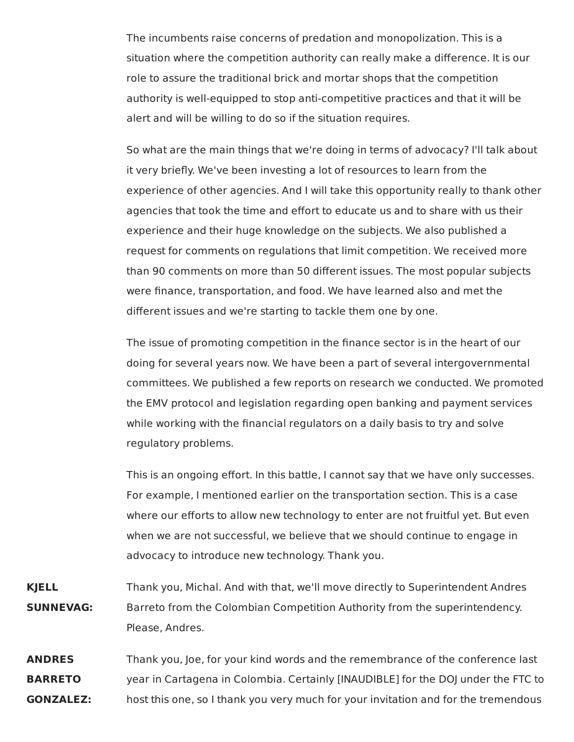The incumbents raise concerns of predation and monopolization. This is a situation where the competition authority can really make a difference. It is our role to assure the traditional brick and mortar shops that the competition authority is well-equipped to stop anti-competitive practices and that it will be alert and will be willing to do so if the situation requires.

 So what are the main things that we're doing in terms of advocacy? I'll talk about it very briefly. We've been investing a lot of resources to learn from the experience of other agencies. And I will take this opportunity really to thank other agencies that took the time and effort to educate us and to share with us their experience and their huge knowledge on the subjects. We also published a request for comments on regulations that limit competition. We received more than 90 comments on more than 50 different issues. The most popular subjects were finance, transportation, and food. We have learned also and met the different issues and we're starting to tackle them one by one.

 The issue of promoting competition in the finance sector is in the heart of our doing for several years now. We have been a part of several intergovernmental committees. We published a few reports on research we conducted. We promoted the EMV protocol and legislation regarding open banking and payment services while working with the financial regulators on a daily basis to try and solve regulatory problems.

 This is an ongoing effort. In this battle, I cannot say that we have only successes. For example, I mentioned earlier on the transportation section. This is a case where our efforts to allow new technology to enter are not fruitful yet. But even when we are not successful, we believe that we should continue to engage in advocacy to introduce new technology. Thank you.

- Thank you, Michal. And with that, we'll move directly to Superintendent Andres Barreto from the Colombian Competition Authority from the superintendency. **KJELL SUNNEVAG:** Please, Andres.
- Thank you, Joe, for your kind words and the remembrance of the conference last year in Cartagena in Colombia. Certainly [INAUDIBLE] for the DOJ under the FTC to host this one, so I thank you very much for your invitation and for the tremendous**ANDRES BARRETO GONZALEZ:**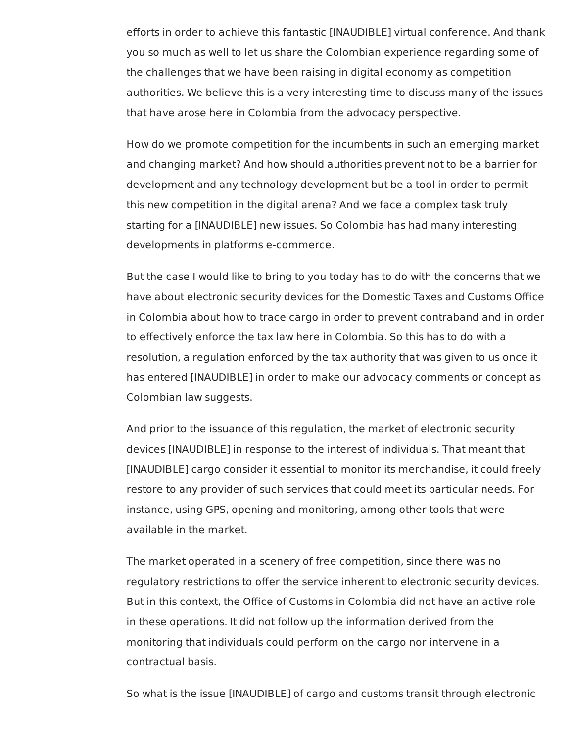efforts in order to achieve this fantastic [INAUDIBLE] virtual conference. And thank you so much as well to let us share the Colombian experience regarding some of the challenges that we have been raising in digital economy as competition authorities. We believe this is a very interesting time to discuss many of the issues that have arose here in Colombia from the advocacy perspective.

 How do we promote competition for the incumbents in such an emerging market and changing market? And how should authorities prevent not to be a barrier for development and any technology development but be a tool in order to permit this new competition in the digital arena? And we face a complex task truly starting for a [INAUDIBLE] new issues. So Colombia has had many interesting developments in platforms e-commerce.

 But the case I would like to bring to you today has to do with the concerns that we have about electronic security devices for the Domestic Taxes and Customs Office in Colombia about how to trace cargo in order to prevent contraband and in order to effectively enforce the tax law here in Colombia. So this has to do with a resolution, a regulation enforced by the tax authority that was given to us once it has entered [INAUDIBLE] in order to make our advocacy comments or concept as Colombian law suggests.

 And prior to the issuance of this regulation, the market of electronic security devices [INAUDIBLE] in response to the interest of individuals. That meant that [INAUDIBLE] cargo consider it essential to monitor its merchandise, it could freely restore to any provider of such services that could meet its particular needs. For instance, using GPS, opening and monitoring, among other tools that were available in the market.

 The market operated in a scenery of free competition, since there was no regulatory restrictions to offer the service inherent to electronic security devices. But in this context, the Office of Customs in Colombia did not have an active role in these operations. It did not follow up the information derived from the monitoring that individuals could perform on the cargo nor intervene in a contractual basis.

So what is the issue [INAUDIBLE] of cargo and customs transit through electronic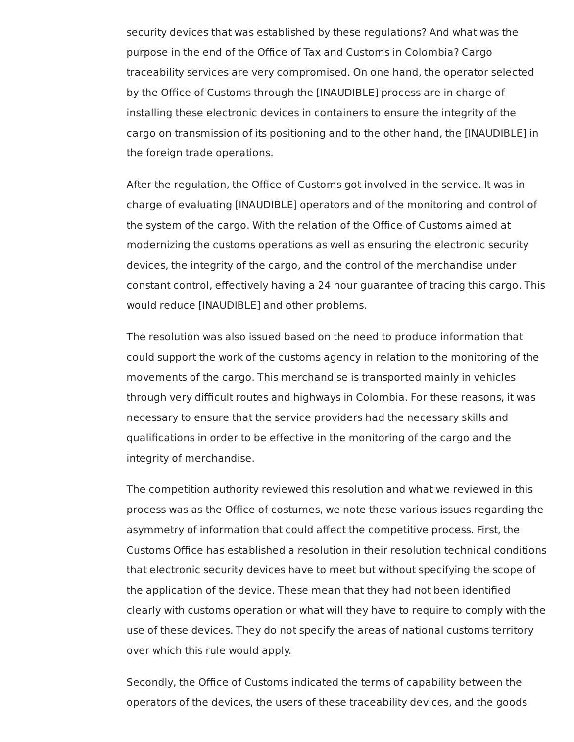security devices that was established by these regulations? And what was the purpose in the end of the Office of Tax and Customs in Colombia? Cargo traceability services are very compromised. On one hand, the operator selected by the Office of Customs through the [INAUDIBLE] process are in charge of installing these electronic devices in containers to ensure the integrity of the cargo on transmission of its positioning and to the other hand, the [INAUDIBLE] in the foreign trade operations.

 After the regulation, the Office of Customs got involved in the service. It was in charge of evaluating [INAUDIBLE] operators and of the monitoring and control of the system of the cargo. With the relation of the Office of Customs aimed at modernizing the customs operations as well as ensuring the electronic security devices, the integrity of the cargo, and the control of the merchandise under constant control, effectively having a 24 hour guarantee of tracing this cargo. This would reduce [INAUDIBLE] and other problems.

 The resolution was also issued based on the need to produce information that could support the work of the customs agency in relation to the monitoring of the movements of the cargo. This merchandise is transported mainly in vehicles through very difficult routes and highways in Colombia. For these reasons, it was necessary to ensure that the service providers had the necessary skills and qualifications in order to be effective in the monitoring of the cargo and the integrity of merchandise.

 The competition authority reviewed this resolution and what we reviewed in this process was as the Office of costumes, we note these various issues regarding the asymmetry of information that could affect the competitive process. First, the Customs Office has established a resolution in their resolution technical conditions that electronic security devices have to meet but without specifying the scope of the application of the device. These mean that they had not been identified clearly with customs operation or what will they have to require to comply with the use of these devices. They do not specify the areas of national customs territory over which this rule would apply.

 Secondly, the Office of Customs indicated the terms of capability between the operators of the devices, the users of these traceability devices, and the goods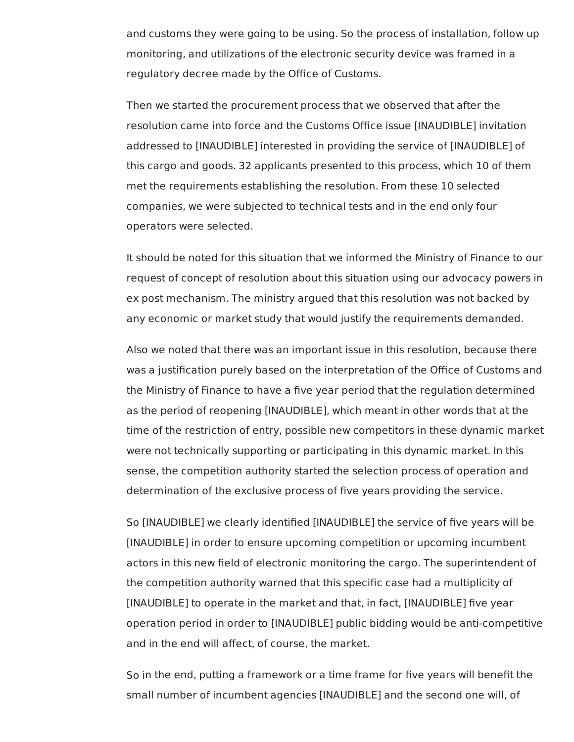and customs they were going to be using. So the process of installation, follow up monitoring, and utilizations of the electronic security device was framed in a regulatory decree made by the Office of Customs.

 Then we started the procurement process that we observed that after the resolution came into force and the Customs Office issue [INAUDIBLE] invitation addressed to [INAUDIBLE] interested in providing the service of [INAUDIBLE] of this cargo and goods. 32 applicants presented to this process, which 10 of them met the requirements establishing the resolution. From these 10 selected companies, we were subjected to technical tests and in the end only four operators were selected.

 It should be noted for this situation that we informed the Ministry of Finance to our request of concept of resolution about this situation using our advocacy powers in ex post mechanism. The ministry argued that this resolution was not backed by any economic or market study that would justify the requirements demanded.

 Also we noted that there was an important issue in this resolution, because there was a justification purely based on the interpretation of the Office of Customs and the Ministry of Finance to have a five year period that the regulation determined as the period of reopening [INAUDIBLE], which meant in other words that at the time of the restriction of entry, possible new competitors in these dynamic market were not technically supporting or participating in this dynamic market. In this sense, the competition authority started the selection process of operation and determination of the exclusive process of five years providing the service.

 So [INAUDIBLE] we clearly identified [INAUDIBLE] the service of five years will be [INAUDIBLE] in order to ensure upcoming competition or upcoming incumbent actors in this new field of electronic monitoring the cargo. The superintendent of the competition authority warned that this specific case had a multiplicity of [INAUDIBLE] to operate in the market and that, in fact, [INAUDIBLE] five year operation period in order to [INAUDIBLE] public bidding would be anti-competitive and in the end will affect, of course, the market.

 So in the end, putting a framework or a time frame for five years will benefit the small number of incumbent agencies [INAUDIBLE] and the second one will, of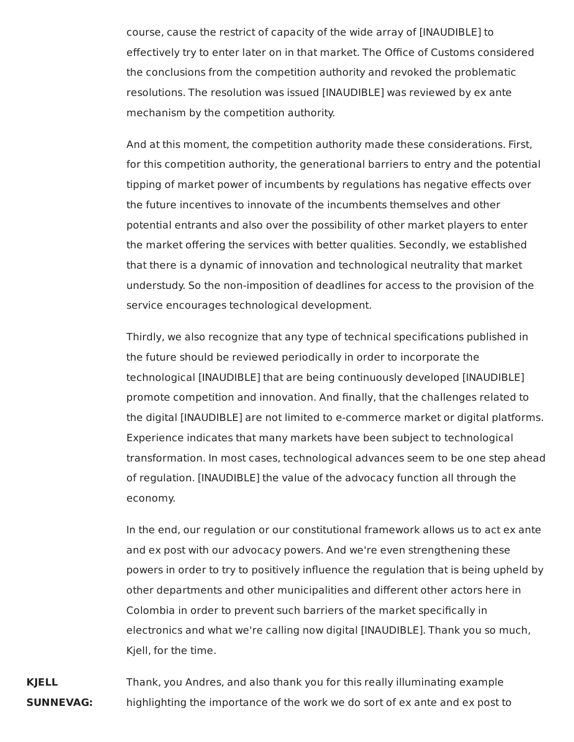course, cause the restrict of capacity of the wide array of [INAUDIBLE] to effectively try to enter later on in that market. The Office of Customs considered the conclusions from the competition authority and revoked the problematic resolutions. The resolution was issued [INAUDIBLE] was reviewed by ex ante mechanism by the competition authority.

And at this moment, the competition authority made these considerations. First, for this competition authority, the generational barriers to entry and the potential tipping of market power of incumbents by regulations has negative effects over the future incentives to innovate of the incumbents themselves and other potential entrants and also over the possibility of other market players to enter the market offering the services with better qualities. Secondly, we established that there is a dynamic of innovation and technological neutrality that market understudy. So the non-imposition of deadlines for access to the provision of the service encourages technological development.

Thirdly, we also recognize that any type of technical specifications published in the future should be reviewed periodically in order to incorporate the technological [INAUDIBLE] that are being continuously developed [INAUDIBLE] promote competition and innovation. And finally, that the challenges related to the digital [INAUDIBLE] are not limited to e-commerce market or digital platforms. Experience indicates that many markets have been subject to technological transformation. In most cases, technological advances seem to be one step ahead of regulation. [INAUDIBLE] the value of the advocacy function all through the economy.

In the end, our regulation or our constitutional framework allows us to act ex ante and ex post with our advocacy powers. And we're even strengthening these powers in order to try to positively influence the regulation that is being upheld by other departments and other municipalities and different other actors here in Colombia in order to prevent such barriers of the market specifically in electronics and what we're calling now digital [INAUDIBLE]. Thank you so much, Kjell, for the time.

**KJELL** Thank, you Andres, and also thank you for this really illuminating example **SUNNEVAG:** highlighting the importance of the work we do sort of ex ante and ex post to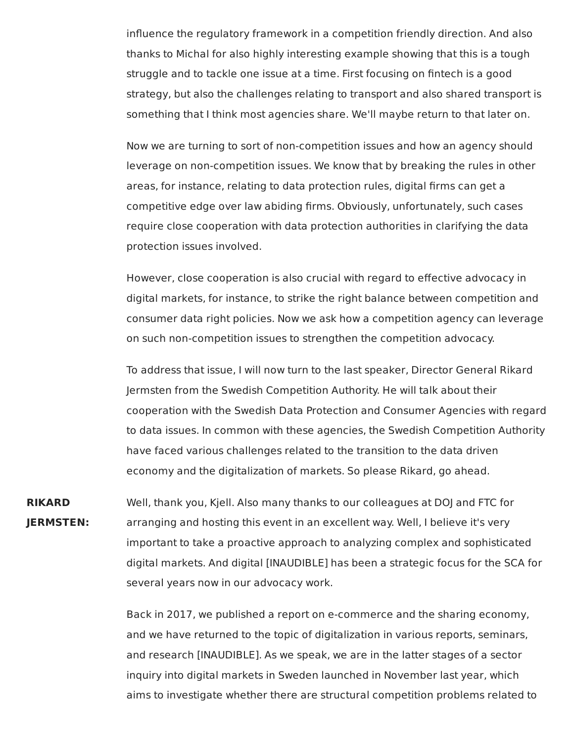influence the regulatory framework in a competition friendly direction. And also thanks to Michal for also highly interesting example showing that this is a tough struggle and to tackle one issue at a time. First focusing on fintech is a good strategy, but also the challenges relating to transport and also shared transport is something that I think most agencies share. We'll maybe return to that later on.

Now we are turning to sort of non-competition issues and how an agency should leverage on non-competition issues. We know that by breaking the rules in other areas, for instance, relating to data protection rules, digital firms can get a competitive edge over law abiding firms. Obviously, unfortunately, such cases require close cooperation with data protection authorities in clarifying the data protection issues involved.

However, close cooperation is also crucial with regard to effective advocacy in digital markets, for instance, to strike the right balance between competition and consumer data right policies. Now we ask how a competition agency can leverage on such non-competition issues to strengthen the competition advocacy.

To address that issue, I will now turn to the last speaker, Director General Rikard Jermsten from the Swedish Competition Authority. He will talk about their cooperation with the Swedish Data Protection and Consumer Agencies with regard to data issues. In common with these agencies, the Swedish Competition Authority have faced various challenges related to the transition to the data driven economy and the digitalization of markets. So please Rikard, go ahead.

**RIKARD** Well, thank you, Kjell. Also many thanks to our colleagues at DOJ and FTC for **JERMSTEN:** arranging and hosting this event in an excellent way. Well, I believe it's very important to take a proactive approach to analyzing complex and sophisticated digital markets. And digital [INAUDIBLE] has been a strategic focus for the SCA for several years now in our advocacy work.

> Back in 2017, we published a report on e-commerce and the sharing economy, and we have returned to the topic of digitalization in various reports, seminars, and research [INAUDIBLE]. As we speak, we are in the latter stages of a sector inquiry into digital markets in Sweden launched in November last year, which aims to investigate whether there are structural competition problems related to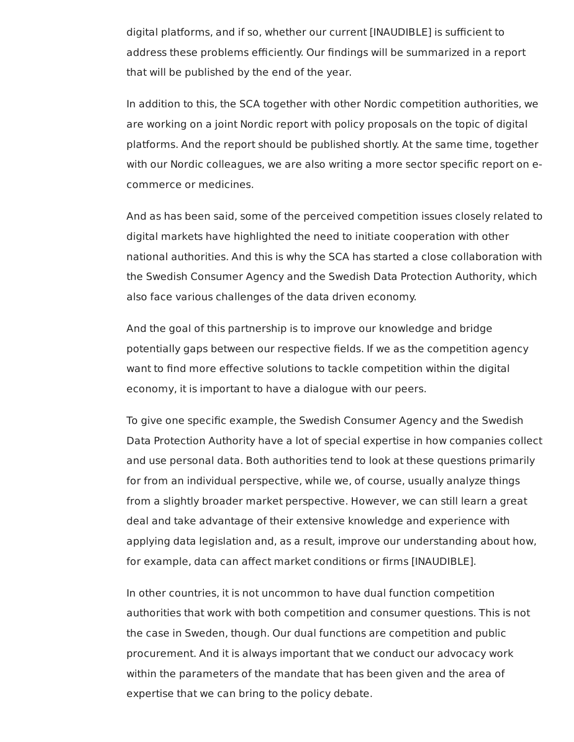digital platforms, and if so, whether our current [INAUDIBLE] is sufficient to address these problems efficiently. Our findings will be summarized in a report that will be published by the end of the year.

 In addition to this, the SCA together with other Nordic competition authorities, we are working on a joint Nordic report with policy proposals on the topic of digital platforms. And the report should be published shortly. At the same time, together with our Nordic colleagues, we are also writing a more sector specific report on e-commerce or medicines.

 And as has been said, some of the perceived competition issues closely related to digital markets have highlighted the need to initiate cooperation with other national authorities. And this is why the SCA has started a close collaboration with the Swedish Consumer Agency and the Swedish Data Protection Authority, which also face various challenges of the data driven economy.

 And the goal of this partnership is to improve our knowledge and bridge potentially gaps between our respective fields. If we as the competition agency want to find more effective solutions to tackle competition within the digital economy, it is important to have a dialogue with our peers.

 To give one specific example, the Swedish Consumer Agency and the Swedish Data Protection Authority have a lot of special expertise in how companies collect and use personal data. Both authorities tend to look at these questions primarily for from an individual perspective, while we, of course, usually analyze things from a slightly broader market perspective. However, we can still learn a great deal and take advantage of their extensive knowledge and experience with applying data legislation and, as a result, improve our understanding about how, for example, data can affect market conditions or firms [INAUDIBLE].

 In other countries, it is not uncommon to have dual function competition authorities that work with both competition and consumer questions. This is not the case in Sweden, though. Our dual functions are competition and public procurement. And it is always important that we conduct our advocacy work within the parameters of the mandate that has been given and the area of expertise that we can bring to the policy debate.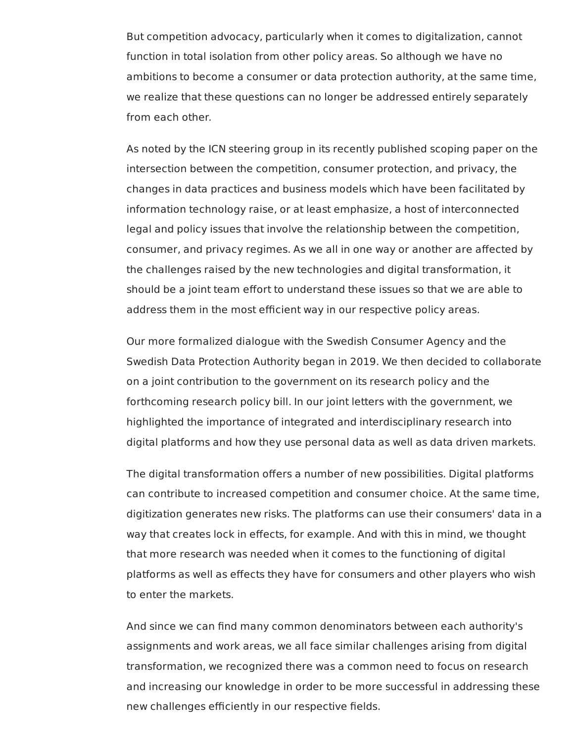But competition advocacy, particularly when it comes to digitalization, cannot function in total isolation from other policy areas. So although we have no ambitions to become a consumer or data protection authority, at the same time, we realize that these questions can no longer be addressed entirely separately from each other.

 As noted by the ICN steering group in its recently published scoping paper on the intersection between the competition, consumer protection, and privacy, the changes in data practices and business models which have been facilitated by information technology raise, or at least emphasize, a host of interconnected legal and policy issues that involve the relationship between the competition, consumer, and privacy regimes. As we all in one way or another are affected by the challenges raised by the new technologies and digital transformation, it should be a joint team effort to understand these issues so that we are able to address them in the most efficient way in our respective policy areas.

 Our more formalized dialogue with the Swedish Consumer Agency and the Swedish Data Protection Authority began in 2019. We then decided to collaborate on a joint contribution to the government on its research policy and the forthcoming research policy bill. In our joint letters with the government, we highlighted the importance of integrated and interdisciplinary research into digital platforms and how they use personal data as well as data driven markets.

 The digital transformation offers a number of new possibilities. Digital platforms can contribute to increased competition and consumer choice. At the same time, digitization generates new risks. The platforms can use their consumers' data in a way that creates lock in effects, for example. And with this in mind, we thought that more research was needed when it comes to the functioning of digital platforms as well as effects they have for consumers and other players who wish to enter the markets.

 And since we can find many common denominators between each authority's assignments and work areas, we all face similar challenges arising from digital transformation, we recognized there was a common need to focus on research and increasing our knowledge in order to be more successful in addressing these new challenges efficiently in our respective fields.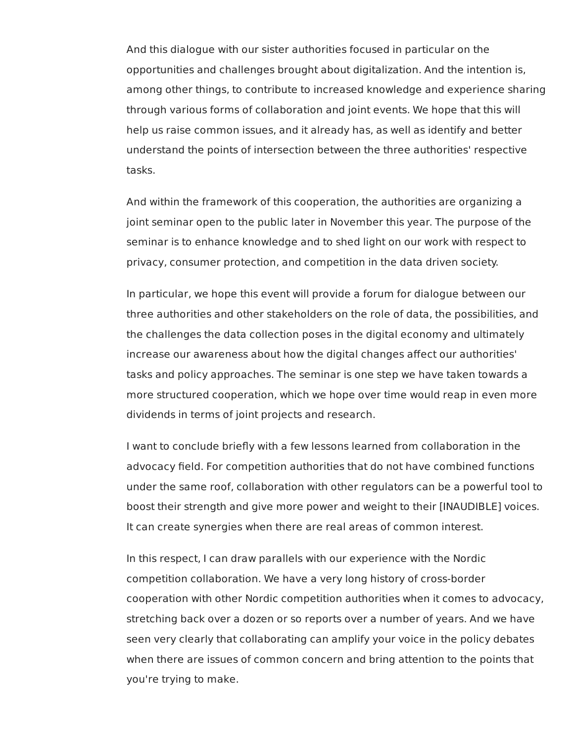And this dialogue with our sister authorities focused in particular on the opportunities and challenges brought about digitalization. And the intention is, among other things, to contribute to increased knowledge and experience sharing through various forms of collaboration and joint events. We hope that this will help us raise common issues, and it already has, as well as identify and better understand the points of intersection between the three authorities' respective tasks.

 And within the framework of this cooperation, the authorities are organizing a joint seminar open to the public later in November this year. The purpose of the seminar is to enhance knowledge and to shed light on our work with respect to privacy, consumer protection, and competition in the data driven society.

 In particular, we hope this event will provide a forum for dialogue between our three authorities and other stakeholders on the role of data, the possibilities, and the challenges the data collection poses in the digital economy and ultimately increase our awareness about how the digital changes affect our authorities' tasks and policy approaches. The seminar is one step we have taken towards a more structured cooperation, which we hope over time would reap in even more dividends in terms of joint projects and research.

 I want to conclude briefly with a few lessons learned from collaboration in the advocacy field. For competition authorities that do not have combined functions under the same roof, collaboration with other regulators can be a powerful tool to boost their strength and give more power and weight to their [INAUDIBLE] voices. It can create synergies when there are real areas of common interest.

 In this respect, I can draw parallels with our experience with the Nordic competition collaboration. We have a very long history of cross-border cooperation with other Nordic competition authorities when it comes to advocacy, stretching back over a dozen or so reports over a number of years. And we have seen very clearly that collaborating can amplify your voice in the policy debates when there are issues of common concern and bring attention to the points that you're trying to make.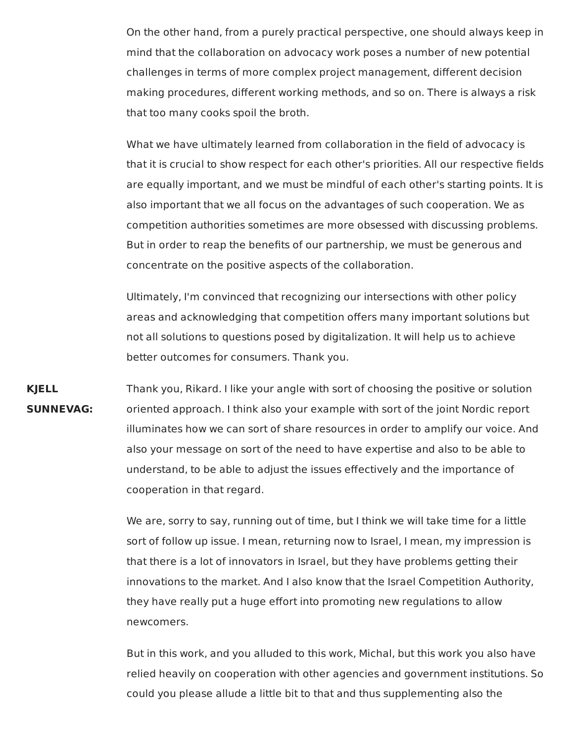On the other hand, from a purely practical perspective, one should always keep in mind that the collaboration on advocacy work poses a number of new potential challenges in terms of more complex project management, different decision making procedures, different working methods, and so on. There is always a risk that too many cooks spoil the broth.

What we have ultimately learned from collaboration in the field of advocacy is that it is crucial to show respect for each other's priorities. All our respective fields are equally important, and we must be mindful of each other's starting points. It is also important that we all focus on the advantages of such cooperation. We as competition authorities sometimes are more obsessed with discussing problems. But in order to reap the benefits of our partnership, we must be generous and concentrate on the positive aspects of the collaboration.

Ultimately, I'm convinced that recognizing our intersections with other policy areas and acknowledging that competition offers many important solutions but not all solutions to questions posed by digitalization. It will help us to achieve better outcomes for consumers. Thank you.

**KJELL** Thank you, Rikard. I like your angle with sort of choosing the positive or solution **SUNNEVAG:** oriented approach. I think also your example with sort of the joint Nordic report illuminates how we can sort of share resources in order to amplify our voice. And also your message on sort of the need to have expertise and also to be able to understand, to be able to adjust the issues effectively and the importance of cooperation in that regard.

> We are, sorry to say, running out of time, but I think we will take time for a little sort of follow up issue. I mean, returning now to Israel, I mean, my impression is that there is a lot of innovators in Israel, but they have problems getting their innovations to the market. And I also know that the Israel Competition Authority, they have really put a huge effort into promoting new regulations to allow newcomers.

But in this work, and you alluded to this work, Michal, but this work you also have relied heavily on cooperation with other agencies and government institutions. So could you please allude a little bit to that and thus supplementing also the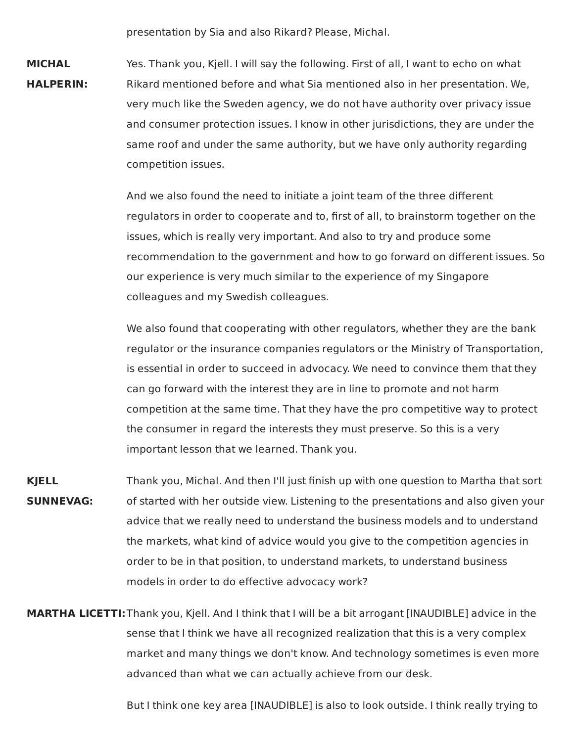presentation by Sia and also Rikard? Please, Michal.

**MICHAL** Yes. Thank you, Kjell. I will say the following. First of all, I want to echo on what **HALPERIN:** Rikard mentioned before and what Sia mentioned also in her presentation. We, very much like the Sweden agency, we do not have authority over privacy issue and consumer protection issues. I know in other jurisdictions, they are under the same roof and under the same authority, but we have only authority regarding competition issues.

> And we also found the need to initiate a joint team of the three different regulators in order to cooperate and to, first of all, to brainstorm together on the issues, which is really very important. And also to try and produce some recommendation to the government and how to go forward on different issues. So our experience is very much similar to the experience of my Singapore colleagues and my Swedish colleagues.

> We also found that cooperating with other regulators, whether they are the bank regulator or the insurance companies regulators or the Ministry of Transportation, is essential in order to succeed in advocacy. We need to convince them that they can go forward with the interest they are in line to promote and not harm competition at the same time. That they have the pro competitive way to protect the consumer in regard the interests they must preserve. So this is a very important lesson that we learned. Thank you.

- **KJELL** Thank you, Michal. And then I'll just finish up with one question to Martha that sort **SUNNEVAG:** of started with her outside view. Listening to the presentations and also given your advice that we really need to understand the business models and to understand the markets, what kind of advice would you give to the competition agencies in order to be in that position, to understand markets, to understand business models in order to do effective advocacy work?
- **MARTHA LICETTI:**Thank you, Kjell. And I think that I will be a bit arrogant [INAUDIBLE] advice in the sense that I think we have all recognized realization that this is a very complex market and many things we don't know. And technology sometimes is even more advanced than what we can actually achieve from our desk.

But I think one key area [INAUDIBLE] is also to look outside. I think really trying to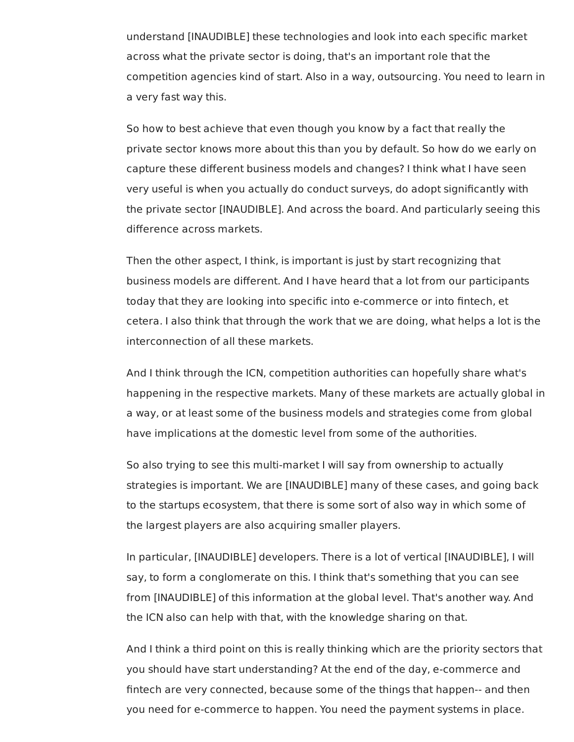understand [INAUDIBLE] these technologies and look into each specific market across what the private sector is doing, that's an important role that the competition agencies kind of start. Also in a way, outsourcing. You need to learn in a very fast way this.

 So how to best achieve that even though you know by a fact that really the private sector knows more about this than you by default. So how do we early on capture these different business models and changes? I think what I have seen very useful is when you actually do conduct surveys, do adopt significantly with the private sector [INAUDIBLE]. And across the board. And particularly seeing this difference across markets.

 Then the other aspect, I think, is important is just by start recognizing that business models are different. And I have heard that a lot from our participants today that they are looking into specific into e-commerce or into fintech, et cetera. I also think that through the work that we are doing, what helps a lot is the interconnection of all these markets.

 And I think through the ICN, competition authorities can hopefully share what's happening in the respective markets. Many of these markets are actually global in a way, or at least some of the business models and strategies come from global have implications at the domestic level from some of the authorities.

 So also trying to see this multi-market I will say from ownership to actually strategies is important. We are [INAUDIBLE] many of these cases, and going back to the startups ecosystem, that there is some sort of also way in which some of the largest players are also acquiring smaller players.

 In particular, [INAUDIBLE] developers. There is a lot of vertical [INAUDIBLE], I will say, to form a conglomerate on this. I think that's something that you can see from [INAUDIBLE] of this information at the global level. That's another way. And the ICN also can help with that, with the knowledge sharing on that.

 And I think a third point on this is really thinking which are the priority sectors that you should have start understanding? At the end of the day, e-commerce and fintech are very connected, because some of the things that happen-- and then you need for e-commerce to happen. You need the payment systems in place.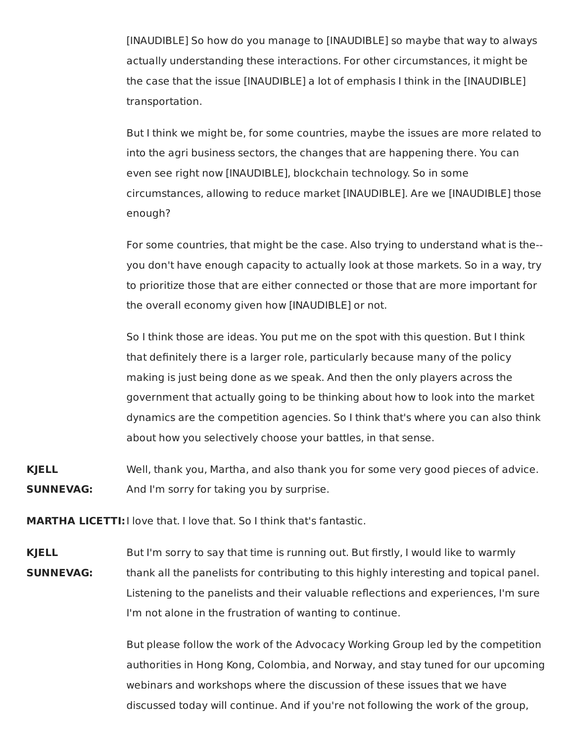[INAUDIBLE] So how do you manage to [INAUDIBLE] so maybe that way to always actually understanding these interactions. For other circumstances, it might be the case that the issue [INAUDIBLE] a lot of emphasis I think in the [INAUDIBLE] transportation.

But I think we might be, for some countries, maybe the issues are more related to into the agri business sectors, the changes that are happening there. You can even see right now [INAUDIBLE], blockchain technology. So in some circumstances, allowing to reduce market [INAUDIBLE]. Are we [INAUDIBLE] those enough?

For some countries, that might be the case. Also trying to understand what is the- you don't have enough capacity to actually look at those markets. So in a way, try to prioritize those that are either connected or those that are more important for the overall economy given how [INAUDIBLE] or not.

So I think those are ideas. You put me on the spot with this question. But I think that definitely there is a larger role, particularly because many of the policy making is just being done as we speak. And then the only players across the government that actually going to be thinking about how to look into the market dynamics are the competition agencies. So I think that's where you can also think about how you selectively choose your battles, in that sense.

**KJELL** Well, thank you, Martha, and also thank you for some very good pieces of advice. **SUNNEVAG:** And I'm sorry for taking you by surprise.

**MARTHA LICETTI:**I love that. I love that. So I think that's fantastic.

**KJELL** But I'm sorry to say that time is running out. But firstly, I would like to warmly **SUNNEVAG:** thank all the panelists for contributing to this highly interesting and topical panel. Listening to the panelists and their valuable reflections and experiences, I'm sure I'm not alone in the frustration of wanting to continue.

> But please follow the work of the Advocacy Working Group led by the competition authorities in Hong Kong, Colombia, and Norway, and stay tuned for our upcoming webinars and workshops where the discussion of these issues that we have discussed today will continue. And if you're not following the work of the group,